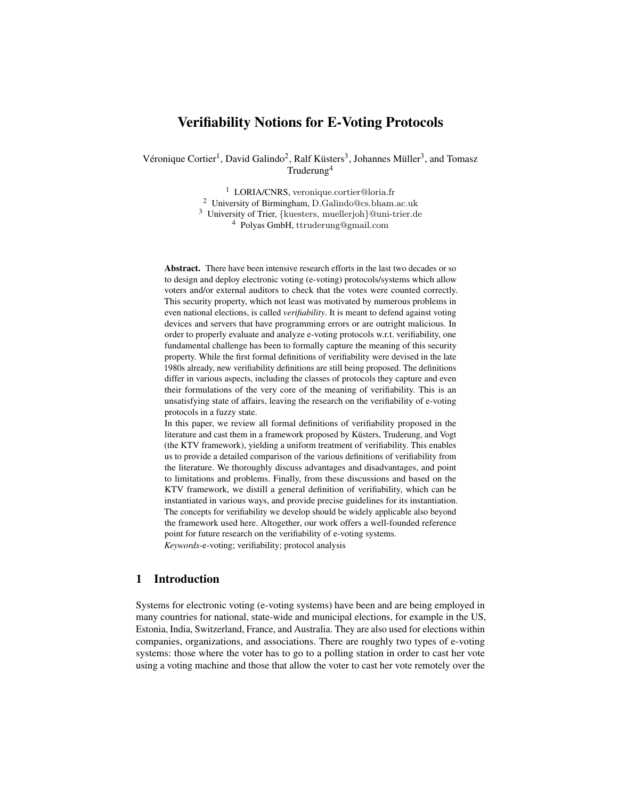# Verifiability Notions for E-Voting Protocols

Véronique Cortier<sup>1</sup>, David Galindo<sup>2</sup>, Ralf Küsters<sup>3</sup>, Johannes Müller<sup>3</sup>, and Tomasz Truderung<sup>4</sup>

> LORIA/CNRS, veronique.cortier@loria.fr University of Birmingham, D.Galindo@cs.bham.ac.uk University of Trier, {kuesters, muellerjoh}@uni-trier.de Polyas GmbH, ttruderung@gmail.com

Abstract. There have been intensive research efforts in the last two decades or so to design and deploy electronic voting (e-voting) protocols/systems which allow voters and/or external auditors to check that the votes were counted correctly. This security property, which not least was motivated by numerous problems in even national elections, is called *verifiability*. It is meant to defend against voting devices and servers that have programming errors or are outright malicious. In order to properly evaluate and analyze e-voting protocols w.r.t. verifiability, one fundamental challenge has been to formally capture the meaning of this security property. While the first formal definitions of verifiability were devised in the late 1980s already, new verifiability definitions are still being proposed. The definitions differ in various aspects, including the classes of protocols they capture and even their formulations of the very core of the meaning of verifiability. This is an unsatisfying state of affairs, leaving the research on the verifiability of e-voting protocols in a fuzzy state.

In this paper, we review all formal definitions of verifiability proposed in the literature and cast them in a framework proposed by Küsters, Truderung, and Vogt (the KTV framework), yielding a uniform treatment of verifiability. This enables us to provide a detailed comparison of the various definitions of verifiability from the literature. We thoroughly discuss advantages and disadvantages, and point to limitations and problems. Finally, from these discussions and based on the KTV framework, we distill a general definition of verifiability, which can be instantiated in various ways, and provide precise guidelines for its instantiation. The concepts for verifiability we develop should be widely applicable also beyond the framework used here. Altogether, our work offers a well-founded reference point for future research on the verifiability of e-voting systems. *Keywords*-e-voting; verifiability; protocol analysis

# 1 Introduction

Systems for electronic voting (e-voting systems) have been and are being employed in many countries for national, state-wide and municipal elections, for example in the US, Estonia, India, Switzerland, France, and Australia. They are also used for elections within companies, organizations, and associations. There are roughly two types of e-voting systems: those where the voter has to go to a polling station in order to cast her vote using a voting machine and those that allow the voter to cast her vote remotely over the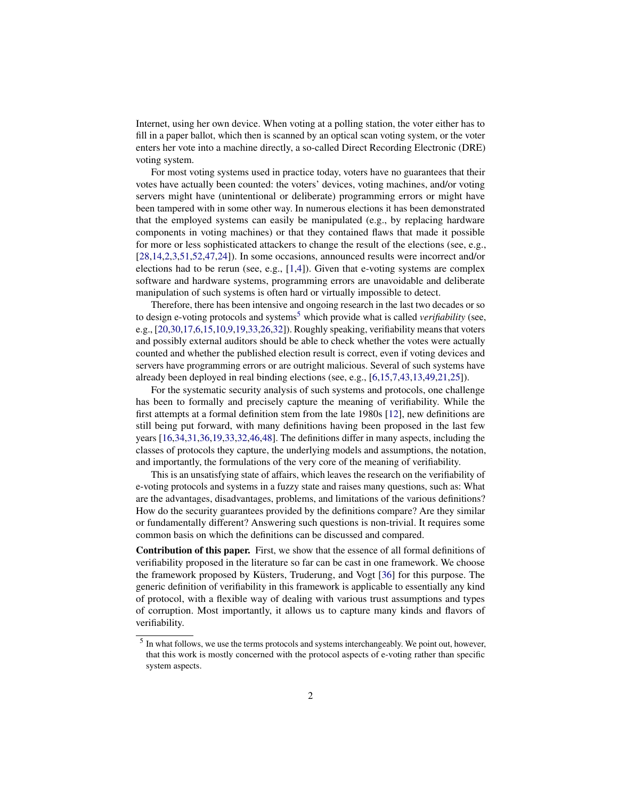Internet, using her own device. When voting at a polling station, the voter either has to fill in a paper ballot, which then is scanned by an optical scan voting system, or the voter enters her vote into a machine directly, a so-called Direct Recording Electronic (DRE) voting system.

For most voting systems used in practice today, voters have no guarantees that their votes have actually been counted: the voters' devices, voting machines, and/or voting servers might have (unintentional or deliberate) programming errors or might have been tampered with in some other way. In numerous elections it has been demonstrated that the employed systems can easily be manipulated (e.g., by replacing hardware components in voting machines) or that they contained flaws that made it possible for more or less sophisticated attackers to change the result of the elections (see, e.g., [\[28,](#page-34-0)[14,](#page-33-0)[2,](#page-32-0)[3,](#page-33-1)[51,](#page-36-0)[52,](#page-36-1)[47,](#page-36-2)[24\]](#page-34-1)). In some occasions, announced results were incorrect and/or elections had to be rerun (see, e.g., [\[1,](#page-32-1)[4\]](#page-33-2)). Given that e-voting systems are complex software and hardware systems, programming errors are unavoidable and deliberate manipulation of such systems is often hard or virtually impossible to detect.

Therefore, there has been intensive and ongoing research in the last two decades or so to design e-voting protocols and systems<sup>[5](#page-1-0)</sup> which provide what is called *verifiability* (see, e.g., [\[20](#page-34-2)[,30](#page-34-3)[,17,](#page-33-3)[6,](#page-33-4)[15,](#page-33-5)[10](#page-33-6)[,9](#page-33-7)[,19](#page-34-4)[,33,](#page-35-0)[26,](#page-34-5)[32\]](#page-35-1)). Roughly speaking, verifiability means that voters and possibly external auditors should be able to check whether the votes were actually counted and whether the published election result is correct, even if voting devices and servers have programming errors or are outright malicious. Several of such systems have already been deployed in real binding elections (see, e.g., [\[6](#page-33-4)[,15](#page-33-5)[,7](#page-33-8)[,43](#page-35-2)[,13](#page-33-9)[,49,](#page-36-3)[21](#page-34-6)[,25\]](#page-34-7)).

For the systematic security analysis of such systems and protocols, one challenge has been to formally and precisely capture the meaning of verifiability. While the first attempts at a formal definition stem from the late 1980s [\[12\]](#page-33-10), new definitions are still being put forward, with many definitions having been proposed in the last few years [\[16,](#page-33-11)[34](#page-35-3)[,31](#page-34-8)[,36](#page-35-4)[,19,](#page-34-4)[33,](#page-35-0)[32,](#page-35-1)[46](#page-35-5)[,48\]](#page-36-4). The definitions differ in many aspects, including the classes of protocols they capture, the underlying models and assumptions, the notation, and importantly, the formulations of the very core of the meaning of verifiability.

This is an unsatisfying state of affairs, which leaves the research on the verifiability of e-voting protocols and systems in a fuzzy state and raises many questions, such as: What are the advantages, disadvantages, problems, and limitations of the various definitions? How do the security guarantees provided by the definitions compare? Are they similar or fundamentally different? Answering such questions is non-trivial. It requires some common basis on which the definitions can be discussed and compared.

Contribution of this paper. First, we show that the essence of all formal definitions of verifiability proposed in the literature so far can be cast in one framework. We choose the framework proposed by Küsters, Truderung, and Vogt [[36\]](#page-35-4) for this purpose. The generic definition of verifiability in this framework is applicable to essentially any kind of protocol, with a flexible way of dealing with various trust assumptions and types of corruption. Most importantly, it allows us to capture many kinds and flavors of verifiability.

<span id="page-1-0"></span><sup>&</sup>lt;sup>5</sup> In what follows, we use the terms protocols and systems interchangeably. We point out, however, that this work is mostly concerned with the protocol aspects of e-voting rather than specific system aspects.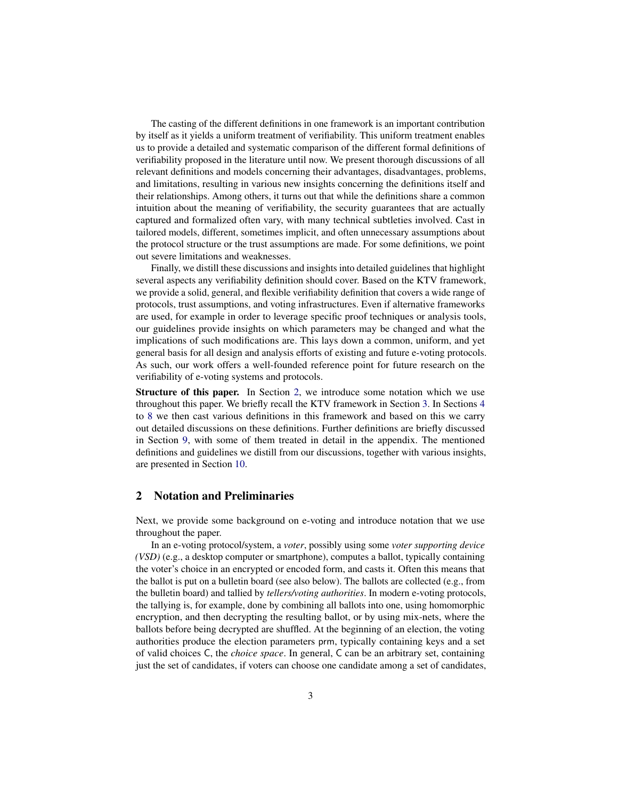The casting of the different definitions in one framework is an important contribution by itself as it yields a uniform treatment of verifiability. This uniform treatment enables us to provide a detailed and systematic comparison of the different formal definitions of verifiability proposed in the literature until now. We present thorough discussions of all relevant definitions and models concerning their advantages, disadvantages, problems, and limitations, resulting in various new insights concerning the definitions itself and their relationships. Among others, it turns out that while the definitions share a common intuition about the meaning of verifiability, the security guarantees that are actually captured and formalized often vary, with many technical subtleties involved. Cast in tailored models, different, sometimes implicit, and often unnecessary assumptions about the protocol structure or the trust assumptions are made. For some definitions, we point out severe limitations and weaknesses.

Finally, we distill these discussions and insights into detailed guidelines that highlight several aspects any verifiability definition should cover. Based on the KTV framework, we provide a solid, general, and flexible verifiability definition that covers a wide range of protocols, trust assumptions, and voting infrastructures. Even if alternative frameworks are used, for example in order to leverage specific proof techniques or analysis tools, our guidelines provide insights on which parameters may be changed and what the implications of such modifications are. This lays down a common, uniform, and yet general basis for all design and analysis efforts of existing and future e-voting protocols. As such, our work offers a well-founded reference point for future research on the verifiability of e-voting systems and protocols.

Structure of this paper. In Section [2,](#page-2-0) we introduce some notation which we use throughout this paper. We briefly recall the KTV framework in Section [3.](#page-3-0) In Sections [4](#page-7-0) to [8](#page-21-0) we then cast various definitions in this framework and based on this we carry out detailed discussions on these definitions. Further definitions are briefly discussed in Section [9,](#page-25-0) with some of them treated in detail in the appendix. The mentioned definitions and guidelines we distill from our discussions, together with various insights, are presented in Section [10.](#page-26-0)

## <span id="page-2-0"></span>2 Notation and Preliminaries

Next, we provide some background on e-voting and introduce notation that we use throughout the paper.

In an e-voting protocol/system, a *voter*, possibly using some *voter supporting device (VSD)* (e.g., a desktop computer or smartphone), computes a ballot, typically containing the voter's choice in an encrypted or encoded form, and casts it. Often this means that the ballot is put on a bulletin board (see also below). The ballots are collected (e.g., from the bulletin board) and tallied by *tellers/voting authorities*. In modern e-voting protocols, the tallying is, for example, done by combining all ballots into one, using homomorphic encryption, and then decrypting the resulting ballot, or by using mix-nets, where the ballots before being decrypted are shuffled. At the beginning of an election, the voting authorities produce the election parameters prm, typically containing keys and a set of valid choices C, the *choice space*. In general, C can be an arbitrary set, containing just the set of candidates, if voters can choose one candidate among a set of candidates,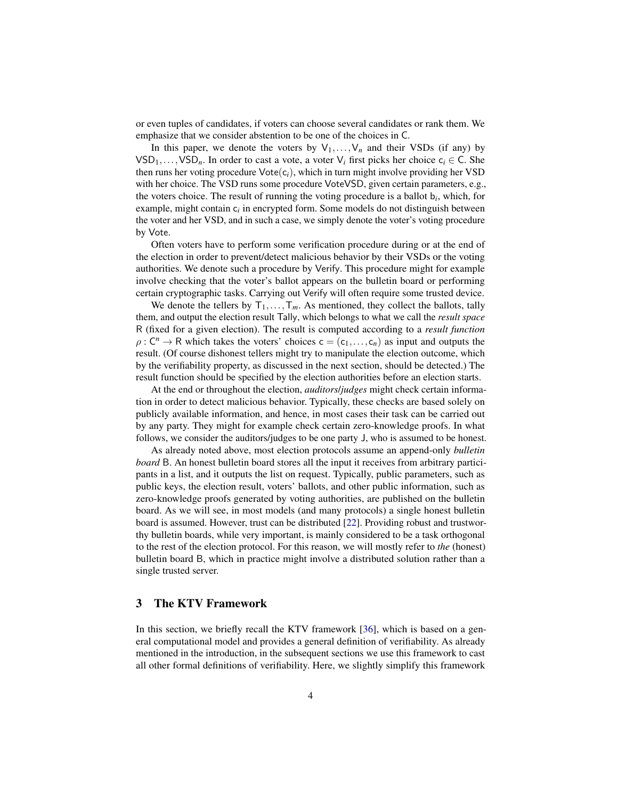or even tuples of candidates, if voters can choose several candidates or rank them. We emphasize that we consider abstention to be one of the choices in C.

In this paper, we denote the voters by  $V_1, \ldots, V_n$  and their VSDs (if any) by VSD<sub>1</sub>,..., VSD<sub>n</sub>. In order to cast a vote, a voter  $V_i$  first picks her choice  $c_i \in C$ . She then runs her voting procedure  $\text{Vote}(c_i)$ , which in turn might involve providing her VSD with her choice. The VSD runs some procedure VoteVSD, given certain parameters, e.g., the voters choice. The result of running the voting procedure is a ballot b*<sup>i</sup>* , which, for example, might contain c*<sup>i</sup>* in encrypted form. Some models do not distinguish between the voter and her VSD, and in such a case, we simply denote the voter's voting procedure by Vote.

Often voters have to perform some verification procedure during or at the end of the election in order to prevent/detect malicious behavior by their VSDs or the voting authorities. We denote such a procedure by Verify. This procedure might for example involve checking that the voter's ballot appears on the bulletin board or performing certain cryptographic tasks. Carrying out Verify will often require some trusted device.

We denote the tellers by  $T_1, \ldots, T_m$ . As mentioned, they collect the ballots, tally them, and output the election result Tally, which belongs to what we call the *result space* R (fixed for a given election). The result is computed according to a *result function*  $\rho: \mathbb{C}^n \to \mathbb{R}$  which takes the voters' choices  $c = (c_1, \ldots, c_n)$  as input and outputs the result. (Of course dishonest tellers might try to manipulate the election outcome, which by the verifiability property, as discussed in the next section, should be detected.) The result function should be specified by the election authorities before an election starts.

At the end or throughout the election, *auditors*/*judges* might check certain information in order to detect malicious behavior. Typically, these checks are based solely on publicly available information, and hence, in most cases their task can be carried out by any party. They might for example check certain zero-knowledge proofs. In what follows, we consider the auditors/judges to be one party J, who is assumed to be honest.

As already noted above, most election protocols assume an append-only *bulletin board* B. An honest bulletin board stores all the input it receives from arbitrary participants in a list, and it outputs the list on request. Typically, public parameters, such as public keys, the election result, voters' ballots, and other public information, such as zero-knowledge proofs generated by voting authorities, are published on the bulletin board. As we will see, in most models (and many protocols) a single honest bulletin board is assumed. However, trust can be distributed [\[22\]](#page-34-9). Providing robust and trustworthy bulletin boards, while very important, is mainly considered to be a task orthogonal to the rest of the election protocol. For this reason, we will mostly refer to *the* (honest) bulletin board B, which in practice might involve a distributed solution rather than a single trusted server.

## <span id="page-3-0"></span>3 The KTV Framework

In this section, we briefly recall the KTV framework [\[36\]](#page-35-4), which is based on a general computational model and provides a general definition of verifiability. As already mentioned in the introduction, in the subsequent sections we use this framework to cast all other formal definitions of verifiability. Here, we slightly simplify this framework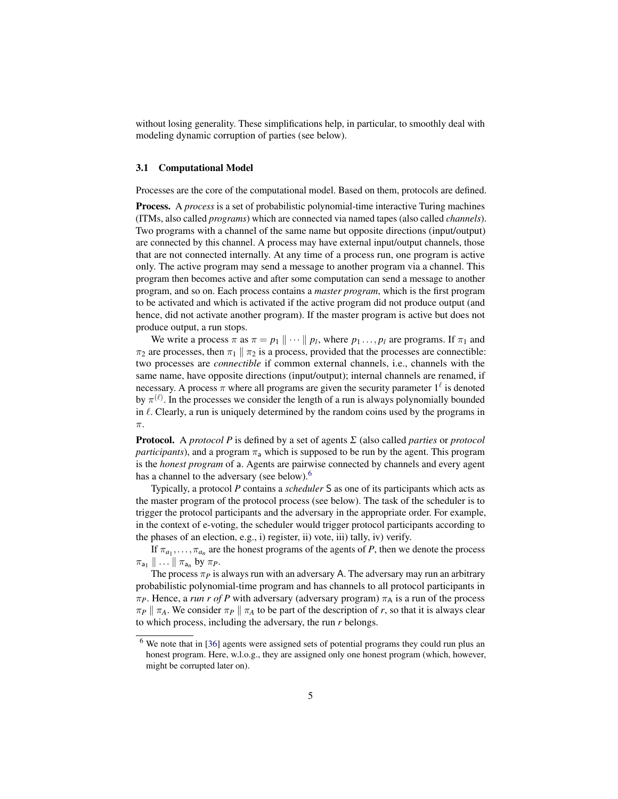without losing generality. These simplifications help, in particular, to smoothly deal with modeling dynamic corruption of parties (see below).

### <span id="page-4-1"></span>3.1 Computational Model

Processes are the core of the computational model. Based on them, protocols are defined.

Process. A *process* is a set of probabilistic polynomial-time interactive Turing machines (ITMs, also called *programs*) which are connected via named tapes (also called *channels*). Two programs with a channel of the same name but opposite directions (input/output) are connected by this channel. A process may have external input/output channels, those that are not connected internally. At any time of a process run, one program is active only. The active program may send a message to another program via a channel. This program then becomes active and after some computation can send a message to another program, and so on. Each process contains a *master program*, which is the first program to be activated and which is activated if the active program did not produce output (and hence, did not activate another program). If the master program is active but does not produce output, a run stops.

We write a process  $\pi$  as  $\pi = p_1 \parallel \cdots \parallel p_l$ , where  $p_1 \ldots, p_l$  are programs. If  $\pi_1$  and  $\pi_2$  are processes, then  $\pi_1 \parallel \pi_2$  is a process, provided that the processes are connectible: two processes are *connectible* if common external channels, i.e., channels with the same name, have opposite directions (input/output); internal channels are renamed, if necessary. A process  $\pi$  where all programs are given the security parameter  $1^{\ell}$  is denoted by  $\pi^{(\ell)}$ . In the processes we consider the length of a run is always polynomially bounded in  $\ell$ . Clearly, a run is uniquely determined by the random coins used by the programs in π.

Protocol. A *protocol P* is defined by a set of agents Σ (also called *parties* or *protocol participants*), and a program  $\pi_a$  which is supposed to be run by the agent. This program is the *honest program* of a. Agents are pairwise connected by channels and every agent has a channel to the adversary (see below).<sup>[6](#page-4-0)</sup>

Typically, a protocol *P* contains a *scheduler* S as one of its participants which acts as the master program of the protocol process (see below). The task of the scheduler is to trigger the protocol participants and the adversary in the appropriate order. For example, in the context of e-voting, the scheduler would trigger protocol participants according to the phases of an election, e.g., i) register, ii) vote, iii) tally, iv) verify.

If  $\pi_{a_1}, \ldots, \pi_{a_n}$  are the honest programs of the agents of *P*, then we denote the process  $\pi_{a_1} \parallel \ldots \parallel \pi_{a_n}$  by  $\pi_P$ .

The process  $\pi_P$  is always run with an adversary A. The adversary may run an arbitrary probabilistic polynomial-time program and has channels to all protocol participants in  $\pi_P$ . Hence, a *run r* of *P* with adversary (adversary program)  $\pi_A$  is a run of the process  $\pi_P \parallel \pi_A$ . We consider  $\pi_P \parallel \pi_A$  to be part of the description of *r*, so that it is always clear to which process, including the adversary, the run *r* belongs.

<span id="page-4-0"></span><sup>6</sup> We note that in [\[36\]](#page-35-4) agents were assigned sets of potential programs they could run plus an honest program. Here, w.l.o.g., they are assigned only one honest program (which, however, might be corrupted later on).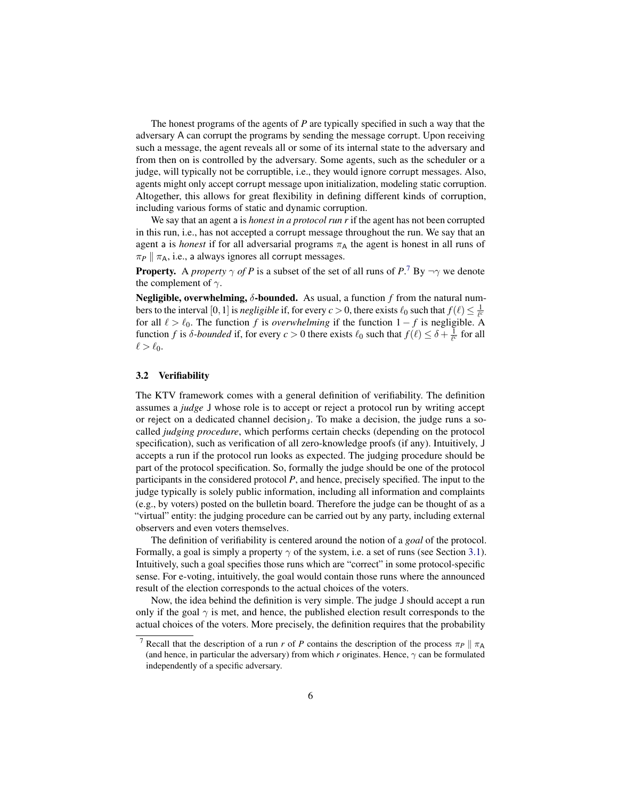The honest programs of the agents of *P* are typically specified in such a way that the adversary A can corrupt the programs by sending the message corrupt. Upon receiving such a message, the agent reveals all or some of its internal state to the adversary and from then on is controlled by the adversary. Some agents, such as the scheduler or a judge, will typically not be corruptible, i.e., they would ignore corrupt messages. Also, agents might only accept corrupt message upon initialization, modeling static corruption. Altogether, this allows for great flexibility in defining different kinds of corruption, including various forms of static and dynamic corruption.

We say that an agent a is *honest in a protocol run r* if the agent has not been corrupted in this run, i.e., has not accepted a corrupt message throughout the run. We say that an agent a is *honest* if for all adversarial programs  $\pi_A$  the agent is honest in all runs of  $\pi_P \parallel \pi_A$ , i.e., a always ignores all corrupt messages.

**Property.** A *property*  $\gamma$  *of P* is a subset of the set of all runs of *P*.<sup>[7](#page-5-0)</sup> By  $\neg \gamma$  we denote the complement of  $\gamma$ .

**Negligible, overwhelming,**  $\delta$ **-bounded.** As usual, a function  $f$  from the natural numbers to the interval  $[0,1]$  is *negligible* if, for every  $c > 0$ , there exists  $\ell_0$  such that  $f(\ell) \leq \frac{1}{\ell^c}$ for all  $\ell > \ell_0$ . The function *f* is *overwhelming* if the function  $1 - f$  is negligible. A function *f* is  $\delta$ -*bounded* if, for every  $c > 0$  there exists  $\ell_0$  such that  $f(\ell) \leq \delta + \frac{1}{\ell^c}$  for all  $\ell > \ell_0$ .

### <span id="page-5-1"></span>3.2 Verifiability

The KTV framework comes with a general definition of verifiability. The definition assumes a *judge* J whose role is to accept or reject a protocol run by writing accept or reject on a dedicated channel decision<sub>J</sub>. To make a decision, the judge runs a socalled *judging procedure*, which performs certain checks (depending on the protocol specification), such as verification of all zero-knowledge proofs (if any). Intuitively, J accepts a run if the protocol run looks as expected. The judging procedure should be part of the protocol specification. So, formally the judge should be one of the protocol participants in the considered protocol *P*, and hence, precisely specified. The input to the judge typically is solely public information, including all information and complaints (e.g., by voters) posted on the bulletin board. Therefore the judge can be thought of as a "virtual" entity: the judging procedure can be carried out by any party, including external observers and even voters themselves.

The definition of verifiability is centered around the notion of a *goal* of the protocol. Formally, a goal is simply a property  $\gamma$  of the system, i.e. a set of runs (see Section [3.1\)](#page-4-1). Intuitively, such a goal specifies those runs which are "correct" in some protocol-specific sense. For e-voting, intuitively, the goal would contain those runs where the announced result of the election corresponds to the actual choices of the voters.

Now, the idea behind the definition is very simple. The judge J should accept a run only if the goal  $\gamma$  is met, and hence, the published election result corresponds to the actual choices of the voters. More precisely, the definition requires that the probability

<span id="page-5-0"></span><sup>&</sup>lt;sup>7</sup> Recall that the description of a run *r* of *P* contains the description of the process  $\pi_P \parallel \pi_A$ (and hence, in particular the adversary) from which *r* originates. Hence,  $\gamma$  can be formulated independently of a specific adversary.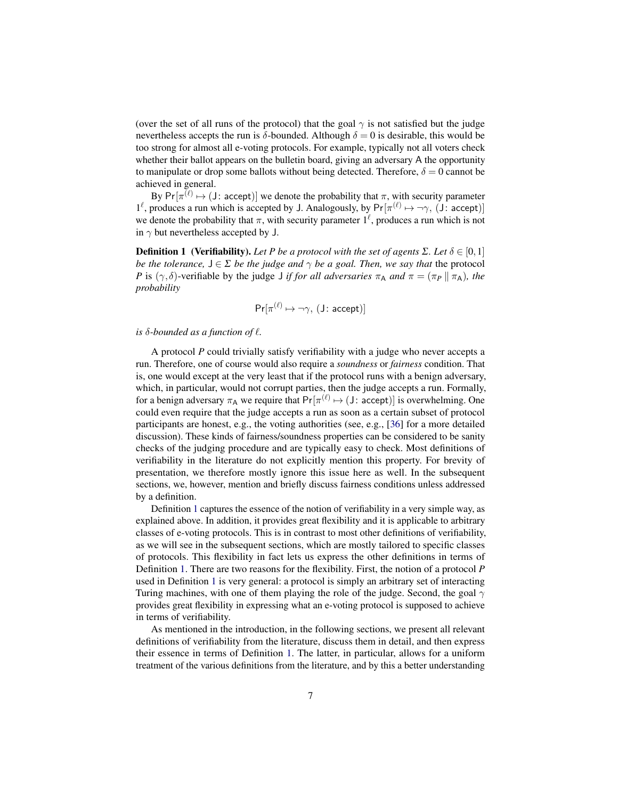(over the set of all runs of the protocol) that the goal  $\gamma$  is not satisfied but the judge nevertheless accepts the run is δ-bounded. Although  $\delta = 0$  is desirable, this would be too strong for almost all e-voting protocols. For example, typically not all voters check whether their ballot appears on the bulletin board, giving an adversary A the opportunity to manipulate or drop some ballots without being detected. Therefore,  $\delta = 0$  cannot be achieved in general.

By  $Pr[\pi^{(\ell)} \mapsto (J: \text{accept})]$  we denote the probability that  $\pi$ , with security parameter 1<sup> $\ell$ </sup>, produces a run which is accepted by J. Analogously, by  $Pr[\pi^{(\ell)} \mapsto \neg \gamma, (J: accept)]$ we denote the probability that  $\pi$ , with security parameter  $1^{\ell}$ , produces a run which is not in  $\gamma$  but nevertheless accepted by J.

<span id="page-6-0"></span>**Definition 1 (Verifiability).** Let P be a protocol with the set of agents  $\Sigma$ . Let  $\delta \in [0,1]$ *be the tolerance,*  $J \in \Sigma$  *be the judge and*  $\gamma$  *be a goal. Then, we say that* the protocol *P* is  $(\gamma, \delta)$ -verifiable by the judge J *if for all adversaries*  $\pi_A$  *and*  $\pi = (\pi_P || \pi_A)$ *, the probability*

$$
\Pr[\pi^{(\ell)} \mapsto \neg \gamma, (J: accept)]
$$

### $i$ *s*  $\delta$ *-bounded as a function of*  $\ell$ *.*

A protocol *P* could trivially satisfy verifiability with a judge who never accepts a run. Therefore, one of course would also require a *soundness* or *fairness* condition. That is, one would except at the very least that if the protocol runs with a benign adversary, which, in particular, would not corrupt parties, then the judge accepts a run. Formally, for a benign adversary  $\pi_A$  we require that  $Pr[\pi^{(\ell)} \mapsto (J: \text{accept})]$  is overwhelming. One could even require that the judge accepts a run as soon as a certain subset of protocol participants are honest, e.g., the voting authorities (see, e.g., [\[36\]](#page-35-4) for a more detailed discussion). These kinds of fairness/soundness properties can be considered to be sanity checks of the judging procedure and are typically easy to check. Most definitions of verifiability in the literature do not explicitly mention this property. For brevity of presentation, we therefore mostly ignore this issue here as well. In the subsequent sections, we, however, mention and briefly discuss fairness conditions unless addressed by a definition.

Definition [1](#page-6-0) captures the essence of the notion of verifiability in a very simple way, as explained above. In addition, it provides great flexibility and it is applicable to arbitrary classes of e-voting protocols. This is in contrast to most other definitions of verifiability, as we will see in the subsequent sections, which are mostly tailored to specific classes of protocols. This flexibility in fact lets us express the other definitions in terms of Definition [1.](#page-6-0) There are two reasons for the flexibility. First, the notion of a protocol *P* used in Definition [1](#page-6-0) is very general: a protocol is simply an arbitrary set of interacting Turing machines, with one of them playing the role of the judge. Second, the goal  $\gamma$ provides great flexibility in expressing what an e-voting protocol is supposed to achieve in terms of verifiability.

As mentioned in the introduction, in the following sections, we present all relevant definitions of verifiability from the literature, discuss them in detail, and then express their essence in terms of Definition [1.](#page-6-0) The latter, in particular, allows for a uniform treatment of the various definitions from the literature, and by this a better understanding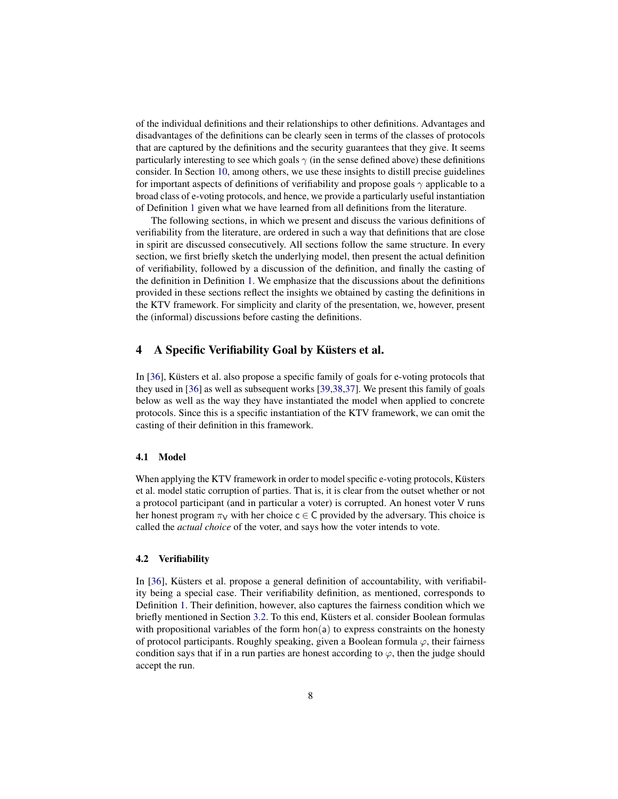of the individual definitions and their relationships to other definitions. Advantages and disadvantages of the definitions can be clearly seen in terms of the classes of protocols that are captured by the definitions and the security guarantees that they give. It seems particularly interesting to see which goals  $\gamma$  (in the sense defined above) these definitions consider. In Section [10,](#page-26-0) among others, we use these insights to distill precise guidelines for important aspects of definitions of verifiability and propose goals  $\gamma$  applicable to a broad class of e-voting protocols, and hence, we provide a particularly useful instantiation of Definition [1](#page-6-0) given what we have learned from all definitions from the literature.

The following sections, in which we present and discuss the various definitions of verifiability from the literature, are ordered in such a way that definitions that are close in spirit are discussed consecutively. All sections follow the same structure. In every section, we first briefly sketch the underlying model, then present the actual definition of verifiability, followed by a discussion of the definition, and finally the casting of the definition in Definition [1.](#page-6-0) We emphasize that the discussions about the definitions provided in these sections reflect the insights we obtained by casting the definitions in the KTV framework. For simplicity and clarity of the presentation, we, however, present the (informal) discussions before casting the definitions.

# <span id="page-7-0"></span>4 A Specific Verifiability Goal by Küsters et al.

In [\[36\]](#page-35-4), Küsters et al. also propose a specific family of goals for e-voting protocols that they used in [\[36\]](#page-35-4) as well as subsequent works [\[39,](#page-35-6)[38,](#page-35-7)[37\]](#page-35-8). We present this family of goals below as well as the way they have instantiated the model when applied to concrete protocols. Since this is a specific instantiation of the KTV framework, we can omit the casting of their definition in this framework.

### <span id="page-7-2"></span>4.1 Model

When applying the KTV framework in order to model specific e-voting protocols, Küsters et al. model static corruption of parties. That is, it is clear from the outset whether or not a protocol participant (and in particular a voter) is corrupted. An honest voter V runs her honest program  $\pi_V$  with her choice c  $\in \mathsf{C}$  provided by the adversary. This choice is called the *actual choice* of the voter, and says how the voter intends to vote.

## <span id="page-7-1"></span>4.2 Verifiability

In [\[36\]](#page-35-4), Küsters et al. propose a general definition of accountability, with verifiability being a special case. Their verifiability definition, as mentioned, corresponds to Definition [1.](#page-6-0) Their definition, however, also captures the fairness condition which we briefly mentioned in Section [3.2.](#page-5-1) To this end, Küsters et al. consider Boolean formulas with propositional variables of the form  $hon(a)$  to express constraints on the honesty of protocol participants. Roughly speaking, given a Boolean formula  $\varphi$ , their fairness condition says that if in a run parties are honest according to  $\varphi$ , then the judge should accept the run.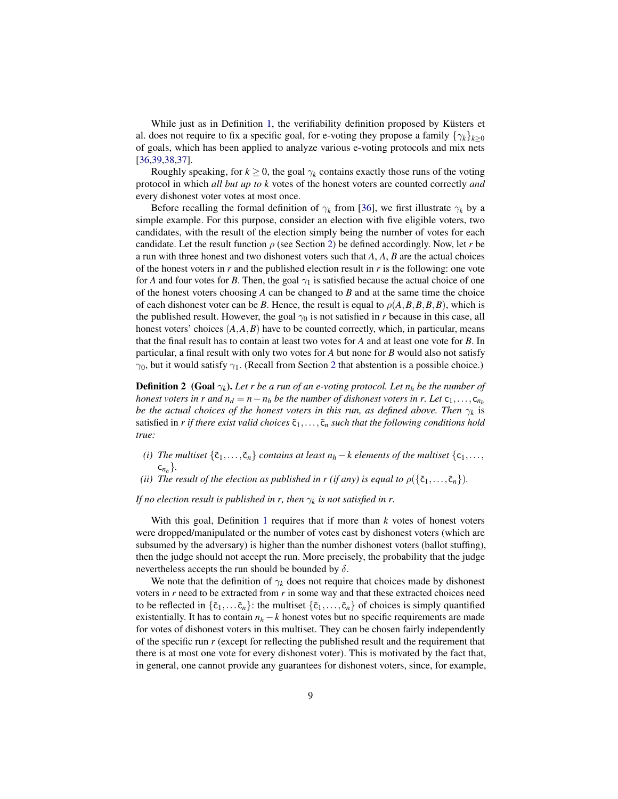While just as in Definition [1,](#page-6-0) the verifiability definition proposed by Küsters et al. does not require to fix a specific goal, for e-voting they propose a family  $\{\gamma_k\}_{k>0}$ of goals, which has been applied to analyze various e-voting protocols and mix nets [\[36,](#page-35-4)[39](#page-35-6)[,38](#page-35-7)[,37\]](#page-35-8).

Roughly speaking, for  $k \ge 0$ , the goal  $\gamma_k$  contains exactly those runs of the voting protocol in which *all but up to k* votes of the honest voters are counted correctly *and* every dishonest voter votes at most once.

Before recalling the formal definition of  $\gamma_k$  from [\[36\]](#page-35-4), we first illustrate  $\gamma_k$  by a simple example. For this purpose, consider an election with five eligible voters, two candidates, with the result of the election simply being the number of votes for each candidate. Let the result function  $\rho$  (see Section [2\)](#page-2-0) be defined accordingly. Now, let *r* be a run with three honest and two dishonest voters such that *A*, *A*, *B* are the actual choices of the honest voters in *r* and the published election result in *r* is the following: one vote for *A* and four votes for *B*. Then, the goal  $\gamma_1$  is satisfied because the actual choice of one of the honest voters choosing *A* can be changed to *B* and at the same time the choice of each dishonest voter can be *B*. Hence, the result is equal to  $\rho(A, B, B, B, B)$ , which is the published result. However, the goal  $\gamma_0$  is not satisfied in *r* because in this case, all honest voters' choices  $(A, A, B)$  have to be counted correctly, which, in particular, means that the final result has to contain at least two votes for *A* and at least one vote for *B*. In particular, a final result with only two votes for *A* but none for *B* would also not satisfy  $\gamma_0$ , but it would satisfy  $\gamma_1$ . (Recall from Section [2](#page-2-0) that abstention is a possible choice.)

<span id="page-8-0"></span>**Definition 2** (Goal  $\gamma_k$ ). Let *r* be a run of an e-voting protocol. Let  $n_h$  be the number of *honest voters in r and*  $n_d = n - n_h$  *be the number of dishonest voters in r.* Let  $c_1, \ldots, c_{n_h}$ *be the actual choices of the honest voters in this run, as defined above. Then*  $\gamma_k$  is satisfied in *r* if there exist valid choices  $\tilde{c}_1, \ldots, \tilde{c}_n$  such that the following conditions hold *true:*

- *(i) The multiset*  $\{\tilde{c}_1, \ldots, \tilde{c}_n\}$  *contains at least*  $n_h k$  *elements of the multiset*  $\{c_1, \ldots, c_n\}$ c*nh* }*.*
- *(ii) The result of the election as published in r (if any) is equal to*  $\rho({\{\tilde{c}_1,\ldots,\tilde{c}_n\}})$ *.*

*If no election result is published in r, then*  $\gamma_k$  *is not satisfied in r.* 

With this goal, Definition [1](#page-6-0) requires that if more than *k* votes of honest voters were dropped/manipulated or the number of votes cast by dishonest voters (which are subsumed by the adversary) is higher than the number dishonest voters (ballot stuffing), then the judge should not accept the run. More precisely, the probability that the judge nevertheless accepts the run should be bounded by  $\delta$ .

We note that the definition of  $\gamma_k$  does not require that choices made by dishonest voters in *r* need to be extracted from *r* in some way and that these extracted choices need to be reflected in  $\{\tilde{c}_1,\ldots,\tilde{c}_n\}$ : the multiset  $\{\tilde{c}_1,\ldots,\tilde{c}_n\}$  of choices is simply quantified existentially. It has to contain  $n_h - k$  honest votes but no specific requirements are made for votes of dishonest voters in this multiset. They can be chosen fairly independently of the specific run *r* (except for reflecting the published result and the requirement that there is at most one vote for every dishonest voter). This is motivated by the fact that, in general, one cannot provide any guarantees for dishonest voters, since, for example,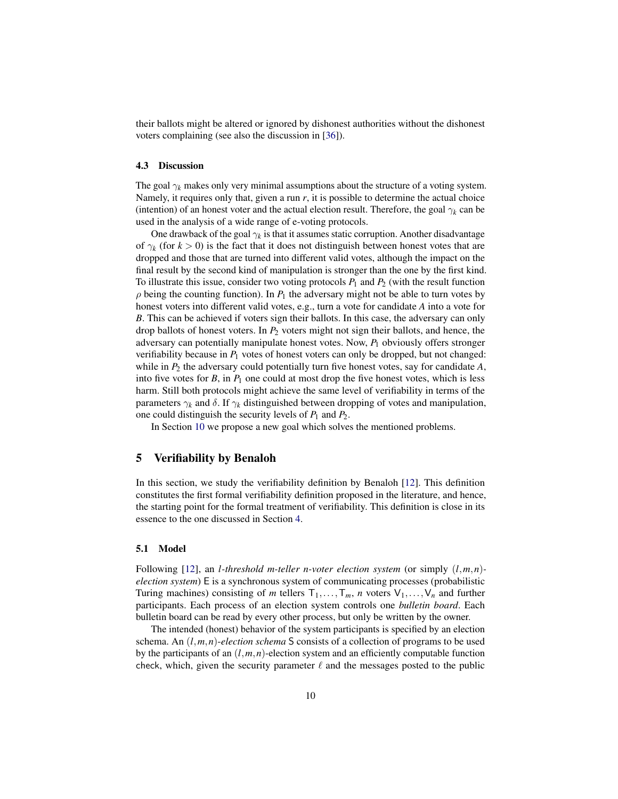their ballots might be altered or ignored by dishonest authorities without the dishonest voters complaining (see also the discussion in [\[36\]](#page-35-4)).

## 4.3 Discussion

The goal  $\gamma_k$  makes only very minimal assumptions about the structure of a voting system. Namely, it requires only that, given a run *r*, it is possible to determine the actual choice (intention) of an honest voter and the actual election result. Therefore, the goal  $\gamma_k$  can be used in the analysis of a wide range of e-voting protocols.

One drawback of the goal  $\gamma_k$  is that it assumes static corruption. Another disadvantage of  $\gamma_k$  (for  $k > 0$ ) is the fact that it does not distinguish between honest votes that are dropped and those that are turned into different valid votes, although the impact on the final result by the second kind of manipulation is stronger than the one by the first kind. To illustrate this issue, consider two voting protocols  $P_1$  and  $P_2$  (with the result function  $\rho$  being the counting function). In  $P_1$  the adversary might not be able to turn votes by honest voters into different valid votes, e.g., turn a vote for candidate *A* into a vote for *B*. This can be achieved if voters sign their ballots. In this case, the adversary can only drop ballots of honest voters. In *P*<sup>2</sup> voters might not sign their ballots, and hence, the adversary can potentially manipulate honest votes. Now, *P*<sup>1</sup> obviously offers stronger verifiability because in  $P_1$  votes of honest voters can only be dropped, but not changed: while in  $P_2$  the adversary could potentially turn five honest votes, say for candidate A, into five votes for  $B$ , in  $P_1$  one could at most drop the five honest votes, which is less harm. Still both protocols might achieve the same level of verifiability in terms of the parameters  $\gamma_k$  and  $\delta$ . If  $\gamma_k$  distinguished between dropping of votes and manipulation, one could distinguish the security levels of  $P_1$  and  $P_2$ .

In Section [10](#page-26-0) we propose a new goal which solves the mentioned problems.

## <span id="page-9-0"></span>5 Verifiability by Benaloh

In this section, we study the verifiability definition by Benaloh [\[12\]](#page-33-10). This definition constitutes the first formal verifiability definition proposed in the literature, and hence, the starting point for the formal treatment of verifiability. This definition is close in its essence to the one discussed in Section [4.](#page-7-0)

## 5.1 Model

Following [\[12\]](#page-33-10), an *l-threshold m-teller n-voter election system* (or simply (*l*,*m*,*n*) *election system*) E is a synchronous system of communicating processes (probabilistic Turing machines) consisting of *m* tellers  $T_1, \ldots, T_m$ , *n* voters  $V_1, \ldots, V_n$  and further participants. Each process of an election system controls one *bulletin board*. Each bulletin board can be read by every other process, but only be written by the owner.

The intended (honest) behavior of the system participants is specified by an election schema. An (*l*,*m*,*n*)-*election schema* S consists of a collection of programs to be used by the participants of an  $(l,m,n)$ -election system and an efficiently computable function check, which, given the security parameter  $\ell$  and the messages posted to the public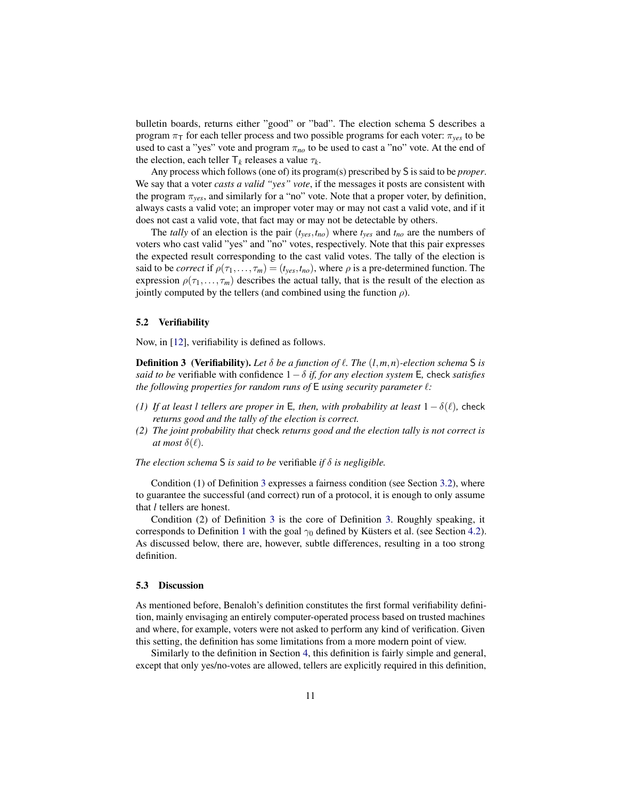bulletin boards, returns either "good" or "bad". The election schema S describes a program  $\pi$ <sub>T</sub> for each teller process and two possible programs for each voter:  $\pi_{\text{yes}}$  to be used to cast a "yes" vote and program  $\pi_{no}$  to be used to cast a "no" vote. At the end of the election, each teller  $T_k$  releases a value  $\tau_k$ .

Any process which follows (one of) its program(s) prescribed by S is said to be *proper*. We say that a voter *casts a valid "yes" vote*, if the messages it posts are consistent with the program  $\pi_{\text{ves}}$ , and similarly for a "no" vote. Note that a proper voter, by definition, always casts a valid vote; an improper voter may or may not cast a valid vote, and if it does not cast a valid vote, that fact may or may not be detectable by others.

The *tally* of an election is the pair  $(t_{yes}, t_{no})$  where  $t_{yes}$  and  $t_{no}$  are the numbers of voters who cast valid "yes" and "no" votes, respectively. Note that this pair expresses the expected result corresponding to the cast valid votes. The tally of the election is said to be *correct* if  $\rho(\tau_1,\ldots,\tau_m)=(t_{\text{yes}},t_{\text{no}})$ , where  $\rho$  is a pre-determined function. The expression  $\rho(\tau_1,\ldots,\tau_m)$  describes the actual tally, that is the result of the election as jointly computed by the tellers (and combined using the function  $\rho$ ).

## 5.2 Verifiability

<span id="page-10-0"></span>Now, in [\[12\]](#page-33-10), verifiability is defined as follows.

**Definition 3** (Verifiability). Let  $\delta$  be a function of  $\ell$ . The  $(l,m,n)$ -election schema S is *said to be* verifiable with confidence  $1-\delta$  *if, for any election system* E, check *satisfies the following properties for random runs of*  $E$  *using security parameter*  $\ell$ *:* 

- *(1)* If at least *l* tellers are proper in E, then, with probability at least  $1 \delta(\ell)$ , check *returns good and the tally of the election is correct.*
- *(2) The joint probability that* check *returns good and the election tally is not correct is at most*  $\delta(\ell)$ *.*

*The election schema* S *is said to be* verifiable *if* δ *is negligible.*

Condition (1) of Definition [3](#page-10-0) expresses a fairness condition (see Section [3.2\)](#page-5-1), where to guarantee the successful (and correct) run of a protocol, it is enough to only assume that *l* tellers are honest.

Condition (2) of Definition [3](#page-10-0) is the core of Definition [3.](#page-10-0) Roughly speaking, it corresponds to Definition [1](#page-6-0) with the goal  $\gamma_0$  defined by Küsters et al. (see Section [4.2\)](#page-7-1). As discussed below, there are, however, subtle differences, resulting in a too strong definition.

#### 5.3 Discussion

As mentioned before, Benaloh's definition constitutes the first formal verifiability definition, mainly envisaging an entirely computer-operated process based on trusted machines and where, for example, voters were not asked to perform any kind of verification. Given this setting, the definition has some limitations from a more modern point of view.

Similarly to the definition in Section [4,](#page-7-0) this definition is fairly simple and general, except that only yes/no-votes are allowed, tellers are explicitly required in this definition,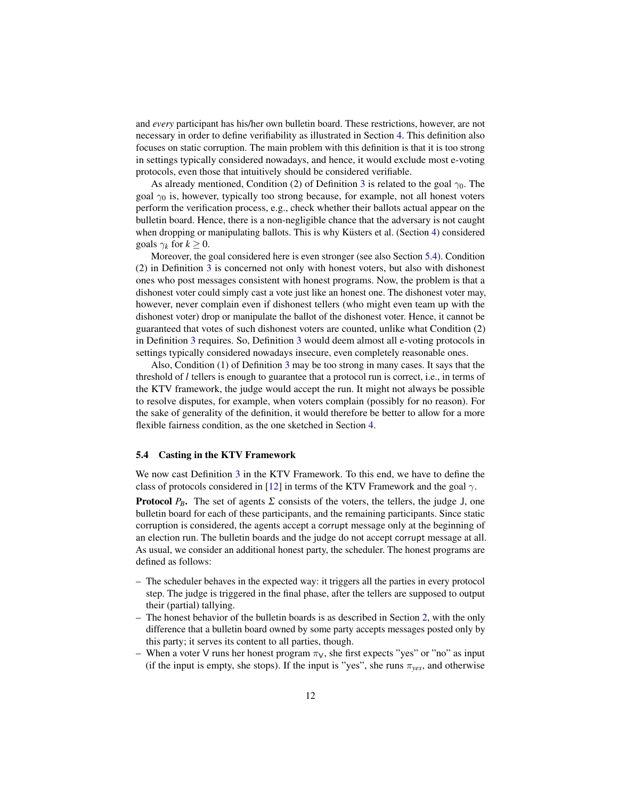and *every* participant has his/her own bulletin board. These restrictions, however, are not necessary in order to define verifiability as illustrated in Section [4.](#page-7-0) This definition also focuses on static corruption. The main problem with this definition is that it is too strong in settings typically considered nowadays, and hence, it would exclude most e-voting protocols, even those that intuitively should be considered verifiable.

As already mentioned, Condition (2) of Definition [3](#page-10-0) is related to the goal  $\gamma_0$ . The goal  $\gamma_0$  is, however, typically too strong because, for example, not all honest voters perform the verification process, e.g., check whether their ballots actual appear on the bulletin board. Hence, there is a non-negligible chance that the adversary is not caught when dropping or manipulating ballots. This is why Küsters et al. (Section [4\)](#page-7-0) considered goals  $\gamma_k$  for  $k \geq 0$ .

Moreover, the goal considered here is even stronger (see also Section [5.4\)](#page-11-0). Condition (2) in Definition [3](#page-10-0) is concerned not only with honest voters, but also with dishonest ones who post messages consistent with honest programs. Now, the problem is that a dishonest voter could simply cast a vote just like an honest one. The dishonest voter may, however, never complain even if dishonest tellers (who might even team up with the dishonest voter) drop or manipulate the ballot of the dishonest voter. Hence, it cannot be guaranteed that votes of such dishonest voters are counted, unlike what Condition (2) in Definition [3](#page-10-0) requires. So, Definition [3](#page-10-0) would deem almost all e-voting protocols in settings typically considered nowadays insecure, even completely reasonable ones.

Also, Condition (1) of Definition [3](#page-10-0) may be too strong in many cases. It says that the threshold of *l* tellers is enough to guarantee that a protocol run is correct, i.e., in terms of the KTV framework, the judge would accept the run. It might not always be possible to resolve disputes, for example, when voters complain (possibly for no reason). For the sake of generality of the definition, it would therefore be better to allow for a more flexible fairness condition, as the one sketched in Section [4.](#page-7-0)

### <span id="page-11-0"></span>5.4 Casting in the KTV Framework

We now cast Definition [3](#page-10-0) in the KTV Framework. To this end, we have to define the class of protocols considered in [\[12\]](#page-33-10) in terms of the KTV Framework and the goal  $\gamma$ .

**Protocol**  $P_B$ **.** The set of agents  $\Sigma$  consists of the voters, the tellers, the judge J, one bulletin board for each of these participants, and the remaining participants. Since static corruption is considered, the agents accept a corrupt message only at the beginning of an election run. The bulletin boards and the judge do not accept corrupt message at all. As usual, we consider an additional honest party, the scheduler. The honest programs are defined as follows:

- The scheduler behaves in the expected way: it triggers all the parties in every protocol step. The judge is triggered in the final phase, after the tellers are supposed to output their (partial) tallying.
- The honest behavior of the bulletin boards is as described in Section [2,](#page-2-0) with the only difference that a bulletin board owned by some party accepts messages posted only by this party; it serves its content to all parties, though.
- When a voter V runs her honest program  $\pi_V$ , she first expects "yes" or "no" as input (if the input is empty, she stops). If the input is "yes", she runs  $\pi_{yes}$ , and otherwise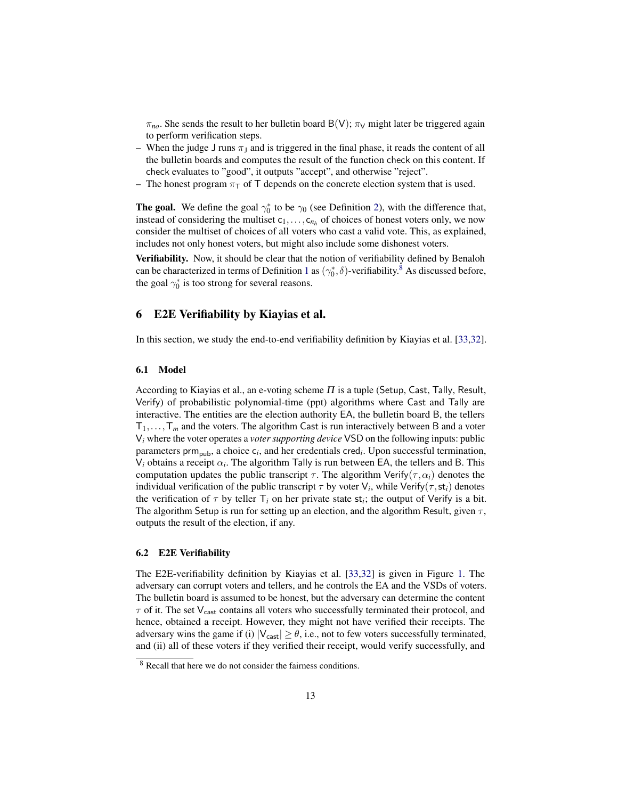$\pi_{no}$ . She sends the result to her bulletin board B(V);  $\pi_{\rm V}$  might later be triggered again to perform verification steps.

- When the judge J runs  $\pi_J$  and is triggered in the final phase, it reads the content of all the bulletin boards and computes the result of the function check on this content. If check evaluates to "good", it outputs "accept", and otherwise "reject".
- The honest program  $\pi$ <sub>T</sub> of T depends on the concrete election system that is used.

**The goal.** We define the goal  $\gamma_0^*$  to be  $\gamma_0$  (see Definition [2\)](#page-8-0), with the difference that, instead of considering the multiset  $c_1, \ldots, c_{n_h}$  of choices of honest voters only, we now consider the multiset of choices of all voters who cast a valid vote. This, as explained, includes not only honest voters, but might also include some dishonest voters.

Verifiability. Now, it should be clear that the notion of verifiability defined by Benaloh can be characterized in terms of Definition [1](#page-6-0) as  $(\gamma_0^*, \delta)$ -verifiability.<sup>[8](#page-12-0)</sup> As discussed before, the goal  $\gamma_0^*$  is too strong for several reasons.

## <span id="page-12-1"></span>6 E2E Verifiability by Kiayias et al.

In this section, we study the end-to-end verifiability definition by Kiayias et al. [\[33,](#page-35-0)[32\]](#page-35-1).

### 6.1 Model

According to Kiayias et al., an e-voting scheme  $\Pi$  is a tuple (Setup, Cast, Tally, Result, Verify) of probabilistic polynomial-time (ppt) algorithms where Cast and Tally are interactive. The entities are the election authority EA, the bulletin board B, the tellers  $T_1, \ldots, T_m$  and the voters. The algorithm Cast is run interactively between B and a voter V*<sup>i</sup>* where the voter operates a *voter supporting device* VSD on the following inputs: public parameters prm<sub>pub</sub>, a choice c<sub>i</sub>, and her credentials cred<sub>i</sub>. Upon successful termination,  $V_i$  obtains a receipt  $\alpha_i$ . The algorithm Tally is run between EA, the tellers and B. This computation updates the public transcript  $\tau$ . The algorithm Verify( $\tau$ ,  $\alpha$ <sub>i</sub>) denotes the individual verification of the public transcript  $\tau$  by voter  $V_i$ , while Verify $(\tau, st_i)$  denotes the verification of  $\tau$  by teller  $T_i$  on her private state  $st_i$ ; the output of Verify is a bit. The algorithm Setup is run for setting up an election, and the algorithm Result, given  $\tau$ , outputs the result of the election, if any.

## 6.2 E2E Verifiability

The E2E-verifiability definition by Kiayias et al. [\[33](#page-35-0)[,32\]](#page-35-1) is given in Figure [1.](#page-13-0) The adversary can corrupt voters and tellers, and he controls the EA and the VSDs of voters. The bulletin board is assumed to be honest, but the adversary can determine the content  $\tau$  of it. The set  $V_{\text{cast}}$  contains all voters who successfully terminated their protocol, and hence, obtained a receipt. However, they might not have verified their receipts. The adversary wins the game if (i)  $|V_{\text{cast}}| \ge \theta$ , i.e., not to few voters successfully terminated, and (ii) all of these voters if they verified their receipt, would verify successfully, and

<span id="page-12-0"></span><sup>8</sup> Recall that here we do not consider the fairness conditions.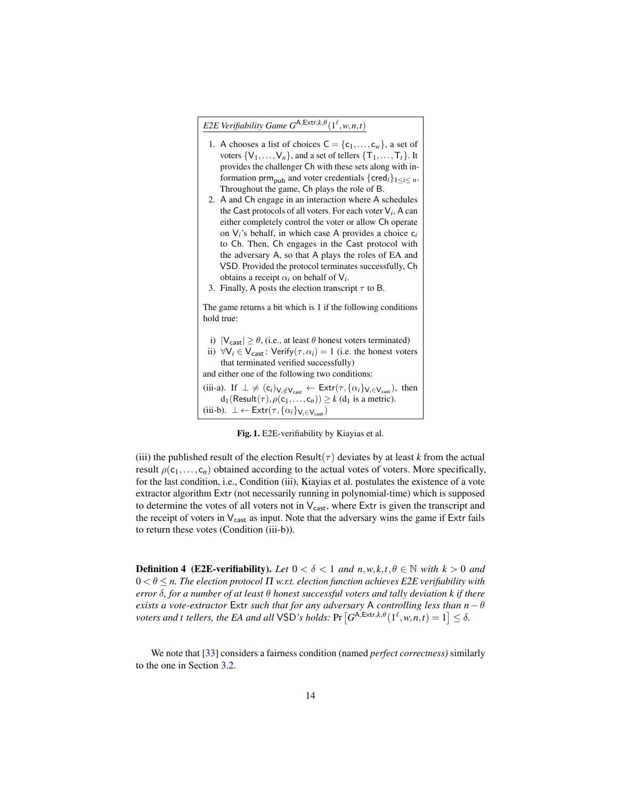$E2E$  Verifiability Game  $G^{A, \text{Ext}r,k, \theta}(1^{\ell}, w, n, t)$ 

- 1. A chooses a list of choices  $C = \{c_1, \ldots, c_w\}$ , a set of voters  $\{V_1, \ldots, V_n\}$ , and a set of tellers  $\{T_1, \ldots, T_t\}$ . It provides the challenger Ch with these sets along with information prm<sub>pub</sub> and voter credentials  $\{ \text{cred}_i \}_{1 \leq i \leq n}$ . Throughout the game, Ch plays the role of B.
- 2. A and Ch engage in an interaction where A schedules the Cast protocols of all voters. For each voter V*<sup>i</sup>* , A can either completely control the voter or allow Ch operate on V*i*'s behalf, in which case A provides a choice c*<sup>i</sup>* to Ch. Then, Ch engages in the Cast protocol with the adversary A, so that A plays the roles of EA and VSD. Provided the protocol terminates successfully, Ch obtains a receipt  $\alpha_i$  on behalf of  $V_i$ .
- 3. Finally, A posts the election transcript  $\tau$  to B.

The game returns a bit which is 1 if the following conditions hold true:

- i)  $|V_{\text{cast}}| \ge \theta$ , (i.e., at least  $\theta$  honest voters terminated)
- ii)  $\forall V_i \in V_{\text{cast}}$ : Verify $(\tau, \alpha_i) = 1$  (i.e. the honest voters that terminated verified successfully)

and either one of the following two conditions:

(iii-a). If  $\bot \neq (c_i)_{V_i \notin V_{\text{cast}}} \leftarrow \text{Extr}(\tau, {\alpha_i}_{V_i \in V_{\text{cast}}}),$  then  $d_1$ (Result( $\tau$ ),  $\rho$ ( $c_1, \ldots, c_n$ ))  $\geq k$  ( $d_1$  is a metric). (iii-b).  $\bot \leftarrow \text{Extr}(\tau, \{\alpha_i\}_{\mathsf{V}_i \in \mathsf{V}_{\text{cast}}})$ 

<span id="page-13-0"></span>

| Fig. 1. E2E-verifiability by Kiayias et al. |  |  |  |
|---------------------------------------------|--|--|--|
|---------------------------------------------|--|--|--|

(iii) the published result of the election Result( $\tau$ ) deviates by at least *k* from the actual result  $\rho(c_1,..., c_n)$  obtained according to the actual votes of voters. More specifically, for the last condition, i.e., Condition (iii), Kiayias et al. postulates the existence of a vote extractor algorithm Extr (not necessarily running in polynomial-time) which is supposed to determine the votes of all voters not in  $V_{\text{cast}}$ , where Extr is given the transcript and the receipt of voters in  $V_{\text{cast}}$  as input. Note that the adversary wins the game if Extr fails to return these votes (Condition (iii-b)).

<span id="page-13-1"></span>**Definition 4** (E2E-verifiability). Let  $0 < \delta < 1$  and  $n, w, k, t, \theta \in \mathbb{N}$  with  $k > 0$  and 0 < θ ≤ *n. The election protocol* Π *w.r.t. election function achieves E2E verifiability with error* δ*, for a number of at least* θ *honest successful voters and tally deviation k if there exists a vote-extractor* Extr *such that for any adversary* A *controlling less than n*−θ *voters and t tellers, the EA and all* VSD's *holds:*  $Pr\left[G^{A, Ext, k, \theta}(1^{\ell}, w, n, t) = 1\right] \leq \delta$ .

We note that [\[33\]](#page-35-0) considers a fairness condition (named *perfect correctness)* similarly to the one in Section [3.2.](#page-5-1)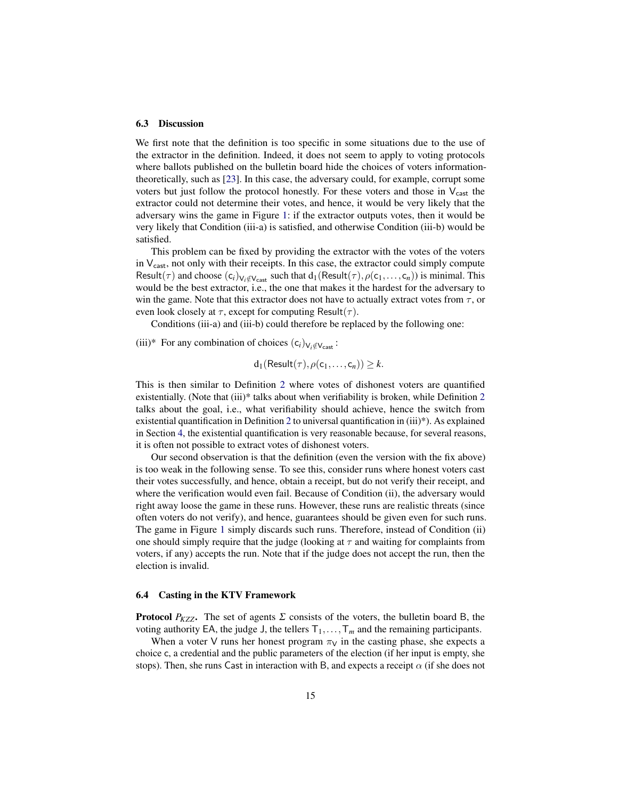#### 6.3 Discussion

We first note that the definition is too specific in some situations due to the use of the extractor in the definition. Indeed, it does not seem to apply to voting protocols where ballots published on the bulletin board hide the choices of voters informationtheoretically, such as [\[23\]](#page-34-10). In this case, the adversary could, for example, corrupt some voters but just follow the protocol honestly. For these voters and those in  $V_{\text{cast}}$  the extractor could not determine their votes, and hence, it would be very likely that the adversary wins the game in Figure [1:](#page-13-0) if the extractor outputs votes, then it would be very likely that Condition (iii-a) is satisfied, and otherwise Condition (iii-b) would be satisfied.

This problem can be fixed by providing the extractor with the votes of the voters in  $V_{\text{cast}}$ , not only with their receipts. In this case, the extractor could simply compute Result( $\tau$ ) and choose  $(c_i)_{V_i \notin V_{\text{cast}}}$  such that  $d_1(\text{Result}(\tau), \rho(c_1, \ldots, c_n))$  is minimal. This would be the best extractor, i.e., the one that makes it the hardest for the adversary to win the game. Note that this extractor does not have to actually extract votes from  $\tau$ , or even look closely at  $\tau$ , except for computing Result( $\tau$ ).

Conditions (iii-a) and (iii-b) could therefore be replaced by the following one:

(iii)\* For any combination of choices  $(c_i)_{V_i \notin V_{\text{cast}}}$ :

$$
d_1(\text{Result}(\tau), \rho(c_1, \ldots, c_n)) \geq k.
$$

This is then similar to Definition [2](#page-8-0) where votes of dishonest voters are quantified existentially. (Note that (iii)\* talks about when verifiability is broken, while Definition [2](#page-8-0) talks about the goal, i.e., what verifiability should achieve, hence the switch from existential quantification in Definition [2](#page-8-0) to universal quantification in (iii)\*). As explained in Section [4,](#page-7-0) the existential quantification is very reasonable because, for several reasons, it is often not possible to extract votes of dishonest voters.

Our second observation is that the definition (even the version with the fix above) is too weak in the following sense. To see this, consider runs where honest voters cast their votes successfully, and hence, obtain a receipt, but do not verify their receipt, and where the verification would even fail. Because of Condition (ii), the adversary would right away loose the game in these runs. However, these runs are realistic threats (since often voters do not verify), and hence, guarantees should be given even for such runs. The game in Figure [1](#page-13-0) simply discards such runs. Therefore, instead of Condition (ii) one should simply require that the judge (looking at  $\tau$  and waiting for complaints from voters, if any) accepts the run. Note that if the judge does not accept the run, then the election is invalid.

### 6.4 Casting in the KTV Framework

**Protocol**  $P_{KZZ}$ . The set of agents  $\Sigma$  consists of the voters, the bulletin board B, the voting authority EA, the judge J, the tellers  $T_1, \ldots, T_m$  and the remaining participants.

When a voter V runs her honest program  $\pi<sub>V</sub>$  in the casting phase, she expects a choice c, a credential and the public parameters of the election (if her input is empty, she stops). Then, she runs Cast in interaction with B, and expects a receipt  $\alpha$  (if she does not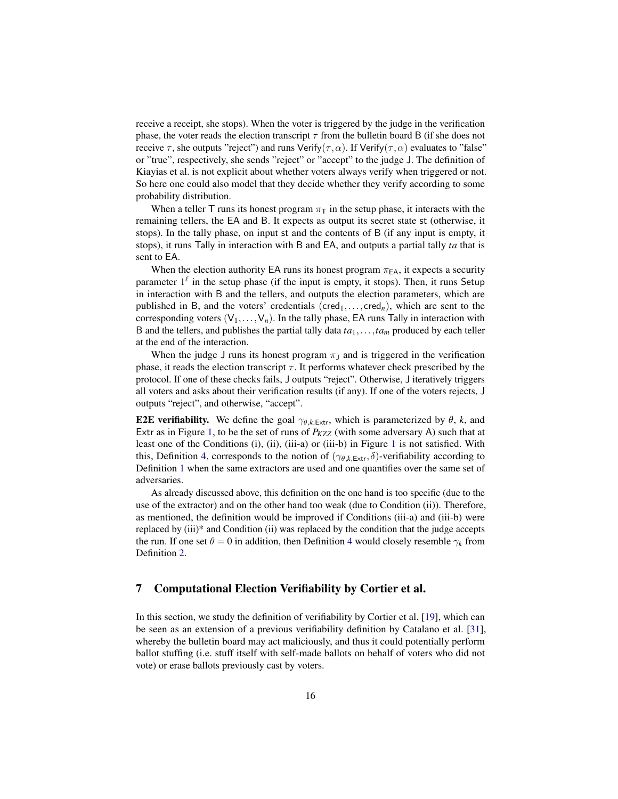receive a receipt, she stops). When the voter is triggered by the judge in the verification phase, the voter reads the election transcript  $\tau$  from the bulletin board B (if she does not receive  $\tau$ , she outputs "reject") and runs Verify( $\tau, \alpha$ ). If Verify( $\tau, \alpha$ ) evaluates to "false" or "true", respectively, she sends "reject" or "accept" to the judge J. The definition of Kiayias et al. is not explicit about whether voters always verify when triggered or not. So here one could also model that they decide whether they verify according to some probability distribution.

When a teller T runs its honest program  $\pi$ <sub>T</sub> in the setup phase, it interacts with the remaining tellers, the EA and B. It expects as output its secret state st (otherwise, it stops). In the tally phase, on input st and the contents of B (if any input is empty, it stops), it runs Tally in interaction with B and EA, and outputs a partial tally *ta* that is sent to EA.

When the election authority EA runs its honest program  $\pi_{EA}$ , it expects a security parameter  $1^{\ell}$  in the setup phase (if the input is empty, it stops). Then, it runs Setup in interaction with B and the tellers, and outputs the election parameters, which are published in B, and the voters' credentials  $(\text{cred}_1, \ldots, \text{cred}_n)$ , which are sent to the corresponding voters  $(V_1,...,V_n)$ . In the tally phase, EA runs Tally in interaction with B and the tellers, and publishes the partial tally data  $ta_1, \ldots, ta_m$  produced by each teller at the end of the interaction.

When the judge J runs its honest program  $\pi_J$  and is triggered in the verification phase, it reads the election transcript  $\tau$ . It performs whatever check prescribed by the protocol. If one of these checks fails, J outputs "reject". Otherwise, J iteratively triggers all voters and asks about their verification results (if any). If one of the voters rejects, J outputs "reject", and otherwise, "accept".

**E2E verifiability.** We define the goal  $\gamma_{\theta,k,\text{Ext}}$ , which is parameterized by  $\theta$ , k, and Extr as in Figure [1,](#page-13-0) to be the set of runs of  $P_{KZZ}$  (with some adversary A) such that at least one of the Conditions (i), (ii), (iii-a) or (iii-b) in Figure [1](#page-13-0) is not satisfied. With this, Definition [4,](#page-13-1) corresponds to the notion of  $(\gamma_{\theta,k, \text{Extr}}, \delta)$ -verifiability according to Definition [1](#page-6-0) when the same extractors are used and one quantifies over the same set of adversaries.

As already discussed above, this definition on the one hand is too specific (due to the use of the extractor) and on the other hand too weak (due to Condition (ii)). Therefore, as mentioned, the definition would be improved if Conditions (iii-a) and (iii-b) were replaced by (iii)\* and Condition (ii) was replaced by the condition that the judge accepts the run. If one set  $\theta = 0$  in addition, then Definition [4](#page-13-1) would closely resemble  $\gamma_k$  from Definition [2.](#page-8-0)

## <span id="page-15-0"></span>7 Computational Election Verifiability by Cortier et al.

In this section, we study the definition of verifiability by Cortier et al. [\[19\]](#page-34-4), which can be seen as an extension of a previous verifiability definition by Catalano et al. [\[31\]](#page-34-8), whereby the bulletin board may act maliciously, and thus it could potentially perform ballot stuffing (i.e. stuff itself with self-made ballots on behalf of voters who did not vote) or erase ballots previously cast by voters.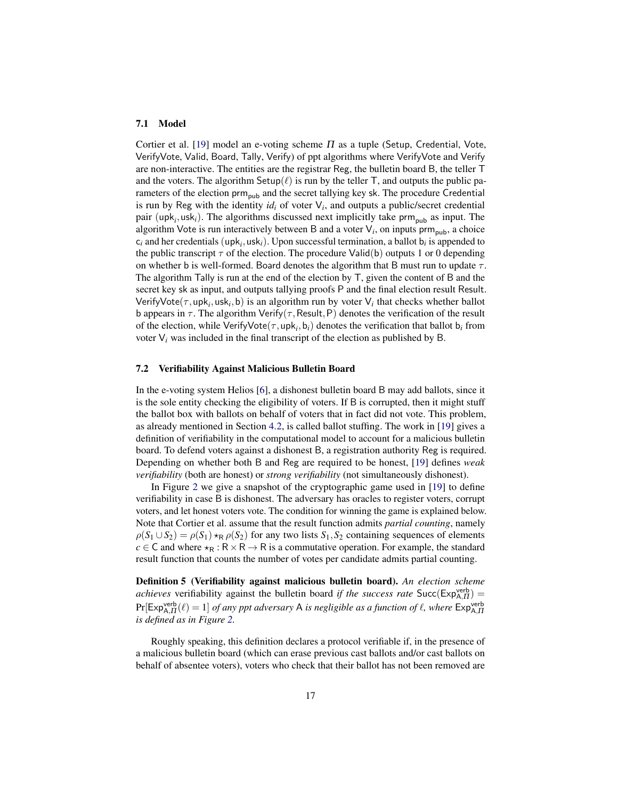### 7.1 Model

Cortier et al. [\[19\]](#page-34-4) model an e-voting scheme  $\Pi$  as a tuple (Setup, Credential, Vote, VerifyVote, Valid, Board, Tally, Verify) of ppt algorithms where VerifyVote and Verify are non-interactive. The entities are the registrar Reg, the bulletin board B, the teller T and the voters. The algorithm  $\mathsf{Setup}(\ell)$  is run by the teller T, and outputs the public parameters of the election  $\text{prm}_{\text{pub}}$  and the secret tallying key sk. The procedure Credential is run by Reg with the identity *id<sup>i</sup>* of voter V*<sup>i</sup>* , and outputs a public/secret credential pair ( $upk_i, usk_i$ ). The algorithms discussed next implicitly take  $\text{prm}_{pub}$  as input. The algorithm Vote is run interactively between B and a voter  $V_i$ , on inputs  $\text{prm}_{\text{pub}}$ , a choice  $c_i$  and her credentials  $(\mathsf{upk}_i, \mathsf{usk}_i)$ . Upon successful termination, a ballot  $\mathsf{b}_i$  is appended to the public transcript  $\tau$  of the election. The procedure Valid(b) outputs 1 or 0 depending on whether b is well-formed. Board denotes the algorithm that B must run to update  $\tau$ . The algorithm Tally is run at the end of the election by T, given the content of B and the secret key sk as input, and outputs tallying proofs P and the final election result Result. VerifyVote( $\tau$ , upk<sub>*i*</sub>, usk<sub>*i*</sub>, b) is an algorithm run by voter V<sub>*i*</sub> that checks whether ballot b appears in  $\tau$ . The algorithm Verify( $\tau$ , Result, P) denotes the verification of the result of the election, while  $VerifyNote(\tau, \text{upk}_i, \text{b}_i)$  denotes the verification that ballot  $\text{b}_i$  from voter  $V_i$  was included in the final transcript of the election as published by B.

#### 7.2 Verifiability Against Malicious Bulletin Board

In the e-voting system Helios [\[6\]](#page-33-4), a dishonest bulletin board B may add ballots, since it is the sole entity checking the eligibility of voters. If B is corrupted, then it might stuff the ballot box with ballots on behalf of voters that in fact did not vote. This problem, as already mentioned in Section [4.2,](#page-7-1) is called ballot stuffing. The work in [\[19\]](#page-34-4) gives a definition of verifiability in the computational model to account for a malicious bulletin board. To defend voters against a dishonest B, a registration authority Reg is required. Depending on whether both B and Reg are required to be honest, [\[19\]](#page-34-4) defines *weak verifiability* (both are honest) or *strong verifiability* (not simultaneously dishonest).

In Figure [2](#page-17-0) we give a snapshot of the cryptographic game used in [\[19\]](#page-34-4) to define verifiability in case B is dishonest. The adversary has oracles to register voters, corrupt voters, and let honest voters vote. The condition for winning the game is explained below. Note that Cortier et al. assume that the result function admits *partial counting*, namely  $\rho(S_1 \cup S_2) = \rho(S_1) \star_R \rho(S_2)$  for any two lists  $S_1, S_2$  containing sequences of elements  $c \in \mathsf{C}$  and where  $\star_{\mathsf{R}} : \mathsf{R} \times \mathsf{R} \to \mathsf{R}$  is a commutative operation. For example, the standard result function that counts the number of votes per candidate admits partial counting.

<span id="page-16-0"></span>Definition 5 (Verifiability against malicious bulletin board). *An election scheme achieves* verifiability against the bulletin board *if the success rate*  $Succ(Exp_{A,\Pi}^{verb})$  =  $Pr[\text{Exp}_{A,\Pi}^{\text{verb}}(\ell)=1]$  *of any ppt adversary* A *is negligible as a function of*  $\ell$ , where  $\text{Exp}_{A,\Pi}^{\text{verb}}$ *is defined as in Figure [2.](#page-17-0)*

Roughly speaking, this definition declares a protocol verifiable if, in the presence of a malicious bulletin board (which can erase previous cast ballots and/or cast ballots on behalf of absentee voters), voters who check that their ballot has not been removed are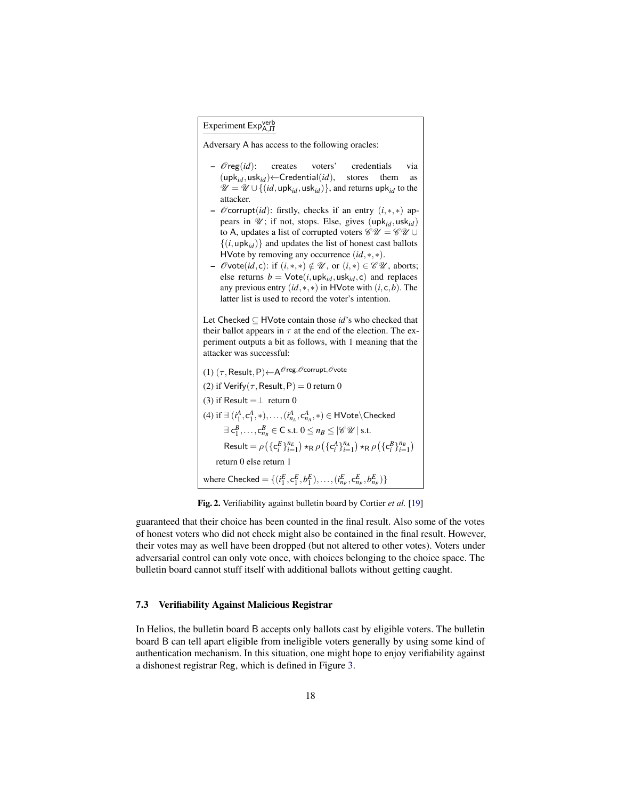Experiment Exp<sup>verb</sup><sub>A,Π</sub>

Adversary A has access to the following oracles:

- Oreg(*id*): creates voters' credentials via  $(\text{upk}_{id}, \text{usk}_{id}) \leftarrow$ Credential $(id)$ , stores them as  $\mathcal{U} = \mathcal{U} \cup \{ (id, \text{upk}_{id}, \text{usk}_{id}) \},$  and returns upk<sub>id</sub> to the attacker.
- Ocorrupt(*id*): firstly, checks if an entry (*i*,∗,∗) appears in  $\mathcal{U}$ ; if not, stops. Else, gives (upk<sub>id</sub>, usk<sub>id</sub>) to A, updates a list of corrupted voters  $\mathscr{CU} = \mathscr{CU} \cup$  $\{(i, \text{upk}_{id})\}$  and updates the list of honest cast ballots HVote by removing any occurrence (*id*,∗,∗).
- $\mathcal{O}$ vote(*id*, c): if (*i*, \*, \*) ∉  $\mathcal{U}$ , or (*i*, \*) ∈  $\mathcal{C}\mathcal{U}$ , aborts; else returns  $b = \text{Vote}(i, \text{upk}_{id}, \text{usk}_{id}, c)$  and replaces any previous entry (*id*,∗,∗) in HVote with (*i*,c,*b*). The latter list is used to record the voter's intention.

Let Checked ⊆ HVote contain those *id*'s who checked that their ballot appears in  $\tau$  at the end of the election. The experiment outputs a bit as follows, with 1 meaning that the attacker was successful:

 $(1)$   $(\tau, \mathsf{Result}, \mathsf{P}) {\leftarrow} \mathsf{A}^{\mathscr{O}\mathsf{reg},\mathscr{O}\mathsf{corrupt},\mathscr{O}\mathsf{vote}}$ (2) if Verify( $\tau$ , Result, P) = 0 return 0 (3) if Result  $=\perp$  return 0  $(4)$  if  $\exists$   $(i_1^A, c_1^A, *)$ ,..., $(i_{n_A}^A, c_{n_A}^A, *) \in \mathsf{HVote}\backslash \mathsf{Checked}$  $\exists$  **c**<sup>*B*</sup><sub>1</sub>,..., **c**<sup>*B*<sub>*R*</sub><sub>*B*</sub>  $\in$  **C** s.t.  $0 \le n_B \le |\mathscr{C}\mathscr{U}|$  s.t.</sup>  $\text{Result} = \rho \left( \{ \mathsf{c}^E_i \}_{i=1}^{n_E} \right) \star_{\mathsf{R}} \rho \left( \{ \mathsf{c}^A_i \}_{i=1}^{n_A} \right) \star_{\mathsf{R}} \rho \left( \{ \mathsf{c}^B_i \}_{i=1}^{n_B} \right)$ return 0 else return 1  $\text{where} \ \mathsf{Checked} = \{ (i^E_1, \mathsf{c}^E_1, b^E_1), \ldots, (i^E_{n_E}, \mathsf{c}^E_{n_E}, b^E_{n_E}) \}$ 

<span id="page-17-0"></span>

guaranteed that their choice has been counted in the final result. Also some of the votes of honest voters who did not check might also be contained in the final result. However, their votes may as well have been dropped (but not altered to other votes). Voters under adversarial control can only vote once, with choices belonging to the choice space. The bulletin board cannot stuff itself with additional ballots without getting caught.

## 7.3 Verifiability Against Malicious Registrar

<span id="page-17-1"></span>In Helios, the bulletin board B accepts only ballots cast by eligible voters. The bulletin board B can tell apart eligible from ineligible voters generally by using some kind of authentication mechanism. In this situation, one might hope to enjoy verifiability against a dishonest registrar Reg, which is defined in Figure [3.](#page-18-0)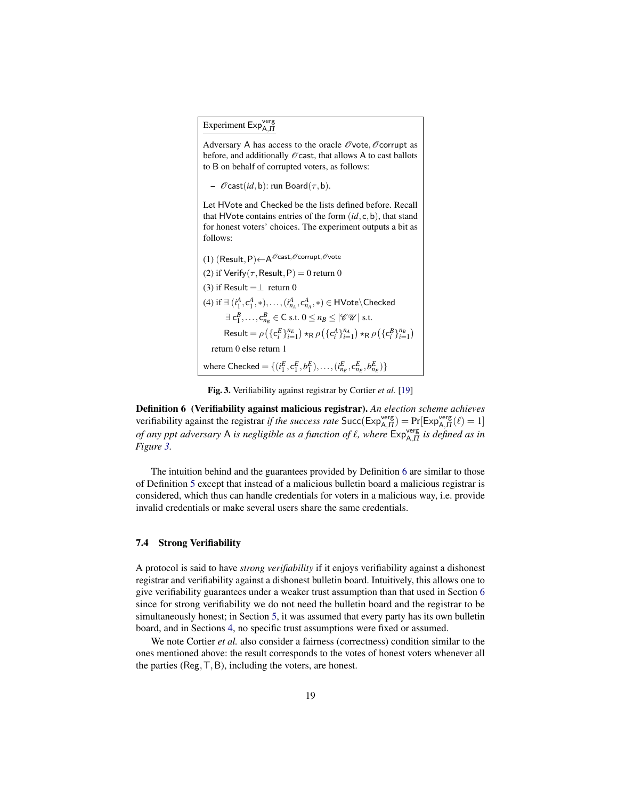Experiment  $\mathsf{Exp}_{\mathsf{A},\Pi}^{\mathsf{verg}}$ 

Adversary A has access to the oracle  $\mathcal O$ vote,  $\mathcal O$ corrupt as before, and additionally  $\mathcal O$  cast, that allows A to cast ballots to B on behalf of corrupted voters, as follows:

 $\mathscr{O}$ cast(*id*, b): run Board( $\tau$ , b).

Let HVote and Checked be the lists defined before. Recall that HVote contains entries of the form (*id*,c,b), that stand for honest voters' choices. The experiment outputs a bit as follows:

 $(1)$   $(\mathsf{Result}, \mathsf{P}){\leftarrow}\mathsf{A}^{\mathscr{O}\mathsf{cast},\mathscr{O}\mathsf{corrupt},\mathscr{O}\mathsf{vote}}$ (2) if Verify( $\tau$ , Result, P) = 0 return 0 (3) if Result  $=\perp$  return 0  $(4)$  if  $\exists$   $(i_1^A, c_1^A, *)$ ,..., $(i_{n_A}^A, c_{n_A}^A, *) \in \mathsf{HVote}\backslash \mathsf{Checked}$  $\exists$  **c**<sup>*B*</sup><sub>1</sub>,...,**c**<sup>*B*<sub>*n*<sub>*B*</sub></del>  $\in$  **C** s.t.  $0 \le n_B \le |\mathscr{C}\mathscr{U}|$  s.t.</sup></sub>  $\text{Result} = \rho \left( \{ \mathsf{c}^E_i \}_{i=1}^{n_E} \right) \star_{\mathsf{R}} \rho \left( \{ \mathsf{c}^A_i \}_{i=1}^{n_A} \right) \star_{\mathsf{R}} \rho \left( \{ \mathsf{c}^B_i \}_{i=1}^{n_B} \right)$ return 0 else return 1 where  $\text{Checked} = \{ (i_1^E, c_1^E, b_1^E), \ldots, (i_{n_E}^E, c_{n_E}^E, b_{n_E}^E) \}$ 

<span id="page-18-0"></span>Fig. 3. Verifiability against registrar by Cortier *et al.* [\[19\]](#page-34-4)

Definition 6 (Verifiability against malicious registrar). *An election scheme achieves* verifiability against the registrar *if the success rate*  $Succ(Exp_{A,\Pi}^{verg}) = Pr[Exp_{A,\Pi}^{verg}(\ell) = 1]$ of any ppt adversary A is negligible as a function of  $\ell$ , where  $Exp_{A,\Pi}^{\text{verg}}$  is defined as in *Figure [3.](#page-18-0)*

The intuition behind and the guarantees provided by Definition [6](#page-17-1) are similar to those of Definition [5](#page-16-0) except that instead of a malicious bulletin board a malicious registrar is considered, which thus can handle credentials for voters in a malicious way, i.e. provide invalid credentials or make several users share the same credentials.

## 7.4 Strong Verifiability

A protocol is said to have *strong verifiability* if it enjoys verifiability against a dishonest registrar and verifiability against a dishonest bulletin board. Intuitively, this allows one to give verifiability guarantees under a weaker trust assumption than that used in Section [6](#page-12-1) since for strong verifiability we do not need the bulletin board and the registrar to be simultaneously honest; in Section [5,](#page-9-0) it was assumed that every party has its own bulletin board, and in Sections [4,](#page-7-0) no specific trust assumptions were fixed or assumed.

We note Cortier *et al.* also consider a fairness (correctness) condition similar to the ones mentioned above: the result corresponds to the votes of honest voters whenever all the parties  $(Reg, T, B)$ , including the voters, are honest.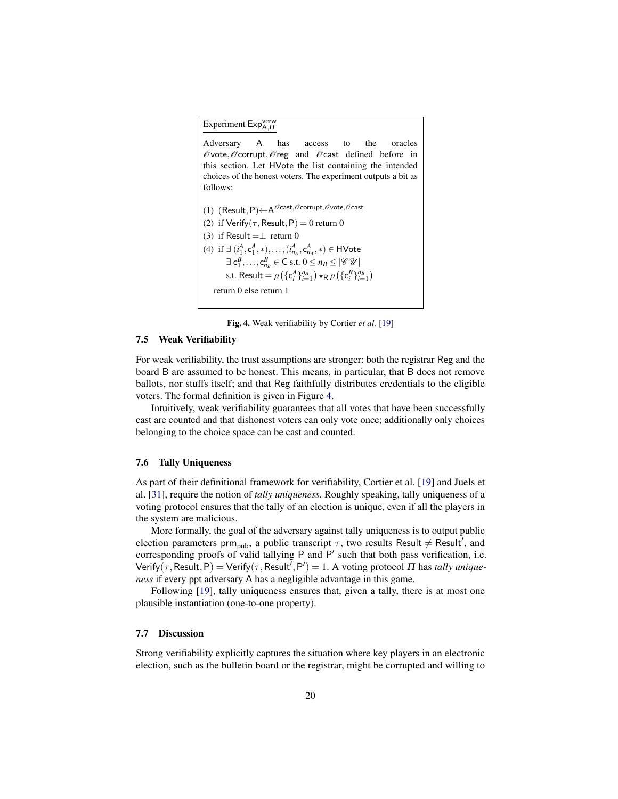Experiment Exp<sup>verw</sup>

Adversary A has access to the oracles  $\mathcal O$ vote,  $\mathcal O$ corrupt,  $\mathcal O$ reg and  $\mathcal O$ cast defined before in this section. Let HVote the list containing the intended choices of the honest voters. The experiment outputs a bit as follows:

 $(1)$   $(\mathsf{Result}, \mathsf{P}){\leftarrow}\mathsf{A}^{\mathscr{O}\mathsf{cast},\mathscr{O}\mathsf{corrupt},\mathscr{O}\mathsf{vote},\mathscr{O}\mathsf{cast}}$ (2) if Verify( $\tau$ , Result, P) = 0 return 0 (3) if Result  $=\perp$  return 0 (4) if  $\exists$  ( $i_1^A, c_1^A, *,$ ),...,( $i_{n_A}^A, c_{n_A}^A, *$ ) ∈ HVote  $\exists$  **c**<sup>B</sup><sub>1</sub>,...,**c**<sup>B</sup><sub>nB</sub>  $\in$  **C** s.t.  $0 \le n_B \le |\mathscr{C}\mathscr{U}|$ s.t. Result =  $\rho\left(\{\mathsf{c}_i^A\}_{i=1}^{n_A}\right) \star_{\mathsf{R}} \rho\left(\{\mathsf{c}_i^B\}_{i=1}^{n_B}\right)$ return 0 else return 1

<span id="page-19-0"></span>Fig. 4. Weak verifiability by Cortier *et al.* [\[19\]](#page-34-4)

## 7.5 Weak Verifiability

For weak verifiability, the trust assumptions are stronger: both the registrar Reg and the board B are assumed to be honest. This means, in particular, that B does not remove ballots, nor stuffs itself; and that Reg faithfully distributes credentials to the eligible voters. The formal definition is given in Figure [4.](#page-19-0)

Intuitively, weak verifiability guarantees that all votes that have been successfully cast are counted and that dishonest voters can only vote once; additionally only choices belonging to the choice space can be cast and counted.

## 7.6 Tally Uniqueness

As part of their definitional framework for verifiability, Cortier et al. [\[19\]](#page-34-4) and Juels et al. [\[31\]](#page-34-8), require the notion of *tally uniqueness*. Roughly speaking, tally uniqueness of a voting protocol ensures that the tally of an election is unique, even if all the players in the system are malicious.

More formally, the goal of the adversary against tally uniqueness is to output public election parameters prm<sub>pub</sub>, a public transcript  $\tau$ , two results Result  $\neq$  Result<sup>7</sup>, and corresponding proofs of valid tallying  $P$  and  $P'$  such that both pass verification, i.e.  $Verify(\tau, Result, P) = Verify(\tau, Result^T, P') = 1.$  A voting protocol  $\Pi$  has *tally uniqueness* if every ppt adversary A has a negligible advantage in this game.

Following [\[19\]](#page-34-4), tally uniqueness ensures that, given a tally, there is at most one plausible instantiation (one-to-one property).

## <span id="page-19-1"></span>7.7 Discussion

Strong verifiability explicitly captures the situation where key players in an electronic election, such as the bulletin board or the registrar, might be corrupted and willing to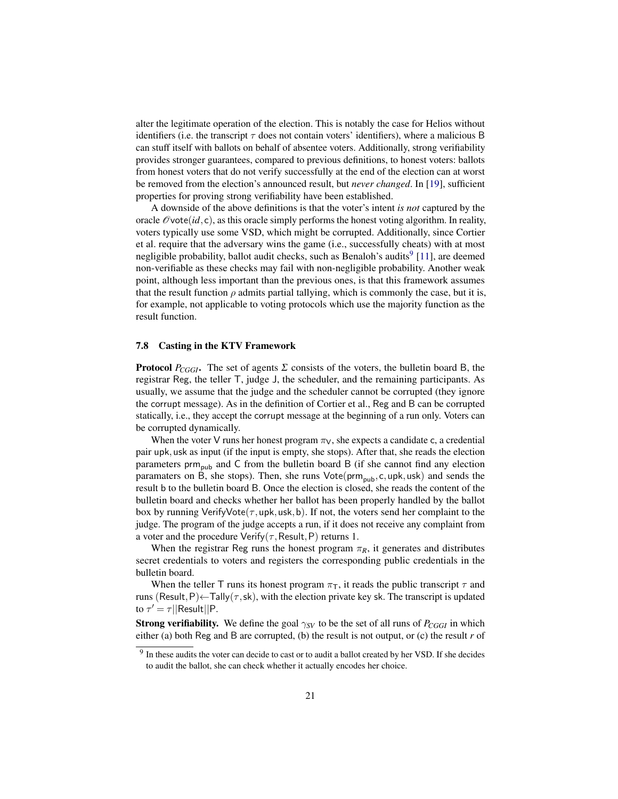alter the legitimate operation of the election. This is notably the case for Helios without identifiers (i.e. the transcript  $\tau$  does not contain voters' identifiers), where a malicious B can stuff itself with ballots on behalf of absentee voters. Additionally, strong verifiability provides stronger guarantees, compared to previous definitions, to honest voters: ballots from honest voters that do not verify successfully at the end of the election can at worst be removed from the election's announced result, but *never changed*. In [\[19\]](#page-34-4), sufficient properties for proving strong verifiability have been established.

A downside of the above definitions is that the voter's intent *is not* captured by the oracle  $\mathcal{O}$ vote( $id$ , c), as this oracle simply performs the honest voting algorithm. In reality, voters typically use some VSD, which might be corrupted. Additionally, since Cortier et al. require that the adversary wins the game (i.e., successfully cheats) with at most negligible probability, ballot audit checks, such as Benaloh's audits<sup>[9](#page-20-0)</sup> [\[11\]](#page-33-12), are deemed non-verifiable as these checks may fail with non-negligible probability. Another weak point, although less important than the previous ones, is that this framework assumes that the result function  $\rho$  admits partial tallying, which is commonly the case, but it is, for example, not applicable to voting protocols which use the majority function as the result function.

#### 7.8 Casting in the KTV Framework

**Protocol** *P<sub>CGGI</sub>*. The set of agents  $\Sigma$  consists of the voters, the bulletin board B, the registrar Reg, the teller T, judge J, the scheduler, and the remaining participants. As usually, we assume that the judge and the scheduler cannot be corrupted (they ignore the corrupt message). As in the definition of Cortier et al., Reg and B can be corrupted statically, i.e., they accept the corrupt message at the beginning of a run only. Voters can be corrupted dynamically.

When the voter V runs her honest program  $\pi_V$ , she expects a candidate c, a credential pair upk,usk as input (if the input is empty, she stops). After that, she reads the election parameters  $\text{prm}_{\text{pub}}$  and C from the bulletin board B (if she cannot find any election paramaters on B, she stops). Then, she runs  $\text{Vote}(prm_{pub}, c, \text{upk}, \text{usk})$  and sends the result b to the bulletin board B. Once the election is closed, she reads the content of the bulletin board and checks whether her ballot has been properly handled by the ballot box by running VerifyVote( $\tau$ , upk, usk, b). If not, the voters send her complaint to the judge. The program of the judge accepts a run, if it does not receive any complaint from a voter and the procedure Verify( $\tau$ , Result, P) returns 1.

When the registrar Reg runs the honest program  $\pi_R$ , it generates and distributes secret credentials to voters and registers the corresponding public credentials in the bulletin board.

When the teller T runs its honest program  $\pi$ , it reads the public transcript  $\tau$  and runs (Result, P)←Tally( $\tau$ , sk), with the election private key sk. The transcript is updated to  $\tau' = \tau ||$ Result $||P$ .

**Strong verifiability.** We define the goal  $\gamma_{SV}$  to be the set of all runs of  $P_{CGGI}$  in which either (a) both Reg and B are corrupted, (b) the result is not output, or (c) the result *r* of

<span id="page-20-0"></span><sup>&</sup>lt;sup>9</sup> In these audits the voter can decide to cast or to audit a ballot created by her VSD. If she decides to audit the ballot, she can check whether it actually encodes her choice.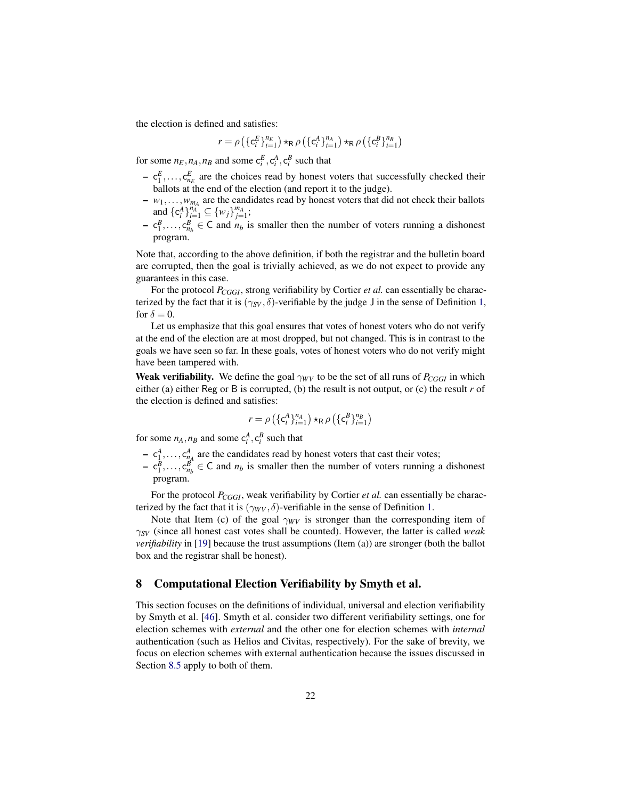the election is defined and satisfies:

$$
r = \rho\left(\left\{\mathbf{c}_i^E\right\}_{i=1}^{n_E}\right) \star_{\mathsf{R}} \rho\left(\left\{\mathbf{c}_i^A\right\}_{i=1}^{n_A}\right) \star_{\mathsf{R}} \rho\left(\left\{\mathbf{c}_i^B\right\}_{i=1}^{n_B}\right)
$$

for some  $n_E, n_A, n_B$  and some  $c_i^E, c_i^A, c_i^B$  such that

- $-c_1^E, \ldots, c_{n_E}^E$  are the choices read by honest voters that successfully checked their ballots at the end of the election (and report it to the judge).
- $w_1, \ldots, w_{m_A}$  are the candidates read by honest voters that did not check their ballots and  $\{c_i^A\}_{i=1}^{n_A} \subseteq \{w_j\}_{j=1}^{m_A};$
- $-c_1^B, \ldots, c_{n_b}^B \in \mathbb{C}$  and  $n_b$  is smaller then the number of voters running a dishonest program.

Note that, according to the above definition, if both the registrar and the bulletin board are corrupted, then the goal is trivially achieved, as we do not expect to provide any guarantees in this case.

For the protocol *PCGGI*, strong verifiability by Cortier *et al.* can essentially be characterized by the fact that it is  $(\gamma_{SV}, \delta)$ -verifiable by the judge J in the sense of Definition [1,](#page-6-0) for  $\delta = 0$ .

Let us emphasize that this goal ensures that votes of honest voters who do not verify at the end of the election are at most dropped, but not changed. This is in contrast to the goals we have seen so far. In these goals, votes of honest voters who do not verify might have been tampered with.

**Weak verifiability.** We define the goal  $\gamma_{WV}$  to be the set of all runs of  $P_{CGGI}$  in which either (a) either Reg or B is corrupted, (b) the result is not output, or (c) the result *r* of the election is defined and satisfies:

$$
r = \rho\left(\left\{\mathbf{c}_i^A\right\}_{i=1}^{n_A}\right) \star_{\mathsf{R}} \rho\left(\left\{\mathbf{c}_i^B\right\}_{i=1}^{n_B}\right)
$$

for some  $n_A, n_B$  and some  $c_i^A, c_i^B$  such that

- $\sigma_1^A, \ldots, \sigma_{n_A}^A$  are the candidates read by honest voters that cast their votes;
- $-c_1^B, \ldots, c_{n_b}^B \in \mathbb{C}$  and  $n_b$  is smaller then the number of voters running a dishonest program.

For the protocol *P<sub>CGGI</sub>*, weak verifiability by Cortier *et al.* can essentially be characterized by the fact that it is  $(\gamma_{WV}, \delta)$ -verifiable in the sense of Definition [1.](#page-6-0)

Note that Item (c) of the goal  $\gamma_{WV}$  is stronger than the corresponding item of γ*SV* (since all honest cast votes shall be counted). However, the latter is called *weak verifiability* in [\[19\]](#page-34-4) because the trust assumptions (Item (a)) are stronger (both the ballot box and the registrar shall be honest).

## <span id="page-21-0"></span>8 Computational Election Verifiability by Smyth et al.

This section focuses on the definitions of individual, universal and election verifiability by Smyth et al. [\[46\]](#page-35-5). Smyth et al. consider two different verifiability settings, one for election schemes with *external* and the other one for election schemes with *internal* authentication (such as Helios and Civitas, respectively). For the sake of brevity, we focus on election schemes with external authentication because the issues discussed in Section [8.5](#page-23-0) apply to both of them.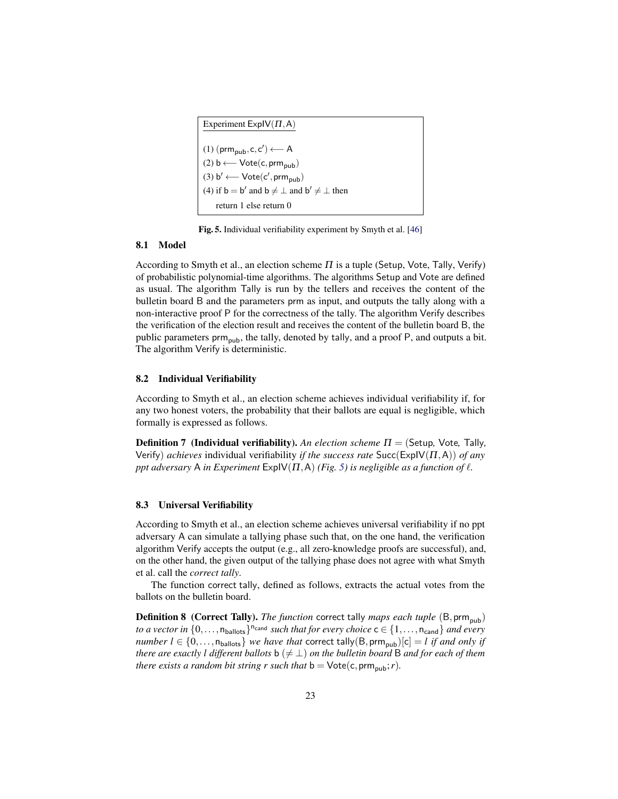```
Experiment ExpIV(\Pi, A)(1) (prm<sub>pub</sub>, c, c') ← A
(2) b ← Vote(c, prm_{pub})(3) b' ← Vote(c', prm<sub>pub</sub>)
(4) if b = b' and b \neq \bot and b' \neq \bot then
    return 1 else return 0
```
<span id="page-22-0"></span>Fig. 5. Individual verifiability experiment by Smyth et al. [\[46\]](#page-35-5)

### 8.1 Model

According to Smyth et al., an election scheme  $\Pi$  is a tuple (Setup, Vote, Tally, Verify) of probabilistic polynomial-time algorithms. The algorithms Setup and Vote are defined as usual. The algorithm Tally is run by the tellers and receives the content of the bulletin board B and the parameters prm as input, and outputs the tally along with a non-interactive proof P for the correctness of the tally. The algorithm Verify describes the verification of the election result and receives the content of the bulletin board B, the public parameters  $\text{prm}_{\text{pub}}$ , the tally, denoted by tally, and a proof P, and outputs a bit. The algorithm Verify is deterministic.

## 8.2 Individual Verifiability

According to Smyth et al., an election scheme achieves individual verifiability if, for any two honest voters, the probability that their ballots are equal is negligible, which formally is expressed as follows.

<span id="page-22-1"></span>Definition 7 (Individual verifiability). *An election scheme* Π = (Setup*,* Vote*,* Tally*,* Verify) *achieves* individual verifiability *if the success rate* Succ(ExpIV(Π,A)) *of any ppt adversary* A *in Experiment* ExpIV( $\Pi$ ,A) *(Fig. [5\)](#page-22-0) is negligible as a function of*  $\ell$ *.* 

## 8.3 Universal Verifiability

According to Smyth et al., an election scheme achieves universal verifiability if no ppt adversary A can simulate a tallying phase such that, on the one hand, the verification algorithm Verify accepts the output (e.g., all zero-knowledge proofs are successful), and, on the other hand, the given output of the tallying phase does not agree with what Smyth et al. call the *correct tally*.

The function correct tally, defined as follows, extracts the actual votes from the ballots on the bulletin board.

**Definition 8 (Correct Tally).** *The function* correct tally *maps each tuple* (B, prm<sub>pub</sub>) *to a vector in*  $\{0,\ldots,n_{\text{balls}}\}^{\text{n}_\text{cand}}$  *such that for every choice*  $c \in \{1,\ldots,n_{\text{cand}}\}$  *and every number*  $l \in \{0, \ldots, n_{\text{ballost}}\}$  *we have that* correct tally(B, prm<sub>pub</sub>)[c] = *l if and only if there are exactly l* different ballots  $\mathbf{b}$  ( $\neq \perp$ ) on the bulletin board B and for each of them *there exists a random bit string r such that*  $b = \text{Vote}(c, \text{prm}_{\text{pub}}; r)$ *.*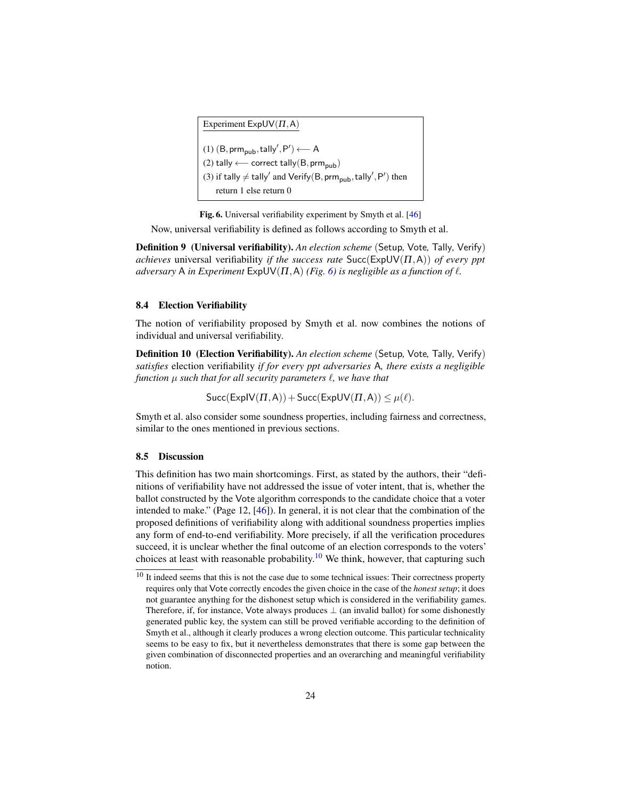Experiment  $ExpUV(\Pi, A)$ (1)  $(B, \text{prm}_{\text{pub}}, \text{tally}', P') \longleftarrow A$ (2) tally  $←$  correct tally  $(B, \text{prm}_{\text{pub}})$ (3) if tally  $\neq$  tally' and Verify(B, prm<sub>pub</sub>, tally', P') then return 1 else return 0

<span id="page-23-1"></span>Fig. 6. Universal verifiability experiment by Smyth et al. [\[46\]](#page-35-5)

Now, universal verifiability is defined as follows according to Smyth et al.

<span id="page-23-3"></span>Definition 9 (Universal verifiability). *An election scheme* (Setup*,* Vote*,* Tally*,* Verify) *achieves* universal verifiability *if the success rate* Succ(ExpUV(Π,A)) *of every ppt adversary* A *in Experiment* ExpUV( $\Pi$ ,A) *(Fig. [6\)](#page-23-1) is negligible as a function of*  $\ell$ *.* 

## 8.4 Election Verifiability

The notion of verifiability proposed by Smyth et al. now combines the notions of individual and universal verifiability.

Definition 10 (Election Verifiability). *An election scheme* (Setup*,* Vote*,* Tally*,* Verify) *satisfies* election verifiability *if for every ppt adversaries* A*, there exists a negligible function* µ *such that for all security parameters* `*, we have that*

 $Succ(ExpIV(\Pi,A)) + Succ(ExpUV(\Pi,A)) \leq \mu(\ell).$ 

Smyth et al. also consider some soundness properties, including fairness and correctness, similar to the ones mentioned in previous sections.

#### <span id="page-23-0"></span>8.5 Discussion

This definition has two main shortcomings. First, as stated by the authors, their "definitions of verifiability have not addressed the issue of voter intent, that is, whether the ballot constructed by the Vote algorithm corresponds to the candidate choice that a voter intended to make." (Page 12, [\[46\]](#page-35-5)). In general, it is not clear that the combination of the proposed definitions of verifiability along with additional soundness properties implies any form of end-to-end verifiability. More precisely, if all the verification procedures succeed, it is unclear whether the final outcome of an election corresponds to the voters' choices at least with reasonable probability.<sup>[10](#page-23-2)</sup> We think, however, that capturing such

<span id="page-23-2"></span><sup>&</sup>lt;sup>10</sup> It indeed seems that this is not the case due to some technical issues: Their correctness property requires only that Vote correctly encodes the given choice in the case of the *honest setup*; it does not guarantee anything for the dishonest setup which is considered in the verifiability games. Therefore, if, for instance, Vote always produces  $\perp$  (an invalid ballot) for some dishonestly generated public key, the system can still be proved verifiable according to the definition of Smyth et al., although it clearly produces a wrong election outcome. This particular technicality seems to be easy to fix, but it nevertheless demonstrates that there is some gap between the given combination of disconnected properties and an overarching and meaningful verifiability notion.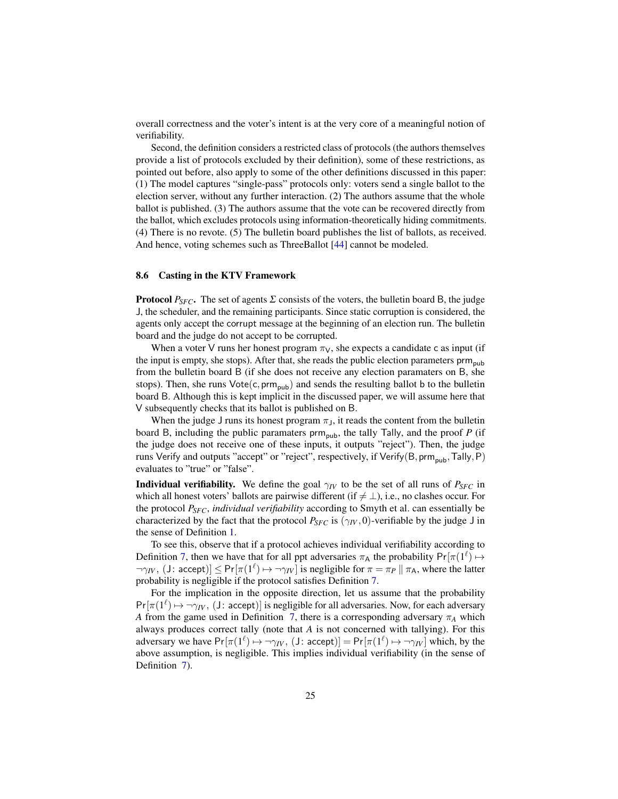overall correctness and the voter's intent is at the very core of a meaningful notion of verifiability.

Second, the definition considers a restricted class of protocols (the authors themselves provide a list of protocols excluded by their definition), some of these restrictions, as pointed out before, also apply to some of the other definitions discussed in this paper: (1) The model captures "single-pass" protocols only: voters send a single ballot to the election server, without any further interaction. (2) The authors assume that the whole ballot is published. (3) The authors assume that the vote can be recovered directly from the ballot, which excludes protocols using information-theoretically hiding commitments. (4) There is no revote. (5) The bulletin board publishes the list of ballots, as received. And hence, voting schemes such as ThreeBallot [\[44\]](#page-35-9) cannot be modeled.

#### 8.6 Casting in the KTV Framework

**Protocol**  $P_{SFC}$ . The set of agents  $\Sigma$  consists of the voters, the bulletin board B, the judge J, the scheduler, and the remaining participants. Since static corruption is considered, the agents only accept the corrupt message at the beginning of an election run. The bulletin board and the judge do not accept to be corrupted.

When a voter V runs her honest program  $\pi$ <sub>V</sub>, she expects a candidate c as input (if the input is empty, she stops). After that, she reads the public election parameters  $\text{prm}_{\text{pub}}$ from the bulletin board B (if she does not receive any election paramaters on B, she stops). Then, she runs  $\text{Vote}(c, \text{prm}_{\text{pub}})$  and sends the resulting ballot b to the bulletin board B. Although this is kept implicit in the discussed paper, we will assume here that V subsequently checks that its ballot is published on B.

When the judge J runs its honest program  $\pi_J$ , it reads the content from the bulletin board B, including the public paramaters  $\text{prm}_{\text{pub}}$ , the tally Tally, and the proof *P* (if the judge does not receive one of these inputs, it outputs "reject"). Then, the judge runs Verify and outputs "accept" or "reject", respectively, if Verify(B, prm<sub>pub</sub>, Tally, P) evaluates to "true" or "false".

**Individual verifiability.** We define the goal  $\gamma$ <sub>*IV*</sub> to be the set of all runs of  $P_{SFC}$  in which all honest voters' ballots are pairwise different (if  $\neq \bot$ ), i.e., no clashes occur. For the protocol *PSFC*, *individual verifiability* according to Smyth et al. can essentially be characterized by the fact that the protocol  $P_{SFC}$  is  $(\gamma_{IV}, 0)$ -verifiable by the judge J in the sense of Definition [1.](#page-6-0)

To see this, observe that if a protocol achieves individual verifiability according to Definition [7,](#page-22-1) then we have that for all ppt adversaries  $\pi_A$  the probability  $Pr[\pi(1^{\ell}) \mapsto$  $\neg \gamma_{IV},$  (J: accept)]  $\leq \Pr[\pi(1^{\ell}) \mapsto \neg \gamma_{IV}]$  is negligible for  $\pi = \pi_P \parallel \pi_A$ , where the latter probability is negligible if the protocol satisfies Definition [7.](#page-22-1)

For the implication in the opposite direction, let us assume that the probability  $Pr[\pi(1^{\ell}) \mapsto \neg \gamma_{IV}, (J: accept)]$  is negligible for all adversaries. Now, for each adversary *A* from the game used in Definition [7,](#page-22-1) there is a corresponding adversary  $\pi_A$  which always produces correct tally (note that *A* is not concerned with tallying). For this adversary we have  $Pr[\pi(1^{\ell}) \mapsto \neg \gamma_{IV}, (J: \text{accept})] = Pr[\pi(1^{\ell}) \mapsto \neg \gamma_{IV}]$  which, by the above assumption, is negligible. This implies individual verifiability (in the sense of Definition [7\)](#page-22-1).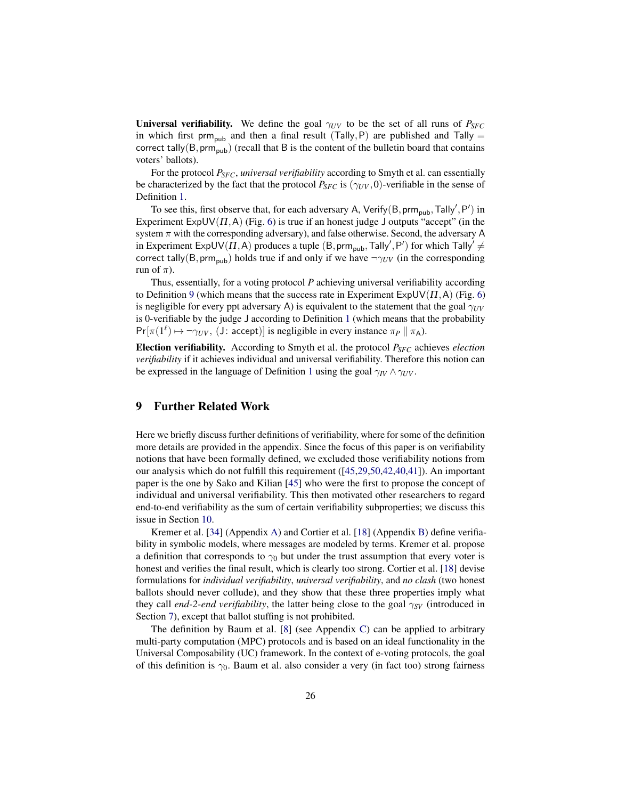Universal verifiability. We define the goal  $\gamma_{UV}$  to be the set of all runs of  $P_{SFC}$ in which first prm<sub>pub</sub> and then a final result (Tally, P) are published and Tally = correct tally(B, prm<sub>pub</sub>) (recall that B is the content of the bulletin board that contains voters' ballots).

For the protocol *PSFC*, *universal verifiability* according to Smyth et al. can essentially be characterized by the fact that the protocol  $P_{SFC}$  is  $(\gamma_{UV}, 0)$ -verifiable in the sense of Definition [1.](#page-6-0)

To see this, first observe that, for each adversary A, Verify  $(B, \text{prm}_{\text{pub}}, \text{Tally}', P')$  in Experiment ExpUV $(\Pi, A)$  (Fig. [6\)](#page-23-1) is true if an honest judge J outputs "accept" (in the system  $\pi$  with the corresponding adversary), and false otherwise. Second, the adversary A in Experiment ExpUV( $\Pi$ , A) produces a tuple (B, prm<sub>pub</sub>, Tally', P') for which Tally'  $\neq$ correct tally(B, prm<sub>pub</sub>) holds true if and only if we have  $\neg \gamma_{UV}$  (in the corresponding run of  $\pi$ ).

Thus, essentially, for a voting protocol *P* achieving universal verifiability according to Definition [9](#page-23-3) (which means that the success rate in Experiment ExpUV( $\Pi$ , A) (Fig. [6\)](#page-23-1) is negligible for every ppt adversary A) is equivalent to the statement that the goal  $\gamma_{UV}$ is 0-verifiable by the judge J according to Definition [1](#page-6-0) (which means that the probability  $Pr[\pi(1^{\ell}) \mapsto \neg \gamma_{UV}, (J: accept)]$  is negligible in every instance  $\pi_P \parallel \pi_A$ ).

Election verifiability. According to Smyth et al. the protocol *PSFC* achieves *election verifiability* if it achieves individual and universal verifiability. Therefore this notion can be expressed in the language of Definition [1](#page-6-0) using the goal  $\gamma_{IV} \wedge \gamma_{UV}$ .

## <span id="page-25-0"></span>9 Further Related Work

Here we briefly discuss further definitions of verifiability, where for some of the definition more details are provided in the appendix. Since the focus of this paper is on verifiability notions that have been formally defined, we excluded those verifiability notions from our analysis which do not fulfill this requirement ([\[45](#page-35-10)[,29](#page-34-11)[,50](#page-36-5)[,42](#page-35-11)[,40](#page-35-12)[,41\]](#page-35-13)). An important paper is the one by Sako and Kilian [\[45\]](#page-35-10) who were the first to propose the concept of individual and universal verifiability. This then motivated other researchers to regard end-to-end verifiability as the sum of certain verifiability subproperties; we discuss this issue in Section [10.](#page-26-0)

Kremer et al. [\[34\]](#page-35-3) (Appendix [A\)](#page-36-6) and Cortier et al. [\[18\]](#page-33-13) (Appendix [B\)](#page-38-0) define verifiability in symbolic models, where messages are modeled by terms. Kremer et al. propose a definition that corresponds to  $\gamma_0$  but under the trust assumption that every voter is honest and verifies the final result, which is clearly too strong. Cortier et al. [\[18\]](#page-33-13) devise formulations for *individual verifiability*, *universal verifiability*, and *no clash* (two honest ballots should never collude), and they show that these three properties imply what they call *end-2-end verifiability*, the latter being close to the goal  $\gamma_{SV}$  (introduced in Section [7\)](#page-15-0), except that ballot stuffing is not prohibited.

The definition by Baum et al. [\[8\]](#page-33-14) (see Appendix [C\)](#page-42-0) can be applied to arbitrary multi-party computation (MPC) protocols and is based on an ideal functionality in the Universal Composability (UC) framework. In the context of e-voting protocols, the goal of this definition is  $\gamma_0$ . Baum et al. also consider a very (in fact too) strong fairness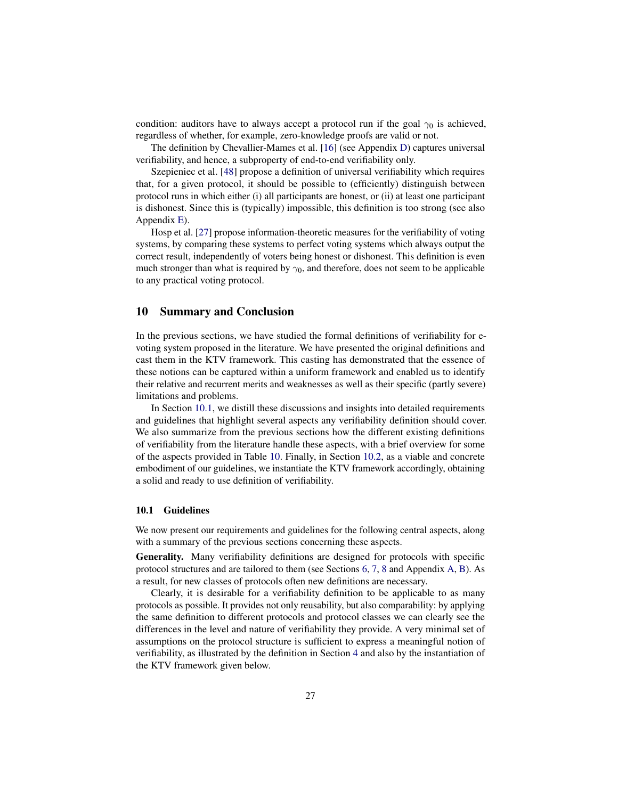condition: auditors have to always accept a protocol run if the goal  $\gamma_0$  is achieved, regardless of whether, for example, zero-knowledge proofs are valid or not.

The definition by Chevallier-Mames et al. [\[16\]](#page-33-11) (see Appendix [D\)](#page-44-0) captures universal verifiability, and hence, a subproperty of end-to-end verifiability only.

Szepieniec et al. [\[48\]](#page-36-4) propose a definition of universal verifiability which requires that, for a given protocol, it should be possible to (efficiently) distinguish between protocol runs in which either (i) all participants are honest, or (ii) at least one participant is dishonest. Since this is (typically) impossible, this definition is too strong (see also Appendix [E\)](#page-47-0).

Hosp et al. [\[27\]](#page-34-12) propose information-theoretic measures for the verifiability of voting systems, by comparing these systems to perfect voting systems which always output the correct result, independently of voters being honest or dishonest. This definition is even much stronger than what is required by  $\gamma_0$ , and therefore, does not seem to be applicable to any practical voting protocol.

## <span id="page-26-0"></span>10 Summary and Conclusion

In the previous sections, we have studied the formal definitions of verifiability for evoting system proposed in the literature. We have presented the original definitions and cast them in the KTV framework. This casting has demonstrated that the essence of these notions can be captured within a uniform framework and enabled us to identify their relative and recurrent merits and weaknesses as well as their specific (partly severe) limitations and problems.

In Section [10.1,](#page-26-1) we distill these discussions and insights into detailed requirements and guidelines that highlight several aspects any verifiability definition should cover. We also summarize from the previous sections how the different existing definitions of verifiability from the literature handle these aspects, with a brief overview for some of the aspects provided in Table [10.](#page-26-0) Finally, in Section [10.2,](#page-30-0) as a viable and concrete embodiment of our guidelines, we instantiate the KTV framework accordingly, obtaining a solid and ready to use definition of verifiability.

## <span id="page-26-1"></span>10.1 Guidelines

We now present our requirements and guidelines for the following central aspects, along with a summary of the previous sections concerning these aspects.

Generality. Many verifiability definitions are designed for protocols with specific protocol structures and are tailored to them (see Sections [6,](#page-12-1) [7,](#page-15-0) [8](#page-21-0) and Appendix [A,](#page-36-6) [B\)](#page-38-0). As a result, for new classes of protocols often new definitions are necessary.

Clearly, it is desirable for a verifiability definition to be applicable to as many protocols as possible. It provides not only reusability, but also comparability: by applying the same definition to different protocols and protocol classes we can clearly see the differences in the level and nature of verifiability they provide. A very minimal set of assumptions on the protocol structure is sufficient to express a meaningful notion of verifiability, as illustrated by the definition in Section [4](#page-7-0) and also by the instantiation of the KTV framework given below.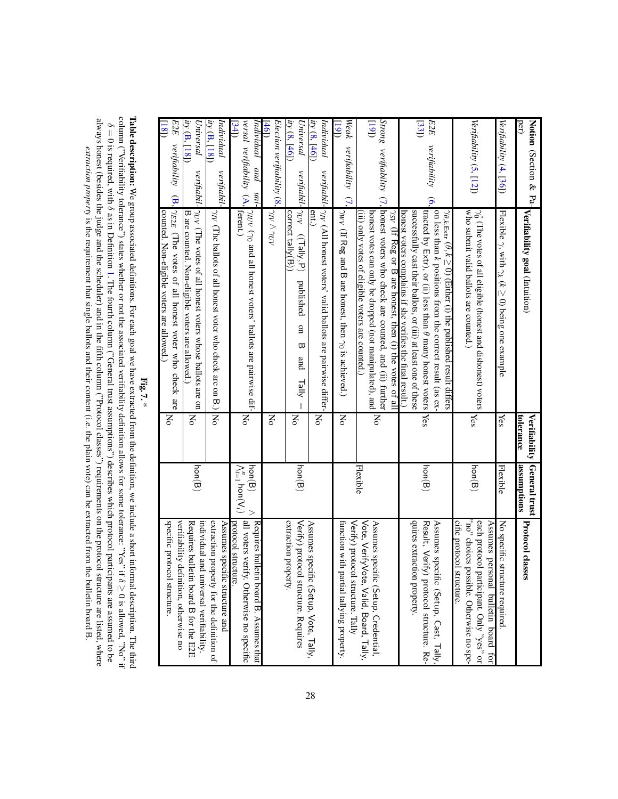| per)<br>Notion (Section & Pa-                                                       | Verifiability goal (Intuition)                                                                                                                                                                                                                                                                                                                                           | tolerance | Verifiability General trust<br>assumptions | Protocol classes                                                                                                                                            |
|-------------------------------------------------------------------------------------|--------------------------------------------------------------------------------------------------------------------------------------------------------------------------------------------------------------------------------------------------------------------------------------------------------------------------------------------------------------------------|-----------|--------------------------------------------|-------------------------------------------------------------------------------------------------------------------------------------------------------------|
| Verifability (4, [36])                                                              | Flexible $\gamma$ , with $\gamma_k$ ( $k \geq 0$ ) being one example                                                                                                                                                                                                                                                                                                     | Yes       | Flexible                                   | No specific st<br>ructure required                                                                                                                          |
| Verifiability (5, [12])                                                             | who submit valid ballots are counted.)<br>$\gamma_0^*$ (The votes of all eligible (honest and dishonest) voters                                                                                                                                                                                                                                                          | Yes       | hom(B)                                     | "no" choices possible. Otherwise no spe-<br>each protocol participant. Only "yes" or<br>Assumes personal bulletin board<br>cific protocol structure.<br>for |
| E2E<br>331<br>verifability<br>$\widehat{\mathbf{e}}$                                | tracted by Extr), or (ii) less than $\theta$ many honest voters Yes<br>on less than $k$ positions from the correct result (as ex-<br>successfully cast their ballots, or (iii) at least one of these<br>$\gamma_{\theta,k}$ <sub>Extr</sub> ( $\theta, k \ge 0$ ) (Either (i) the published result differs<br>honest voters complains if she verifies the final result.) |           | hom(B)                                     | quires extraction property.<br>Result, Verify) protocol structure. Re-<br>Assumes specific (Setup, Cast, Tally                                              |
| [19])                                                                               | Strong verifiability $(7, 1)$ honest voters who check are counted, and (ii) further<br>honest votes can only be dropped (not manipulated), and<br>$\gamma_{SV}$ (If Reg or B are honest, then (i) the votes of all<br>$\overline{H}$ only votes of eligible voters are counted.)                                                                                         | δŃ        | Flexible                                   | Vote, VerifyVote, Valid, Board, Tally,<br>Assumes specific (Setup, Credential,                                                                              |
| Weak<br>$\overline{19}$<br>verifiability<br>$\sigma$                                | $\gamma_{WV}$ (If Reg and B are honest, then $\gamma_0$ is achieved.)                                                                                                                                                                                                                                                                                                    | Σρ        |                                            | Verify) protocol structure. Tally<br>function with partial tallying property                                                                                |
| iv(8, [46])<br>Individual                                                           | verifiabil- $ \gamma_{IV}$ (All honest voters' valid ballots are pairwise differ-<br>ent.                                                                                                                                                                                                                                                                                | ΟN        |                                            | Assumes specific (Setup, Vote, Tally,                                                                                                                       |
| ity (8, [46])<br>Universal                                                          | verifiabil- $ \gamma_{UV}$ ((Tally, P) published<br>correct tally(B))<br>$\mathbf{g}$<br>5<br>and<br>$=$ $\sqrt{\frac{1}{2}}$                                                                                                                                                                                                                                            | No        | $\mathsf{hom}(\mathsf{B})$                 | Verify) protocol structure. Requires<br>extraction property.                                                                                                |
| Election verifiability (8,<br>(16])                                                 | <b>ARV ARL</b>                                                                                                                                                                                                                                                                                                                                                           | Σο        |                                            |                                                                                                                                                             |
| versal verifiability (A,<br>Individual<br>$\left(34\right)$<br>pup<br>$\frac{1}{m}$ | ferent.)<br>prov (70 and all honest voters' ballots are pairwise dif-                                                                                                                                                                                                                                                                                                    | Ň         | hon(B)<br>$\wedge_{i=1}^n$ hon $(\vee_i)$  | all voters verify. Otherwise no specific<br>Requires bulletin board B. Assumes that<br>protocol struc<br>iure.                                              |
| <i>ity</i> (B, [18])<br>Individual<br>verifiabil-                                   | $\gamma_{IV}$ (The ballots of all honest voter who check are on B.) No                                                                                                                                                                                                                                                                                                   |           |                                            | extraction property for the definition of<br>Assumes specific structure and                                                                                 |
| Universal<br>$ip$ (B, $ $<br>$\frac{181}{2}$                                        | verifiabil- $\gamma_{UV}$ (The votes of all honest voters whose ballots are on<br>B are counted. Non-eligible voters are allowed.                                                                                                                                                                                                                                        | No        | $h$ on $(B)$                               | Requires bulletin board B for the E2E<br>individual and<br>l universal verifiability.                                                                       |
| E2E<br>[18])<br>verifability                                                        | (B, $\gamma_{E2E}$ (The votes of all honest voter who check are<br>counted. Non-eligible voters are allowed.)                                                                                                                                                                                                                                                            | No        |                                            | specific protocol structure<br>verifiability definition, otherwise no                                                                                       |

Fig. 7.  $^*$ 

always honest (besides the judge and the scheduler) and in the fifth column ("Protocol classes") requirements on the protocol structure are listed, where column ("Verifiability tolerance") states whether or not the associated verifiability definition allows for some tolerance: "Yes" if Table description: always honest (besides the judge and the scheduler) and in the fifth column ("Protocol classes") requirements on the protocol structure are listed, where  $\frac{8}{1}$ 0 is required, with We group associated definitions. For each goal we have extracted from the definition, we include a short informal description. The third δ as in Definition [1.](#page-6-0) The fourth column ("General trust assumptions") describes which protocol participants are assumed to be δ ≥ 0 is allowed, "No" if

*extraction property* is the requirement that single ballots and their content (i.e. the plain vote) can be extracted from the bulletin board <u>ա</u>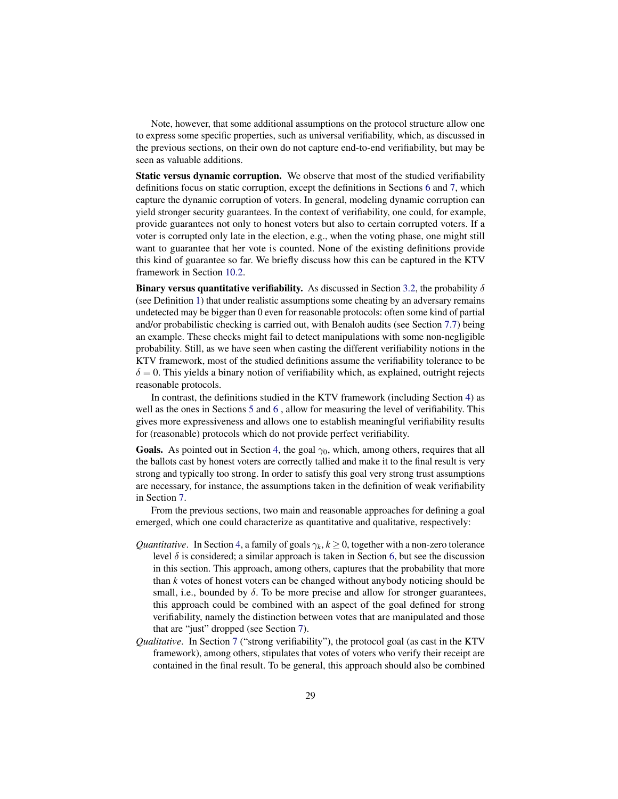Note, however, that some additional assumptions on the protocol structure allow one to express some specific properties, such as universal verifiability, which, as discussed in the previous sections, on their own do not capture end-to-end verifiability, but may be seen as valuable additions.

Static versus dynamic corruption. We observe that most of the studied verifiability definitions focus on static corruption, except the definitions in Sections [6](#page-12-1) and [7,](#page-15-0) which capture the dynamic corruption of voters. In general, modeling dynamic corruption can yield stronger security guarantees. In the context of verifiability, one could, for example, provide guarantees not only to honest voters but also to certain corrupted voters. If a voter is corrupted only late in the election, e.g., when the voting phase, one might still want to guarantee that her vote is counted. None of the existing definitions provide this kind of guarantee so far. We briefly discuss how this can be captured in the KTV framework in Section [10.2.](#page-30-0)

Binary versus quantitative verifiability. As discussed in Section [3.2,](#page-5-1) the probability  $\delta$ (see Definition [1\)](#page-6-0) that under realistic assumptions some cheating by an adversary remains undetected may be bigger than 0 even for reasonable protocols: often some kind of partial and/or probabilistic checking is carried out, with Benaloh audits (see Section [7.7\)](#page-19-1) being an example. These checks might fail to detect manipulations with some non-negligible probability. Still, as we have seen when casting the different verifiability notions in the KTV framework, most of the studied definitions assume the verifiability tolerance to be  $\delta = 0$ . This yields a binary notion of verifiability which, as explained, outright rejects reasonable protocols.

In contrast, the definitions studied in the KTV framework (including Section [4\)](#page-7-0) as well as the ones in Sections [5](#page-9-0) and [6](#page-12-1) , allow for measuring the level of verifiability. This gives more expressiveness and allows one to establish meaningful verifiability results for (reasonable) protocols which do not provide perfect verifiability.

**Goals.** As pointed out in Section [4,](#page-7-0) the goal  $\gamma_0$ , which, among others, requires that all the ballots cast by honest voters are correctly tallied and make it to the final result is very strong and typically too strong. In order to satisfy this goal very strong trust assumptions are necessary, for instance, the assumptions taken in the definition of weak verifiability in Section [7.](#page-15-0)

From the previous sections, two main and reasonable approaches for defining a goal emerged, which one could characterize as quantitative and qualitative, respectively:

- *Quantitative*. In Section [4,](#page-7-0) a family of goals  $\gamma_k$ ,  $k \geq 0$ , together with a non-zero tolerance level  $\delta$  is considered; a similar approach is taken in Section [6,](#page-12-1) but see the discussion in this section. This approach, among others, captures that the probability that more than *k* votes of honest voters can be changed without anybody noticing should be small, i.e., bounded by  $\delta$ . To be more precise and allow for stronger guarantees, this approach could be combined with an aspect of the goal defined for strong verifiability, namely the distinction between votes that are manipulated and those that are "just" dropped (see Section [7\)](#page-15-0).
- *Qualitative*. In Section [7](#page-15-0) ("strong verifiability"), the protocol goal (as cast in the KTV framework), among others, stipulates that votes of voters who verify their receipt are contained in the final result. To be general, this approach should also be combined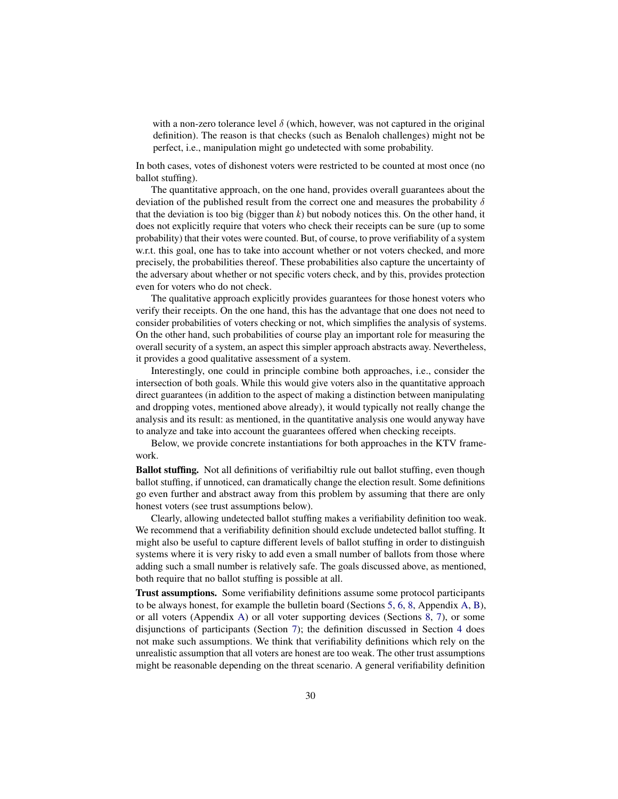with a non-zero tolerance level  $\delta$  (which, however, was not captured in the original definition). The reason is that checks (such as Benaloh challenges) might not be perfect, i.e., manipulation might go undetected with some probability.

In both cases, votes of dishonest voters were restricted to be counted at most once (no ballot stuffing).

The quantitative approach, on the one hand, provides overall guarantees about the deviation of the published result from the correct one and measures the probability  $\delta$ that the deviation is too big (bigger than  $k$ ) but nobody notices this. On the other hand, it does not explicitly require that voters who check their receipts can be sure (up to some probability) that their votes were counted. But, of course, to prove verifiability of a system w.r.t. this goal, one has to take into account whether or not voters checked, and more precisely, the probabilities thereof. These probabilities also capture the uncertainty of the adversary about whether or not specific voters check, and by this, provides protection even for voters who do not check.

The qualitative approach explicitly provides guarantees for those honest voters who verify their receipts. On the one hand, this has the advantage that one does not need to consider probabilities of voters checking or not, which simplifies the analysis of systems. On the other hand, such probabilities of course play an important role for measuring the overall security of a system, an aspect this simpler approach abstracts away. Nevertheless, it provides a good qualitative assessment of a system.

Interestingly, one could in principle combine both approaches, i.e., consider the intersection of both goals. While this would give voters also in the quantitative approach direct guarantees (in addition to the aspect of making a distinction between manipulating and dropping votes, mentioned above already), it would typically not really change the analysis and its result: as mentioned, in the quantitative analysis one would anyway have to analyze and take into account the guarantees offered when checking receipts.

Below, we provide concrete instantiations for both approaches in the KTV framework.

Ballot stuffing. Not all definitions of verifiabiltiy rule out ballot stuffing, even though ballot stuffing, if unnoticed, can dramatically change the election result. Some definitions go even further and abstract away from this problem by assuming that there are only honest voters (see trust assumptions below).

Clearly, allowing undetected ballot stuffing makes a verifiability definition too weak. We recommend that a verifiability definition should exclude undetected ballot stuffing. It might also be useful to capture different levels of ballot stuffing in order to distinguish systems where it is very risky to add even a small number of ballots from those where adding such a small number is relatively safe. The goals discussed above, as mentioned, both require that no ballot stuffing is possible at all.

Trust assumptions. Some verifiability definitions assume some protocol participants to be always honest, for example the bulletin board (Sections [5,](#page-9-0) [6,](#page-12-1) [8,](#page-21-0) Appendix [A,](#page-36-6) [B\)](#page-38-0), or all voters (Appendix [A\)](#page-36-6) or all voter supporting devices (Sections [8,](#page-21-0) [7\)](#page-15-0), or some disjunctions of participants (Section [7\)](#page-15-0); the definition discussed in Section [4](#page-7-0) does not make such assumptions. We think that verifiability definitions which rely on the unrealistic assumption that all voters are honest are too weak. The other trust assumptions might be reasonable depending on the threat scenario. A general verifiability definition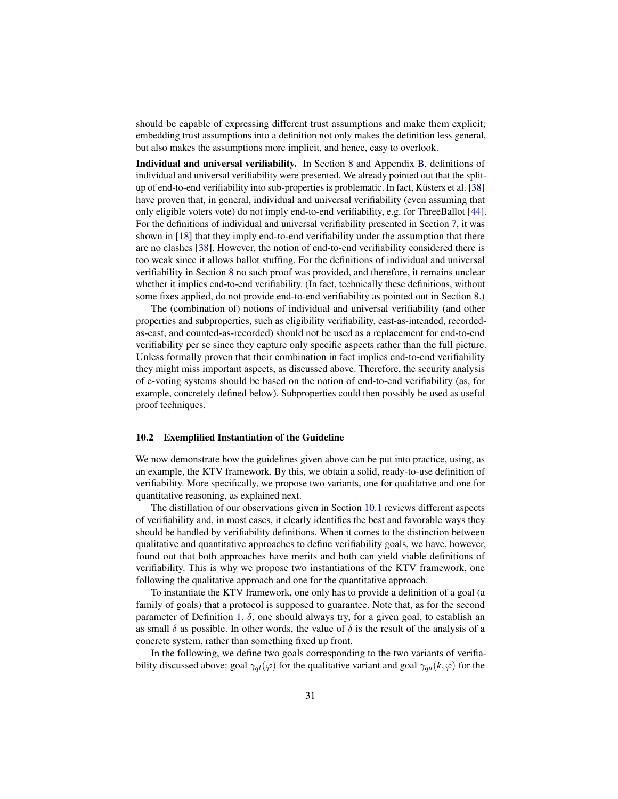should be capable of expressing different trust assumptions and make them explicit; embedding trust assumptions into a definition not only makes the definition less general, but also makes the assumptions more implicit, and hence, easy to overlook.

Individual and universal verifiability. In Section [8](#page-21-0) and Appendix [B,](#page-38-0) definitions of individual and universal verifiability were presented. We already pointed out that the split-up of end-to-end verifiability into sub-properties is problematic. In fact, Küsters et al. [[38\]](#page-35-7) have proven that, in general, individual and universal verifiability (even assuming that only eligible voters vote) do not imply end-to-end verifiability, e.g. for ThreeBallot [\[44\]](#page-35-9). For the definitions of individual and universal verifiability presented in Section [7,](#page-15-0) it was shown in [\[18\]](#page-33-13) that they imply end-to-end verifiability under the assumption that there are no clashes [\[38\]](#page-35-7). However, the notion of end-to-end verifiability considered there is too weak since it allows ballot stuffing. For the definitions of individual and universal verifiability in Section [8](#page-21-0) no such proof was provided, and therefore, it remains unclear whether it implies end-to-end verifiability. (In fact, technically these definitions, without some fixes applied, do not provide end-to-end verifiability as pointed out in Section [8.](#page-21-0))

The (combination of) notions of individual and universal verifiability (and other properties and subproperties, such as eligibility verifiability, cast-as-intended, recordedas-cast, and counted-as-recorded) should not be used as a replacement for end-to-end verifiability per se since they capture only specific aspects rather than the full picture. Unless formally proven that their combination in fact implies end-to-end verifiability they might miss important aspects, as discussed above. Therefore, the security analysis of e-voting systems should be based on the notion of end-to-end verifiability (as, for example, concretely defined below). Subproperties could then possibly be used as useful proof techniques.

## <span id="page-30-0"></span>10.2 Exemplified Instantiation of the Guideline

We now demonstrate how the guidelines given above can be put into practice, using, as an example, the KTV framework. By this, we obtain a solid, ready-to-use definition of verifiability. More specifically, we propose two variants, one for qualitative and one for quantitative reasoning, as explained next.

The distillation of our observations given in Section [10.1](#page-26-1) reviews different aspects of verifiability and, in most cases, it clearly identifies the best and favorable ways they should be handled by verifiability definitions. When it comes to the distinction between qualitative and quantitative approaches to define verifiability goals, we have, however, found out that both approaches have merits and both can yield viable definitions of verifiability. This is why we propose two instantiations of the KTV framework, one following the qualitative approach and one for the quantitative approach.

To instantiate the KTV framework, one only has to provide a definition of a goal (a family of goals) that a protocol is supposed to guarantee. Note that, as for the second parameter of Definition [1,](#page-6-0)  $\delta$ , one should always try, for a given goal, to establish an as small  $\delta$  as possible. In other words, the value of  $\delta$  is the result of the analysis of a concrete system, rather than something fixed up front.

In the following, we define two goals corresponding to the two variants of verifiability discussed above: goal  $\gamma_{ql}(\varphi)$  for the qualitative variant and goal  $\gamma_{qn}(k,\varphi)$  for the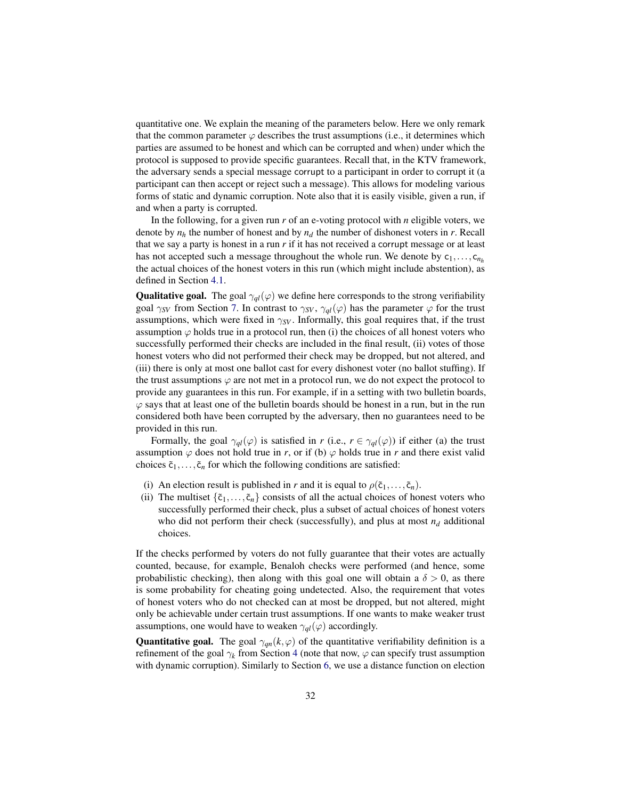quantitative one. We explain the meaning of the parameters below. Here we only remark that the common parameter  $\varphi$  describes the trust assumptions (i.e., it determines which parties are assumed to be honest and which can be corrupted and when) under which the protocol is supposed to provide specific guarantees. Recall that, in the KTV framework, the adversary sends a special message corrupt to a participant in order to corrupt it (a participant can then accept or reject such a message). This allows for modeling various forms of static and dynamic corruption. Note also that it is easily visible, given a run, if and when a party is corrupted.

In the following, for a given run *r* of an e-voting protocol with *n* eligible voters, we denote by  $n_h$  the number of honest and by  $n_d$  the number of dishonest voters in *r*. Recall that we say a party is honest in a run *r* if it has not received a corrupt message or at least has not accepted such a message throughout the whole run. We denote by  $c_1, \ldots, c_n$ *h*<sub>*h*</sub> the actual choices of the honest voters in this run (which might include abstention), as defined in Section [4.1.](#page-7-2)

**Qualitative goal.** The goal  $\gamma_{ql}(\varphi)$  we define here corresponds to the strong verifiability goal  $\gamma_{SV}$  from Section [7.](#page-15-0) In contrast to  $\gamma_{SV}$ ,  $\gamma_{ql}(\varphi)$  has the parameter  $\varphi$  for the trust assumptions, which were fixed in  $\gamma_{SV}$ . Informally, this goal requires that, if the trust assumption  $\varphi$  holds true in a protocol run, then (i) the choices of all honest voters who successfully performed their checks are included in the final result, (ii) votes of those honest voters who did not performed their check may be dropped, but not altered, and (iii) there is only at most one ballot cast for every dishonest voter (no ballot stuffing). If the trust assumptions  $\varphi$  are not met in a protocol run, we do not expect the protocol to provide any guarantees in this run. For example, if in a setting with two bulletin boards,  $\varphi$  says that at least one of the bulletin boards should be honest in a run, but in the run considered both have been corrupted by the adversary, then no guarantees need to be provided in this run.

Formally, the goal  $\gamma_{ql}(\varphi)$  is satisfied in *r* (i.e.,  $r \in \gamma_{ql}(\varphi)$ ) if either (a) the trust assumption  $\varphi$  does not hold true in *r*, or if (b)  $\varphi$  holds true in *r* and there exist valid choices  $\tilde{c}_1, \ldots, \tilde{c}_n$  for which the following conditions are satisfied:

- (i) An election result is published in *r* and it is equal to  $\rho(\tilde{c}_1,\ldots,\tilde{c}_n)$ .
- (ii) The multiset  $\{\tilde{c}_1,\ldots,\tilde{c}_n\}$  consists of all the actual choices of honest voters who successfully performed their check, plus a subset of actual choices of honest voters who did not perform their check (successfully), and plus at most  $n_d$  additional choices.

If the checks performed by voters do not fully guarantee that their votes are actually counted, because, for example, Benaloh checks were performed (and hence, some probabilistic checking), then along with this goal one will obtain a  $\delta > 0$ , as there is some probability for cheating going undetected. Also, the requirement that votes of honest voters who do not checked can at most be dropped, but not altered, might only be achievable under certain trust assumptions. If one wants to make weaker trust assumptions, one would have to weaken  $\gamma_{ql}(\varphi)$  accordingly.

**Quantitative goal.** The goal  $\gamma_{qn}(k,\varphi)$  of the quantitative verifiability definition is a refinement of the goal  $\gamma_k$  from Section [4](#page-7-0) (note that now,  $\varphi$  can specify trust assumption with dynamic corruption). Similarly to Section [6,](#page-12-1) we use a distance function on election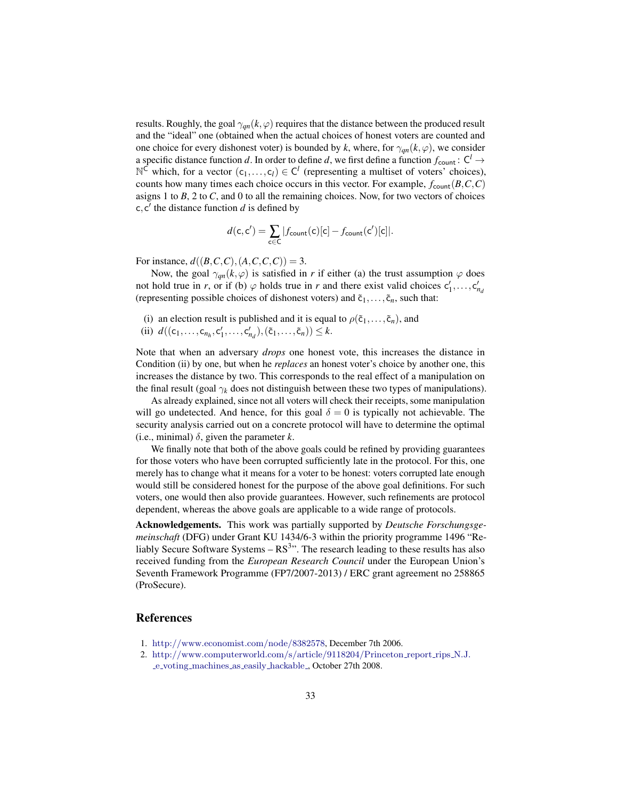results. Roughly, the goal  $\gamma_{qn}(k,\varphi)$  requires that the distance between the produced result and the "ideal" one (obtained when the actual choices of honest voters are counted and one choice for every dishonest voter) is bounded by *k*, where, for  $\gamma_{qn}(k,\varphi)$ , we consider a specific distance function *d*. In order to define *d*, we first define a function  $f_{\text{count}}: C^l \to$  $\mathbb{N}^{\bar{C}}$  which, for a vector  $(c_1, \ldots, c_l) \in C^l$  (representing a multiset of voters' choices), counts how many times each choice occurs in this vector. For example,  $f_{\text{count}}(B, C, C)$ asigns 1 to *B*, 2 to *C*, and 0 to all the remaining choices. Now, for two vectors of choices  $c, c'$  the distance function  $d$  is defined by

$$
d(\mathbf{c}, \mathbf{c}') = \sum_{\mathbf{c} \in \mathsf{C}} |f_\mathsf{count}(\mathbf{c})[\mathbf{c}] - f_\mathsf{count}(\mathbf{c}')[\mathbf{c}]|.
$$

For instance,  $d((B, C, C), (A, C, C, C)) = 3$ .

Now, the goal  $\gamma_{qn}(k,\varphi)$  is satisfied in *r* if either (a) the trust assumption  $\varphi$  does not hold true in *r*, or if (b)  $\varphi$  holds true in *r* and there exist valid choices  $c'_1, \ldots, c'_{n_d}$ (representing possible choices of dishonest voters) and  $\tilde{c}_1, \ldots, \tilde{c}_n$ , such that:

- (i) an election result is published and it is equal to  $\rho(\tilde{c}_1,\ldots,\tilde{c}_n)$ , and
- (ii)  $d((c_1,..., c_{n_h}, c'_1,..., c'_{n_d}), (\tilde{c}_1,..., \tilde{c}_n)) \leq k$ .

Note that when an adversary *drops* one honest vote, this increases the distance in Condition (ii) by one, but when he *replaces* an honest voter's choice by another one, this increases the distance by two. This corresponds to the real effect of a manipulation on the final result (goal  $\gamma_k$  does not distinguish between these two types of manipulations).

As already explained, since not all voters will check their receipts, some manipulation will go undetected. And hence, for this goal  $\delta = 0$  is typically not achievable. The security analysis carried out on a concrete protocol will have to determine the optimal (i.e., minimal)  $\delta$ , given the parameter  $k$ .

We finally note that both of the above goals could be refined by providing guarantees for those voters who have been corrupted sufficiently late in the protocol. For this, one merely has to change what it means for a voter to be honest: voters corrupted late enough would still be considered honest for the purpose of the above goal definitions. For such voters, one would then also provide guarantees. However, such refinements are protocol dependent, whereas the above goals are applicable to a wide range of protocols.

Acknowledgements. This work was partially supported by *Deutsche Forschungsgemeinschaft* (DFG) under Grant KU 1434/6-3 within the priority programme 1496 "Reliably Secure Software Systems  $-RS<sup>3</sup>$ . The research leading to these results has also received funding from the *European Research Council* under the European Union's Seventh Framework Programme (FP7/2007-2013) / ERC grant agreement no 258865 (ProSecure).

## References

- <span id="page-32-1"></span>1. <http://www.economist.com/node/8382578>, December 7th 2006.
- <span id="page-32-0"></span>2. [http://www.computerworld.com/s/article/9118204/Princeton](http://www.computerworld.com/s/article/9118204/Princeton_report_rips_N.J._e_voting_machines_as_easily_hackable_) report rips N.J. e voting [machines](http://www.computerworld.com/s/article/9118204/Princeton_report_rips_N.J._e_voting_machines_as_easily_hackable_) as easily hackable , October 27th 2008.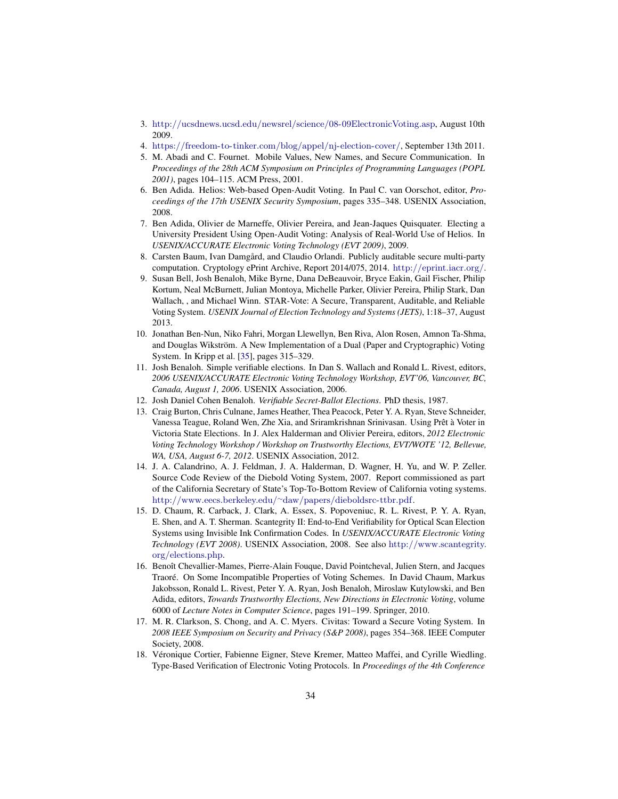- <span id="page-33-1"></span>3. <http://ucsdnews.ucsd.edu/newsrel/science/08-09ElectronicVoting.asp>, August 10th 2009.
- <span id="page-33-2"></span>4. <https://freedom-to-tinker.com/blog/appel/nj-election-cover/>, September 13th 2011.
- <span id="page-33-15"></span>5. M. Abadi and C. Fournet. Mobile Values, New Names, and Secure Communication. In *Proceedings of the 28th ACM Symposium on Principles of Programming Languages (POPL 2001)*, pages 104–115. ACM Press, 2001.
- <span id="page-33-4"></span>6. Ben Adida. Helios: Web-based Open-Audit Voting. In Paul C. van Oorschot, editor, *Proceedings of the 17th USENIX Security Symposium*, pages 335–348. USENIX Association, 2008.
- <span id="page-33-8"></span>7. Ben Adida, Olivier de Marneffe, Olivier Pereira, and Jean-Jaques Quisquater. Electing a University President Using Open-Audit Voting: Analysis of Real-World Use of Helios. In *USENIX/ACCURATE Electronic Voting Technology (EVT 2009)*, 2009.
- <span id="page-33-14"></span>8. Carsten Baum, Ivan Damgård, and Claudio Orlandi. Publicly auditable secure multi-party computation. Cryptology ePrint Archive, Report 2014/075, 2014. <http://eprint.iacr.org/>.
- <span id="page-33-7"></span>9. Susan Bell, Josh Benaloh, Mike Byrne, Dana DeBeauvoir, Bryce Eakin, Gail Fischer, Philip Kortum, Neal McBurnett, Julian Montoya, Michelle Parker, Olivier Pereira, Philip Stark, Dan Wallach, , and Michael Winn. STAR-Vote: A Secure, Transparent, Auditable, and Reliable Voting System. *USENIX Journal of Election Technology and Systems (JETS)*, 1:18–37, August 2013.
- <span id="page-33-6"></span>10. Jonathan Ben-Nun, Niko Fahri, Morgan Llewellyn, Ben Riva, Alon Rosen, Amnon Ta-Shma, and Douglas Wikström. A New Implementation of a Dual (Paper and Cryptographic) Voting System. In Kripp et al. [\[35\]](#page-35-14), pages 315–329.
- <span id="page-33-12"></span>11. Josh Benaloh. Simple verifiable elections. In Dan S. Wallach and Ronald L. Rivest, editors, *2006 USENIX/ACCURATE Electronic Voting Technology Workshop, EVT'06, Vancouver, BC, Canada, August 1, 2006*. USENIX Association, 2006.
- <span id="page-33-10"></span>12. Josh Daniel Cohen Benaloh. *Verifiable Secret-Ballot Elections*. PhD thesis, 1987.
- <span id="page-33-9"></span>13. Craig Burton, Chris Culnane, James Heather, Thea Peacock, Peter Y. A. Ryan, Steve Schneider, Vanessa Teague, Roland Wen, Zhe Xia, and Sriramkrishnan Srinivasan. Using Prêt à Voter in Victoria State Elections. In J. Alex Halderman and Olivier Pereira, editors, *2012 Electronic Voting Technology Workshop / Workshop on Trustworthy Elections, EVT/WOTE '12, Bellevue, WA, USA, August 6-7, 2012*. USENIX Association, 2012.
- <span id="page-33-0"></span>14. J. A. Calandrino, A. J. Feldman, J. A. Halderman, D. Wagner, H. Yu, and W. P. Zeller. Source Code Review of the Diebold Voting System, 2007. Report commissioned as part of the California Secretary of State's Top-To-Bottom Review of California voting systems. http://www.eecs.berkeley.edu/∼[daw/papers/dieboldsrc-ttbr.pdf](http://www.eecs.berkeley.edu/~daw/papers/dieboldsrc-ttbr.pdf).
- <span id="page-33-5"></span>15. D. Chaum, R. Carback, J. Clark, A. Essex, S. Popoveniuc, R. L. Rivest, P. Y. A. Ryan, E. Shen, and A. T. Sherman. Scantegrity II: End-to-End Verifiability for Optical Scan Election Systems using Invisible Ink Confirmation Codes. In *USENIX/ACCURATE Electronic Voting Technology (EVT 2008)*. USENIX Association, 2008. See also [http://www.scantegrity.](http://www.scantegrity.org/elections.php) [org/elections.php](http://www.scantegrity.org/elections.php).
- <span id="page-33-11"></span>16. Benoît Chevallier-Mames, Pierre-Alain Fouque, David Pointcheval, Julien Stern, and Jacques Traoré. On Some Incompatible Properties of Voting Schemes. In David Chaum, Markus Jakobsson, Ronald L. Rivest, Peter Y. A. Ryan, Josh Benaloh, Miroslaw Kutylowski, and Ben Adida, editors, *Towards Trustworthy Elections, New Directions in Electronic Voting*, volume 6000 of *Lecture Notes in Computer Science*, pages 191–199. Springer, 2010.
- <span id="page-33-3"></span>17. M. R. Clarkson, S. Chong, and A. C. Myers. Civitas: Toward a Secure Voting System. In *2008 IEEE Symposium on Security and Privacy (S&P 2008)*, pages 354–368. IEEE Computer Society, 2008.
- <span id="page-33-13"></span>18. Véronique Cortier, Fabienne Eigner, Steve Kremer, Matteo Maffei, and Cyrille Wiedling. Type-Based Verification of Electronic Voting Protocols. In *Proceedings of the 4th Conference*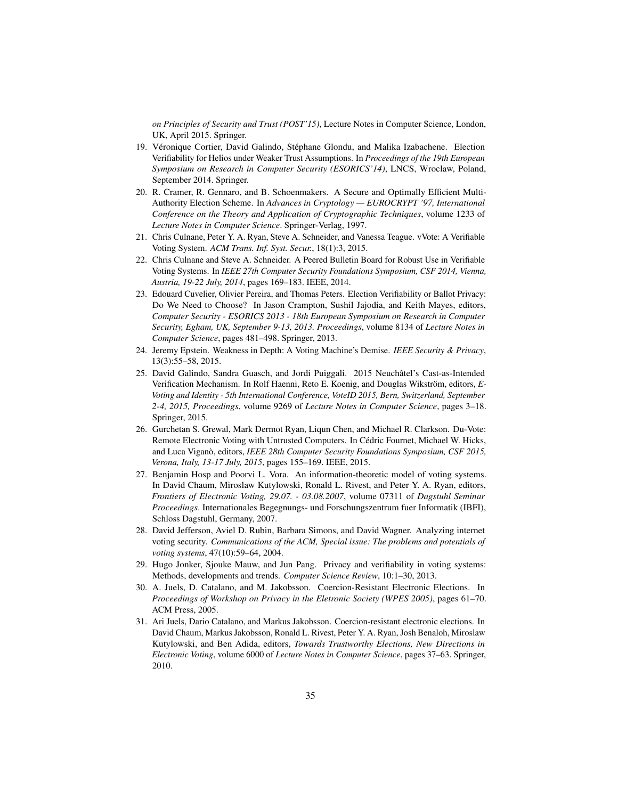*on Principles of Security and Trust (POST'15)*, Lecture Notes in Computer Science, London, UK, April 2015. Springer.

- <span id="page-34-4"></span>19. Véronique Cortier, David Galindo, Stéphane Glondu, and Malika Izabachene. Election Verifiability for Helios under Weaker Trust Assumptions. In *Proceedings of the 19th European Symposium on Research in Computer Security (ESORICS'14)*, LNCS, Wroclaw, Poland, September 2014. Springer.
- <span id="page-34-2"></span>20. R. Cramer, R. Gennaro, and B. Schoenmakers. A Secure and Optimally Efficient Multi-Authority Election Scheme. In *Advances in Cryptology — EUROCRYPT '97, International Conference on the Theory and Application of Cryptographic Techniques*, volume 1233 of *Lecture Notes in Computer Science*. Springer-Verlag, 1997.
- <span id="page-34-6"></span>21. Chris Culnane, Peter Y. A. Ryan, Steve A. Schneider, and Vanessa Teague. vVote: A Verifiable Voting System. *ACM Trans. Inf. Syst. Secur.*, 18(1):3, 2015.
- <span id="page-34-9"></span>22. Chris Culnane and Steve A. Schneider. A Peered Bulletin Board for Robust Use in Verifiable Voting Systems. In *IEEE 27th Computer Security Foundations Symposium, CSF 2014, Vienna, Austria, 19-22 July, 2014*, pages 169–183. IEEE, 2014.
- <span id="page-34-10"></span>23. Edouard Cuvelier, Olivier Pereira, and Thomas Peters. Election Verifiability or Ballot Privacy: Do We Need to Choose? In Jason Crampton, Sushil Jajodia, and Keith Mayes, editors, *Computer Security - ESORICS 2013 - 18th European Symposium on Research in Computer Security, Egham, UK, September 9-13, 2013. Proceedings*, volume 8134 of *Lecture Notes in Computer Science*, pages 481–498. Springer, 2013.
- <span id="page-34-1"></span>24. Jeremy Epstein. Weakness in Depth: A Voting Machine's Demise. *IEEE Security & Privacy*, 13(3):55–58, 2015.
- <span id="page-34-7"></span>25. David Galindo, Sandra Guasch, and Jordi Puiggali. 2015 Neuchatel's Cast-as-Intended ˆ Verification Mechanism. In Rolf Haenni, Reto E. Koenig, and Douglas Wikström, editors, E-*Voting and Identity - 5th International Conference, VoteID 2015, Bern, Switzerland, September 2-4, 2015, Proceedings*, volume 9269 of *Lecture Notes in Computer Science*, pages 3–18. Springer, 2015.
- <span id="page-34-5"></span>26. Gurchetan S. Grewal, Mark Dermot Ryan, Liqun Chen, and Michael R. Clarkson. Du-Vote: Remote Electronic Voting with Untrusted Computers. In Cédric Fournet, Michael W. Hicks, and Luca Viganò, editors, *IEEE 28th Computer Security Foundations Symposium, CSF 2015, Verona, Italy, 13-17 July, 2015*, pages 155–169. IEEE, 2015.
- <span id="page-34-12"></span>27. Benjamin Hosp and Poorvi L. Vora. An information-theoretic model of voting systems. In David Chaum, Miroslaw Kutylowski, Ronald L. Rivest, and Peter Y. A. Ryan, editors, *Frontiers of Electronic Voting, 29.07. - 03.08.2007*, volume 07311 of *Dagstuhl Seminar Proceedings*. Internationales Begegnungs- und Forschungszentrum fuer Informatik (IBFI), Schloss Dagstuhl, Germany, 2007.
- <span id="page-34-0"></span>28. David Jefferson, Aviel D. Rubin, Barbara Simons, and David Wagner. Analyzing internet voting security. *Communications of the ACM, Special issue: The problems and potentials of voting systems*, 47(10):59–64, 2004.
- <span id="page-34-11"></span>29. Hugo Jonker, Sjouke Mauw, and Jun Pang. Privacy and verifiability in voting systems: Methods, developments and trends. *Computer Science Review*, 10:1–30, 2013.
- <span id="page-34-3"></span>30. A. Juels, D. Catalano, and M. Jakobsson. Coercion-Resistant Electronic Elections. In *Proceedings of Workshop on Privacy in the Eletronic Society (WPES 2005)*, pages 61–70. ACM Press, 2005.
- <span id="page-34-8"></span>31. Ari Juels, Dario Catalano, and Markus Jakobsson. Coercion-resistant electronic elections. In David Chaum, Markus Jakobsson, Ronald L. Rivest, Peter Y. A. Ryan, Josh Benaloh, Miroslaw Kutylowski, and Ben Adida, editors, *Towards Trustworthy Elections, New Directions in Electronic Voting*, volume 6000 of *Lecture Notes in Computer Science*, pages 37–63. Springer, 2010.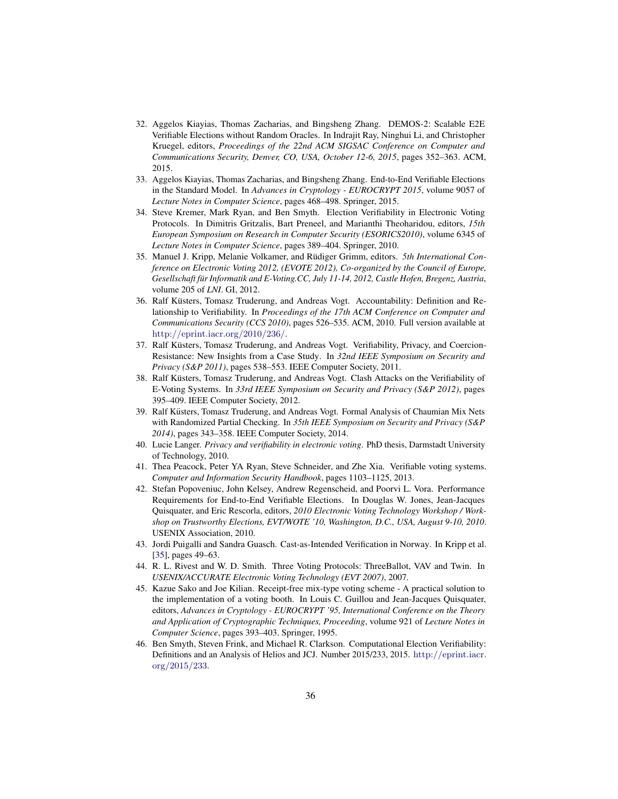- <span id="page-35-1"></span>32. Aggelos Kiayias, Thomas Zacharias, and Bingsheng Zhang. DEMOS-2: Scalable E2E Verifiable Elections without Random Oracles. In Indrajit Ray, Ninghui Li, and Christopher Kruegel, editors, *Proceedings of the 22nd ACM SIGSAC Conference on Computer and Communications Security, Denver, CO, USA, October 12-6, 2015*, pages 352–363. ACM, 2015.
- <span id="page-35-0"></span>33. Aggelos Kiayias, Thomas Zacharias, and Bingsheng Zhang. End-to-End Verifiable Elections in the Standard Model. In *Advances in Cryptology - EUROCRYPT 2015*, volume 9057 of *Lecture Notes in Computer Science*, pages 468–498. Springer, 2015.
- <span id="page-35-3"></span>34. Steve Kremer, Mark Ryan, and Ben Smyth. Election Verifiability in Electronic Voting Protocols. In Dimitris Gritzalis, Bart Preneel, and Marianthi Theoharidou, editors, *15th European Symposium on Research in Computer Security (ESORICS2010)*, volume 6345 of *Lecture Notes in Computer Science*, pages 389–404. Springer, 2010.
- <span id="page-35-14"></span>35. Manuel J. Kripp, Melanie Volkamer, and Rüdiger Grimm, editors. 5th International Con*ference on Electronic Voting 2012, (EVOTE 2012), Co-organized by the Council of Europe, Gesellschaft fur Informatik and E-Voting.CC, July 11-14, 2012, Castle Hofen, Bregenz, Austria ¨* , volume 205 of *LNI*. GI, 2012.
- <span id="page-35-4"></span>36. Ralf Kusters, Tomasz Truderung, and Andreas Vogt. Accountability: Definition and Re- ¨ lationship to Verifiability. In *Proceedings of the 17th ACM Conference on Computer and Communications Security (CCS 2010)*, pages 526–535. ACM, 2010. Full version available at <http://eprint.iacr.org/2010/236/>.
- <span id="page-35-8"></span>37. Ralf Kusters, Tomasz Truderung, and Andreas Vogt. Verifiability, Privacy, and Coercion- ¨ Resistance: New Insights from a Case Study. In *32nd IEEE Symposium on Security and Privacy (S&P 2011)*, pages 538–553. IEEE Computer Society, 2011.
- <span id="page-35-7"></span>38. Ralf Kusters, Tomasz Truderung, and Andreas Vogt. Clash Attacks on the Verifiability of ¨ E-Voting Systems. In *33rd IEEE Symposium on Security and Privacy (S&P 2012)*, pages 395–409. IEEE Computer Society, 2012.
- <span id="page-35-6"></span>39. Ralf Kusters, Tomasz Truderung, and Andreas Vogt. Formal Analysis of Chaumian Mix Nets ¨ with Randomized Partial Checking. In *35th IEEE Symposium on Security and Privacy (S&P 2014)*, pages 343–358. IEEE Computer Society, 2014.
- <span id="page-35-12"></span>40. Lucie Langer. *Privacy and verifiability in electronic voting*. PhD thesis, Darmstadt University of Technology, 2010.
- <span id="page-35-13"></span>41. Thea Peacock, Peter YA Ryan, Steve Schneider, and Zhe Xia. Verifiable voting systems. *Computer and Information Security Handbook*, pages 1103–1125, 2013.
- <span id="page-35-11"></span>42. Stefan Popoveniuc, John Kelsey, Andrew Regenscheid, and Poorvi L. Vora. Performance Requirements for End-to-End Verifiable Elections. In Douglas W. Jones, Jean-Jacques Quisquater, and Eric Rescorla, editors, *2010 Electronic Voting Technology Workshop / Workshop on Trustworthy Elections, EVT/WOTE '10, Washington, D.C., USA, August 9-10, 2010*. USENIX Association, 2010.
- <span id="page-35-2"></span>43. Jordi Puigalli and Sandra Guasch. Cast-as-Intended Verification in Norway. In Kripp et al. [\[35\]](#page-35-14), pages 49–63.
- <span id="page-35-9"></span>44. R. L. Rivest and W. D. Smith. Three Voting Protocols: ThreeBallot, VAV and Twin. In *USENIX/ACCURATE Electronic Voting Technology (EVT 2007)*, 2007.
- <span id="page-35-10"></span>45. Kazue Sako and Joe Kilian. Receipt-free mix-type voting scheme - A practical solution to the implementation of a voting booth. In Louis C. Guillou and Jean-Jacques Quisquater, editors, *Advances in Cryptology - EUROCRYPT '95, International Conference on the Theory and Application of Cryptographic Techniques, Proceeding*, volume 921 of *Lecture Notes in Computer Science*, pages 393–403. Springer, 1995.
- <span id="page-35-5"></span>46. Ben Smyth, Steven Frink, and Michael R. Clarkson. Computational Election Verifiability: Definitions and an Analysis of Helios and JCJ. Number 2015/233, 2015. [http://eprint.iacr.](http://eprint.iacr.org/2015/233) [org/2015/233](http://eprint.iacr.org/2015/233).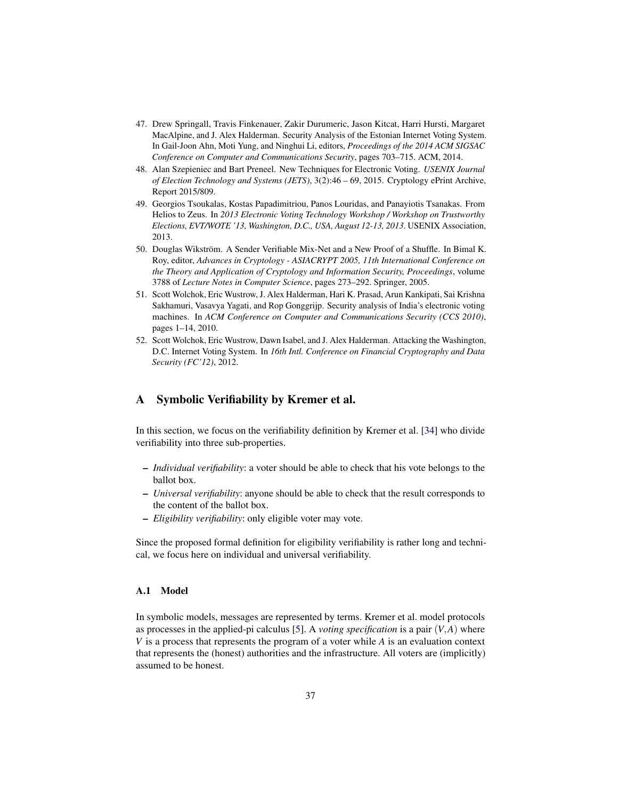- <span id="page-36-2"></span>47. Drew Springall, Travis Finkenauer, Zakir Durumeric, Jason Kitcat, Harri Hursti, Margaret MacAlpine, and J. Alex Halderman. Security Analysis of the Estonian Internet Voting System. In Gail-Joon Ahn, Moti Yung, and Ninghui Li, editors, *Proceedings of the 2014 ACM SIGSAC Conference on Computer and Communications Security*, pages 703–715. ACM, 2014.
- <span id="page-36-4"></span>48. Alan Szepieniec and Bart Preneel. New Techniques for Electronic Voting. *USENIX Journal of Election Technology and Systems (JETS)*, 3(2):46 – 69, 2015. Cryptology ePrint Archive, Report 2015/809.
- <span id="page-36-3"></span>49. Georgios Tsoukalas, Kostas Papadimitriou, Panos Louridas, and Panayiotis Tsanakas. From Helios to Zeus. In *2013 Electronic Voting Technology Workshop / Workshop on Trustworthy Elections, EVT/WOTE '13, Washington, D.C., USA, August 12-13, 2013*. USENIX Association, 2013.
- <span id="page-36-5"></span>50. Douglas Wikström. A Sender Verifiable Mix-Net and a New Proof of a Shuffle. In Bimal K. Roy, editor, *Advances in Cryptology - ASIACRYPT 2005, 11th International Conference on the Theory and Application of Cryptology and Information Security, Proceedings*, volume 3788 of *Lecture Notes in Computer Science*, pages 273–292. Springer, 2005.
- <span id="page-36-0"></span>51. Scott Wolchok, Eric Wustrow, J. Alex Halderman, Hari K. Prasad, Arun Kankipati, Sai Krishna Sakhamuri, Vasavya Yagati, and Rop Gonggrijp. Security analysis of India's electronic voting machines. In *ACM Conference on Computer and Communications Security (CCS 2010)*, pages 1–14, 2010.
- <span id="page-36-1"></span>52. Scott Wolchok, Eric Wustrow, Dawn Isabel, and J. Alex Halderman. Attacking the Washington, D.C. Internet Voting System. In *16th Intl. Conference on Financial Cryptography and Data Security (FC'12)*, 2012.

# <span id="page-36-6"></span>A Symbolic Verifiability by Kremer et al.

In this section, we focus on the verifiability definition by Kremer et al. [\[34\]](#page-35-3) who divide verifiability into three sub-properties.

- *Individual verifiability*: a voter should be able to check that his vote belongs to the ballot box.
- *Universal verifiability*: anyone should be able to check that the result corresponds to the content of the ballot box.
- *Eligibility verifiability*: only eligible voter may vote.

Since the proposed formal definition for eligibility verifiability is rather long and technical, we focus here on individual and universal verifiability.

### A.1 Model

In symbolic models, messages are represented by terms. Kremer et al. model protocols as processes in the applied-pi calculus [\[5\]](#page-33-15). A *voting specification* is a pair (*V*,*A*) where *V* is a process that represents the program of a voter while *A* is an evaluation context that represents the (honest) authorities and the infrastructure. All voters are (implicitly) assumed to be honest.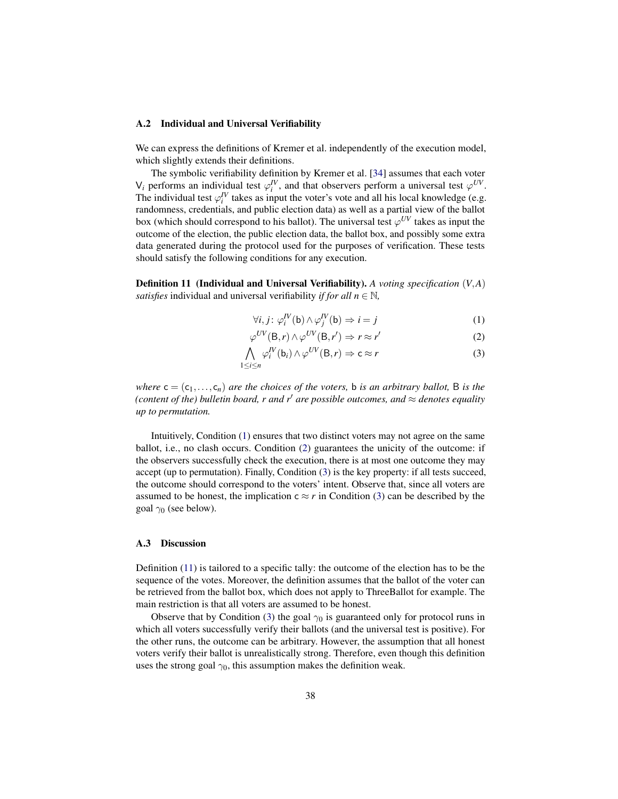### A.2 Individual and Universal Verifiability

We can express the definitions of Kremer et al. independently of the execution model, which slightly extends their definitions.

The symbolic verifiability definition by Kremer et al. [\[34\]](#page-35-3) assumes that each voter  $V_i$  performs an individual test  $\varphi_i^{IV}$ , and that observers perform a universal test  $\varphi^{UV}$ . The individual test  $\varphi_i^{\text{IV}}$  takes as input the voter's vote and all his local knowledge (e.g. randomness, credentials, and public election data) as well as a partial view of the ballot box (which should correspond to his ballot). The universal test  $\varphi^{UV}$  takes as input the outcome of the election, the public election data, the ballot box, and possibly some extra data generated during the protocol used for the purposes of verification. These tests should satisfy the following conditions for any execution.

<span id="page-37-1"></span>Definition 11 (Individual and Universal Verifiability). *A voting specification* (*V*,*A*) *satisfies* individual and universal verifiability *if for all*  $n \in \mathbb{N}$ ,

<span id="page-37-0"></span>
$$
\forall i, j: \varphi_i^{\text{IV}}(\mathsf{b}) \land \varphi_j^{\text{IV}}(\mathsf{b}) \Rightarrow i = j \tag{1}
$$

$$
\varphi^{UV}(\mathsf{B},r) \wedge \varphi^{UV}(\mathsf{B},r') \Rightarrow r \approx r'
$$
 (2)

$$
\bigwedge_{1 \le i \le n} \varphi_i^{IV}(\mathbf{b}_i) \wedge \varphi^{UV}(\mathbf{B}, r) \Rightarrow \mathbf{c} \approx r
$$
\n(3)

*where*  $c = (c_1, \ldots, c_n)$  *are the choices of the voters, b is an arbitrary ballot, B is the (content of the) bulletin board, r and*  $r'$  *are possible outcomes, and*  $\approx$  *denotes equality up to permutation.*

Intuitively, Condition [\(1\)](#page-37-0) ensures that two distinct voters may not agree on the same ballot, i.e., no clash occurs. Condition [\(2\)](#page-37-0) guarantees the unicity of the outcome: if the observers successfully check the execution, there is at most one outcome they may accept (up to permutation). Finally, Condition [\(3\)](#page-37-0) is the key property: if all tests succeed, the outcome should correspond to the voters' intent. Observe that, since all voters are assumed to be honest, the implication  $c \approx r$  in Condition [\(3\)](#page-37-0) can be described by the goal  $\gamma_0$  (see below).

### A.3 Discussion

Definition [\(11\)](#page-37-1) is tailored to a specific tally: the outcome of the election has to be the sequence of the votes. Moreover, the definition assumes that the ballot of the voter can be retrieved from the ballot box, which does not apply to ThreeBallot for example. The main restriction is that all voters are assumed to be honest.

Observe that by Condition [\(3\)](#page-37-0) the goal  $\gamma_0$  is guaranteed only for protocol runs in which all voters successfully verify their ballots (and the universal test is positive). For the other runs, the outcome can be arbitrary. However, the assumption that all honest voters verify their ballot is unrealistically strong. Therefore, even though this definition uses the strong goal  $\gamma_0$ , this assumption makes the definition weak.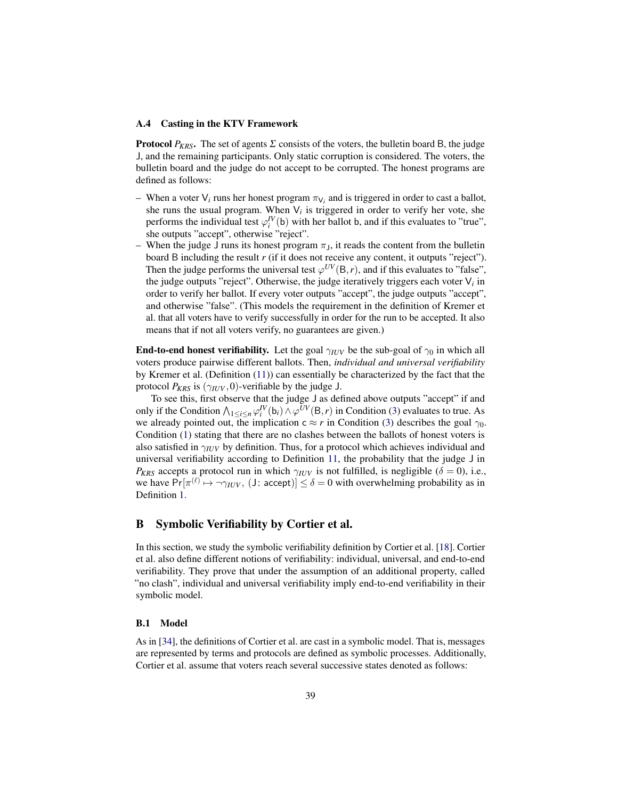## A.4 Casting in the KTV Framework

**Protocol**  $P_{KRS}$ . The set of agents  $\Sigma$  consists of the voters, the bulletin board B, the judge J, and the remaining participants. Only static corruption is considered. The voters, the bulletin board and the judge do not accept to be corrupted. The honest programs are defined as follows:

- When a voter  $V_i$  runs her honest program  $\pi_{V_i}$  and is triggered in order to cast a ballot, she runs the usual program. When  $V_i$  is triggered in order to verify her vote, she performs the individual test  $\varphi_i^{\mathbf{IV}}(b)$  with her ballot b, and if this evaluates to "true", she outputs "accept", otherwise "reject".
- When the judge J runs its honest program  $\pi_J$ , it reads the content from the bulletin board B including the result *r* (if it does not receive any content, it outputs "reject"). Then the judge performs the universal test  $\varphi^{UV}(B,r)$ , and if this evaluates to "false", the judge outputs "reject". Otherwise, the judge iteratively triggers each voter V*<sup>i</sup>* in order to verify her ballot. If every voter outputs "accept", the judge outputs "accept", and otherwise "false". (This models the requirement in the definition of Kremer et al. that all voters have to verify successfully in order for the run to be accepted. It also means that if not all voters verify, no guarantees are given.)

**End-to-end honest verifiability.** Let the goal  $\gamma_{\text{H/V}}$  be the sub-goal of  $\gamma_0$  in which all voters produce pairwise different ballots. Then, *individual and universal verifiability* by Kremer et al. (Definition [\(11\)](#page-37-1)) can essentially be characterized by the fact that the protocol  $P_{KRS}$  is  $(\gamma_{IUV}, 0)$ -verifiable by the judge J.

To see this, first observe that the judge J as defined above outputs "accept" if and only if the Condition  $\bigwedge_{1 \le i \le n} \varphi_i^{\mathit{IV}}(b_i) \wedge \varphi^{\mathit{UV}}(B,r)$  in Condition [\(3\)](#page-37-0) evaluates to true. As we already pointed out, the implication  $c \approx r$  in Condition [\(3\)](#page-37-0) describes the goal  $\gamma_0$ . Condition [\(1\)](#page-37-0) stating that there are no clashes between the ballots of honest voters is also satisfied in  $\gamma_{\text{III}}$  by definition. Thus, for a protocol which achieves individual and universal verifiability according to Definition [11,](#page-37-1) the probability that the judge J in *P<sub>KRS</sub>* accepts a protocol run in which  $\gamma_{UV}$  is not fulfilled, is negligible ( $\delta = 0$ ), i.e., we have  $Pr[\pi^{(\ell)} \mapsto \neg \gamma_{IUV}, (J: accept)] \le \delta = 0$  with overwhelming probability as in Definition [1.](#page-6-0)

## <span id="page-38-0"></span>B Symbolic Verifiability by Cortier et al.

In this section, we study the symbolic verifiability definition by Cortier et al. [\[18\]](#page-33-13). Cortier et al. also define different notions of verifiability: individual, universal, and end-to-end verifiability. They prove that under the assumption of an additional property, called "no clash", individual and universal verifiability imply end-to-end verifiability in their symbolic model.

## B.1 Model

As in [\[34\]](#page-35-3), the definitions of Cortier et al. are cast in a symbolic model. That is, messages are represented by terms and protocols are defined as symbolic processes. Additionally, Cortier et al. assume that voters reach several successive states denoted as follows: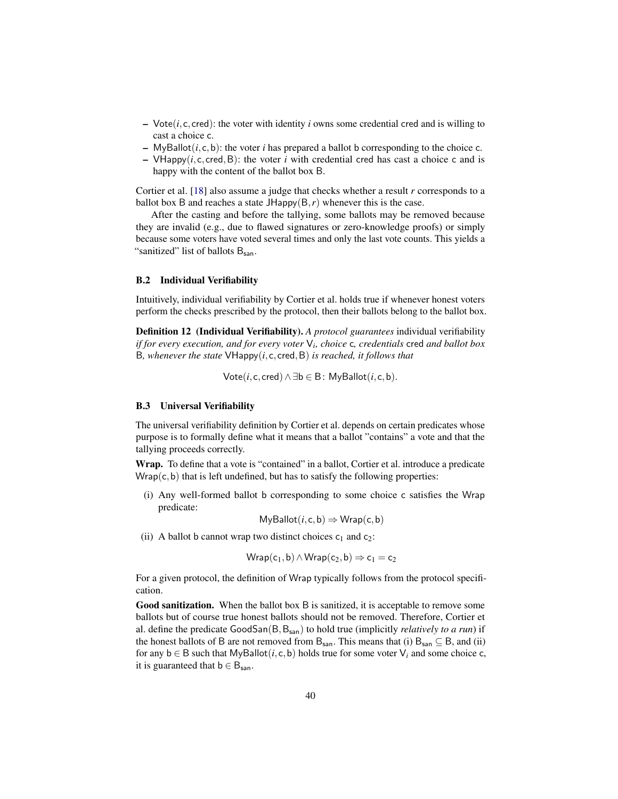- $\sim$  Vote(*i*, c, cred): the voter with identity *i* owns some credential cred and is willing to cast a choice c.
- $-$  MyBallot $(i, c, b)$ : the voter *i* has prepared a ballot b corresponding to the choice c.
- $-$  VHappy(*i*, c, cred, B): the voter *i* with credential cred has cast a choice c and is happy with the content of the ballot box B.

Cortier et al. [\[18\]](#page-33-13) also assume a judge that checks whether a result *r* corresponds to a ballot box B and reaches a state JHappy $(B, r)$  whenever this is the case.

After the casting and before the tallying, some ballots may be removed because they are invalid (e.g., due to flawed signatures or zero-knowledge proofs) or simply because some voters have voted several times and only the last vote counts. This yields a "sanitized" list of ballots B<sub>san</sub>.

## B.2 Individual Verifiability

Intuitively, individual verifiability by Cortier et al. holds true if whenever honest voters perform the checks prescribed by the protocol, then their ballots belong to the ballot box.

<span id="page-39-0"></span>Definition 12 (Individual Verifiability). *A protocol guarantees* individual verifiability *if for every execution, and for every voter* V*<sup>i</sup> , choice* c*, credentials* cred *and ballot box* B*, whenever the state* VHappy(*i*, c, cred,B) *is reached, it follows that*

Vote( $i$ , c, cred)  $\land \exists b \in B$ : MyBallot( $i$ , c, b).

### B.3 Universal Verifiability

The universal verifiability definition by Cortier et al. depends on certain predicates whose purpose is to formally define what it means that a ballot "contains" a vote and that the tallying proceeds correctly.

Wrap. To define that a vote is "contained" in a ballot, Cortier et al. introduce a predicate  $Wrap(c, b)$  that is left undefined, but has to satisfy the following properties:

(i) Any well-formed ballot b corresponding to some choice c satisfies the Wrap predicate:

 $MyBallot(i, c, b) \Rightarrow Wrap(c, b)$ 

(ii) A ballot b cannot wrap two distinct choices  $c_1$  and  $c_2$ :

$$
\mathsf{Wrap}(c_1,b) \wedge \mathsf{Wrap}(c_2,b) \Rightarrow c_1 = c_2
$$

For a given protocol, the definition of Wrap typically follows from the protocol specification.

Good sanitization. When the ballot box B is sanitized, it is acceptable to remove some ballots but of course true honest ballots should not be removed. Therefore, Cortier et al. define the predicate GoodSan(B,Bsan) to hold true (implicitly *relatively to a run*) if the honest ballots of B are not removed from  $B_{\text{san}}$ . This means that (i)  $B_{\text{san}} \subseteq B$ , and (ii) for any  $b \in B$  such that MyBallot $(i, c, b)$  holds true for some voter  $V_i$  and some choice c, it is guaranteed that  $b \in B_{\text{san}}$ .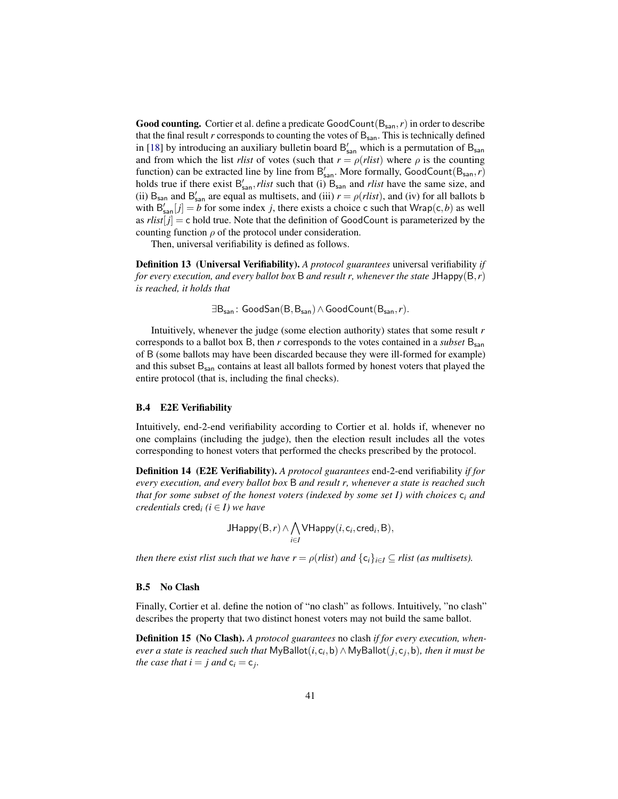**Good counting.** Cortier et al. define a predicate GoodCount ( $B_{\text{san}}$ , *r*) in order to describe that the final result  $r$  corresponds to counting the votes of  $B_{\text{san}}$ . This is technically defined in [\[18\]](#page-33-13) by introducing an auxiliary bulletin board  $B'_{san}$  which is a permutation of  $B_{san}$ and from which the list *rlist* of votes (such that  $r = \rho(\text{rlist})$  where  $\rho$  is the counting function) can be extracted line by line from  $B'_{san}$ . More formally, GoodCount( $B_{san}$ , *r*) holds true if there exist  $B'_{\text{san}}$ , *rlist* such that (i)  $B_{\text{san}}$  and *rlist* have the same size, and (ii)  $B_{\text{san}}$  and  $B'_{\text{san}}$  are equal as multisets, and (iii)  $r = \rho(rlist)$ , and (iv) for all ballots b with  $B'_{\text{san}}[j] = b$  for some index *j*, there exists a choice c such that  $W \text{rap}(c, b)$  as well as  $rlist[j] = c$  hold true. Note that the definition of GoodCount is parameterized by the counting function  $\rho$  of the protocol under consideration.

Then, universal verifiability is defined as follows.

<span id="page-40-1"></span>Definition 13 (Universal Verifiability). *A protocol guarantees* universal verifiability *if for every execution, and every ballot box* B *and result r, whenever the state* JHappy(B,*r*) *is reached, it holds that*

∃Bsan : GoodSan(B,Bsan)∧GoodCount(Bsan,*r*).

Intuitively, whenever the judge (some election authority) states that some result *r* corresponds to a ballot box B, then *r* corresponds to the votes contained in a *subset* Bsan of B (some ballots may have been discarded because they were ill-formed for example) and this subset  $B_{san}$  contains at least all ballots formed by honest voters that played the entire protocol (that is, including the final checks).

#### B.4 E2E Verifiability

Intuitively, end-2-end verifiability according to Cortier et al. holds if, whenever no one complains (including the judge), then the election result includes all the votes corresponding to honest voters that performed the checks prescribed by the protocol.

<span id="page-40-0"></span>Definition 14 (E2E Verifiability). *A protocol guarantees* end-2-end verifiability *if for every execution, and every ballot box* B *and result r, whenever a state is reached such that for some subset of the honest voters (indexed by some set I) with choices* c*<sup>i</sup> and credentials* cred<sub>*i*</sub>  $(i \in I)$  we have

$$
\mathsf{JHappy}(B,r) \land \bigwedge_{i \in I} \mathsf{VHappy}(i, c_i, \mathsf{cred}_i, B),
$$

*then there exist rlist such that we have*  $r = \rho(rlist)$  *and*  $\{c_i\}_{i \in I} \subseteq$  *rlist (as multisets).* 

### B.5 No Clash

Finally, Cortier et al. define the notion of "no clash" as follows. Intuitively, "no clash" describes the property that two distinct honest voters may not build the same ballot.

Definition 15 (No Clash). *A protocol guarantees* no clash *if for every execution, whenever a state is reached such that* MyBallot(*i*, c*<sup>i</sup>* ,b)∧MyBallot(*j*, c *<sup>j</sup>* ,b)*, then it must be the case that*  $i = j$  *and*  $c_i = c_j$ *.*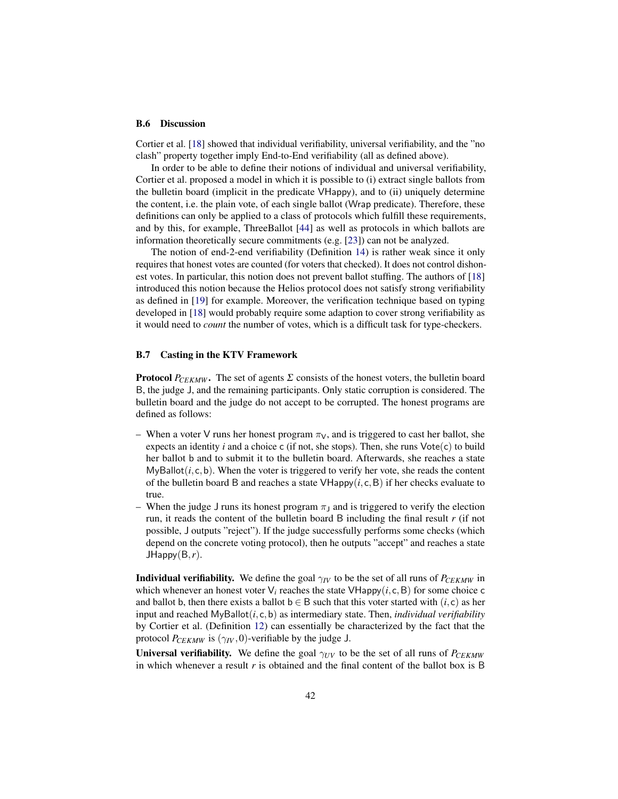### B.6 Discussion

Cortier et al. [\[18\]](#page-33-13) showed that individual verifiability, universal verifiability, and the "no clash" property together imply End-to-End verifiability (all as defined above).

In order to be able to define their notions of individual and universal verifiability, Cortier et al. proposed a model in which it is possible to (i) extract single ballots from the bulletin board (implicit in the predicate VHappy), and to (ii) uniquely determine the content, i.e. the plain vote, of each single ballot (Wrap predicate). Therefore, these definitions can only be applied to a class of protocols which fulfill these requirements, and by this, for example, ThreeBallot [\[44\]](#page-35-9) as well as protocols in which ballots are information theoretically secure commitments (e.g. [\[23\]](#page-34-10)) can not be analyzed.

The notion of end-2-end verifiability (Definition [14\)](#page-40-0) is rather weak since it only requires that honest votes are counted (for voters that checked). It does not control dishonest votes. In particular, this notion does not prevent ballot stuffing. The authors of [\[18\]](#page-33-13) introduced this notion because the Helios protocol does not satisfy strong verifiability as defined in [\[19\]](#page-34-4) for example. Moreover, the verification technique based on typing developed in [\[18\]](#page-33-13) would probably require some adaption to cover strong verifiability as it would need to *count* the number of votes, which is a difficult task for type-checkers.

## B.7 Casting in the KTV Framework

**Protocol**  $P_{CEKMW}$ . The set of agents  $\Sigma$  consists of the honest voters, the bulletin board B, the judge J, and the remaining participants. Only static corruption is considered. The bulletin board and the judge do not accept to be corrupted. The honest programs are defined as follows:

- When a voter V runs her honest program  $\pi_{V}$ , and is triggered to cast her ballot, she expects an identity *i* and a choice c (if not, she stops). Then, she runs  $\text{Vote}(c)$  to build her ballot b and to submit it to the bulletin board. Afterwards, she reaches a state MyBallot $(i, c, b)$ . When the voter is triggered to verify her vote, she reads the content of the bulletin board B and reaches a state  $VH$ appy $(i, c, B)$  if her checks evaluate to true.
- When the judge J runs its honest program  $\pi_J$  and is triggered to verify the election run, it reads the content of the bulletin board B including the final result *r* (if not possible, J outputs "reject"). If the judge successfully performs some checks (which depend on the concrete voting protocol), then he outputs "accept" and reaches a state JHappy(B,*r*).

**Individual verifiability.** We define the goal  $\gamma$ <sub>*IV*</sub> to be the set of all runs of *PCEKMW* in which whenever an honest voter  $V_i$  reaches the state  $V$ Happy( $i$ , c, B) for some choice c and ballot b, then there exists a ballot  $b \in B$  such that this voter started with  $(i, c)$  as her input and reached MyBallot(*i*, c,b) as intermediary state. Then, *individual verifiability* by Cortier et al. (Definition [12\)](#page-39-0) can essentially be characterized by the fact that the protocol  $P_{CEKMW}$  is  $(\gamma_{IV}, 0)$ -verifiable by the judge J.

Universal verifiability. We define the goal  $\gamma_{UV}$  to be the set of all runs of  $P_{CEKMW}$ in which whenever a result *r* is obtained and the final content of the ballot box is B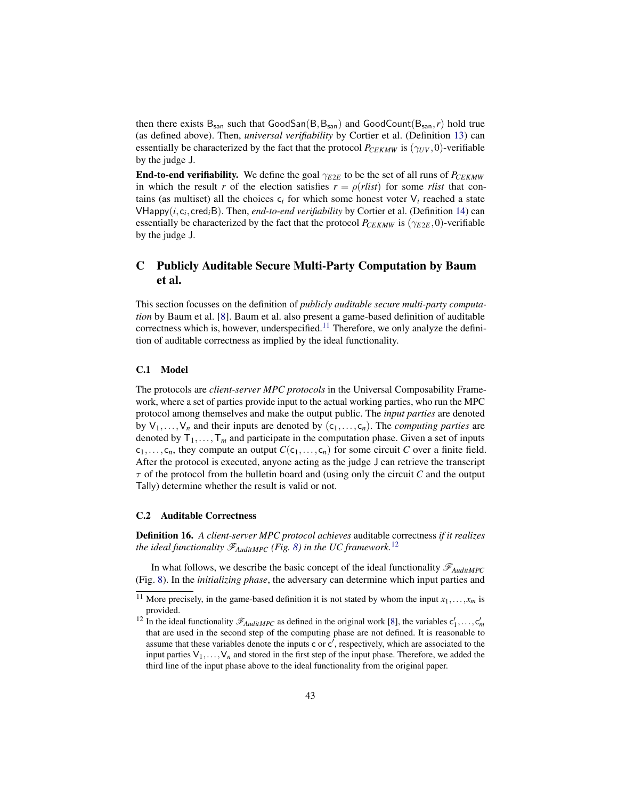then there exists  $B_{san}$  such that  $GoodSan(B, B_{san})$  and  $GoodCount(B_{san}, r)$  hold true (as defined above). Then, *universal verifiability* by Cortier et al. (Definition [13\)](#page-40-1) can essentially be characterized by the fact that the protocol  $P_{CEKMW}$  is  $(\gamma_{UV}, 0)$ -verifiable by the judge J.

**End-to-end verifiability.** We define the goal  $\gamma_{E2E}$  to be the set of all runs of  $P_{CEKMW}$ in which the result *r* of the election satisfies  $r = \rho(\text{rlist})$  for some *rlist* that contains (as multiset) all the choices  $c_i$  for which some honest voter  $V_i$  reached a state VHappy(*i*, c*<sup>i</sup>* , cred*i*B). Then, *end-to-end verifiability* by Cortier et al. (Definition [14\)](#page-40-0) can essentially be characterized by the fact that the protocol  $P_{CEKMW}$  is ( $\gamma_{E2E}$ ,0)-verifiable by the judge J.

# <span id="page-42-0"></span>C Publicly Auditable Secure Multi-Party Computation by Baum et al.

This section focusses on the definition of *publicly auditable secure multi-party computation* by Baum et al. [\[8\]](#page-33-14). Baum et al. also present a game-based definition of auditable correctness which is, however, underspecified.<sup>[11](#page-42-1)</sup> Therefore, we only analyze the definition of auditable correctness as implied by the ideal functionality.

### C.1 Model

The protocols are *client-server MPC protocols* in the Universal Composability Framework, where a set of parties provide input to the actual working parties, who run the MPC protocol among themselves and make the output public. The *input parties* are denoted by  $V_1, \ldots, V_n$  and their inputs are denoted by  $(c_1, \ldots, c_n)$ . The *computing parties* are denoted by  $T_1, \ldots, T_m$  and participate in the computation phase. Given a set of inputs  $c_1, \ldots, c_n$ , they compute an output  $C(c_1, \ldots, c_n)$  for some circuit C over a finite field. After the protocol is executed, anyone acting as the judge J can retrieve the transcript  $\tau$  of the protocol from the bulletin board and (using only the circuit *C* and the output Tally) determine whether the result is valid or not.

## C.2 Auditable Correctness

<span id="page-42-3"></span>Definition 16. *A client-server MPC protocol achieves* auditable correctness *if it realizes the ideal functionality*  $\mathscr{F}_{\text{AuditMPC}}$  *(Fig. [8\)](#page-43-0) in the UC framework.*<sup>[12](#page-42-2)</sup>

In what follows, we describe the basic concept of the ideal functionality  $\mathscr{F}_{\text{AuditMPC}}$ (Fig. [8\)](#page-43-0). In the *initializing phase*, the adversary can determine which input parties and

<span id="page-42-1"></span><sup>&</sup>lt;sup>11</sup> More precisely, in the game-based definition it is not stated by whom the input  $x_1, \ldots, x_m$  is provided.

<span id="page-42-2"></span><sup>&</sup>lt;sup>12</sup> In the ideal functionality  $\mathscr{F}_{\text{AuditMPC}}$  as defined in the original work [\[8\]](#page-33-14), the variables  $c'_1, \ldots, c'_m$ that are used in the second step of the computing phase are not defined. It is reasonable to assume that these variables denote the inputs  $c$  or  $c'$ , respectively, which are associated to the input parties  $V_1, \ldots, V_n$  and stored in the first step of the input phase. Therefore, we added the third line of the input phase above to the ideal functionality from the original paper.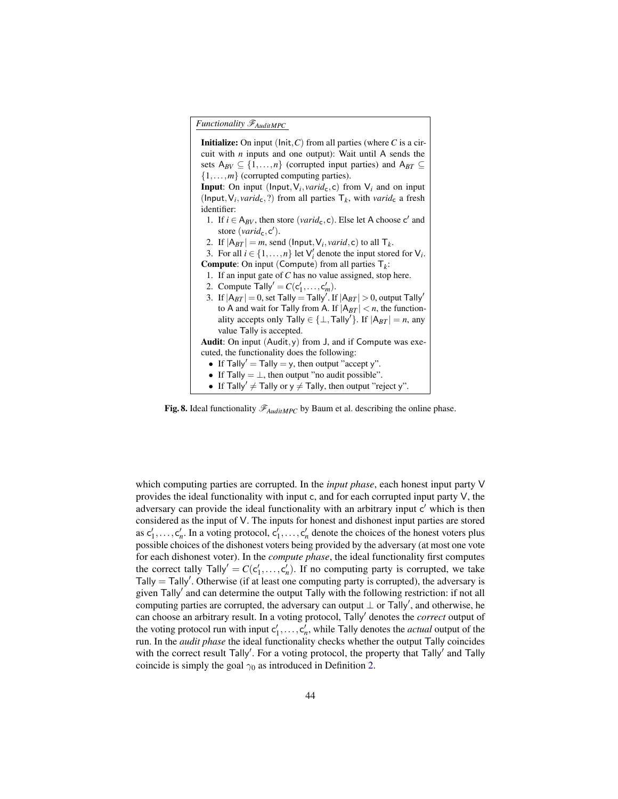*Functionality* F*AuditMPC*

**Initialize:** On input ( $Init, C$ ) from all parties (where  $C$  is a circuit with *n* inputs and one output): Wait until A sends the sets  $A_{BV} \subseteq \{1, \ldots, n\}$  (corrupted input parties) and  $A_{BT} \subseteq$  $\{1,\ldots,m\}$  (corrupted computing parties).

**Input**: On input (Input,  $V_i$ , *varid*<sub>c</sub>, c) from  $V_i$  and on input (Input,  $V_i$ , *varid*<sub>c</sub>,?) from all parties  $T_k$ , with *varid*<sub>c</sub> a fresh identifier:

- 1. If  $i \in A_{BV}$ , then store (*varid*<sub>c</sub>, c). Else let A choose c' and store (*varid*<sub>c</sub>, c').
- 2. If  $|A_{BT}| = m$ , send (lnput,  $V_i$ , *varid*, c) to all  $T_k$ .
- 3. For all  $i \in \{1, ..., n\}$  let  $\mathsf{V}'_i$  denote the input stored for  $\mathsf{V}_i$ . **Compute:** On input (Compute) from all parties  $T_k$ :
- 1. If an input gate of *C* has no value assigned, stop here.
- 2. Compute Tally<sup> $\prime$ </sup> =  $C(c'_1, \ldots, c'_m)$ .
- 3. If  $|{\sf A}_{BT}| = 0$ , set Tally  $=$  Tally<sup>'</sup>. If  $|{\sf A}_{BT}| > 0$ , output Tally' to A and wait for Tally from A. If  $|A_{BT}| < n$ , the functionality accepts only Tally  $\in \{\perp, \text{Tally}'\}$ . If  $|A_{BT}| = n$ , any value Tally is accepted.

Audit: On input  $(Audit, y)$  from J, and if Compute was executed, the functionality does the following:

- If Tally  $=$  Tally  $=$  y, then output "accept y".
- If Tally  $= \perp$ , then output "no audit possible".
- <span id="page-43-0"></span>• If Tally'  $\neq$  Tally or y  $\neq$  Tally, then output "reject y".



which computing parties are corrupted. In the *input phase*, each honest input party V provides the ideal functionality with input c, and for each corrupted input party  $V$ , the adversary can provide the ideal functionality with an arbitrary input  $c'$  which is then considered as the input of V. The inputs for honest and dishonest input parties are stored as  $c'_1, \ldots, c'_n$ . In a voting protocol,  $c'_1, \ldots, c'_n$  denote the choices of the honest voters plus possible choices of the dishonest voters being provided by the adversary (at most one vote for each dishonest voter). In the *compute phase*, the ideal functionality first computes the correct tally  $Tally' = C(c'_1, \ldots, c'_n)$ . If no computing party is corrupted, we take Tally  $=$  Tally'. Otherwise (if at least one computing party is corrupted), the adversary is given Tally' and can determine the output Tally with the following restriction: if not all computing parties are corrupted, the adversary can output  $\bot$  or Tally', and otherwise, he can choose an arbitrary result. In a voting protocol, Tally' denotes the *correct* output of the voting protocol run with input  $c'_1, \ldots, c'_n$ , while Tally denotes the *actual* output of the run. In the *audit phase* the ideal functionality checks whether the output Tally coincides with the correct result Tally'. For a voting protocol, the property that Tally' and Tally coincide is simply the goal  $\gamma_0$  as introduced in Definition [2.](#page-8-0)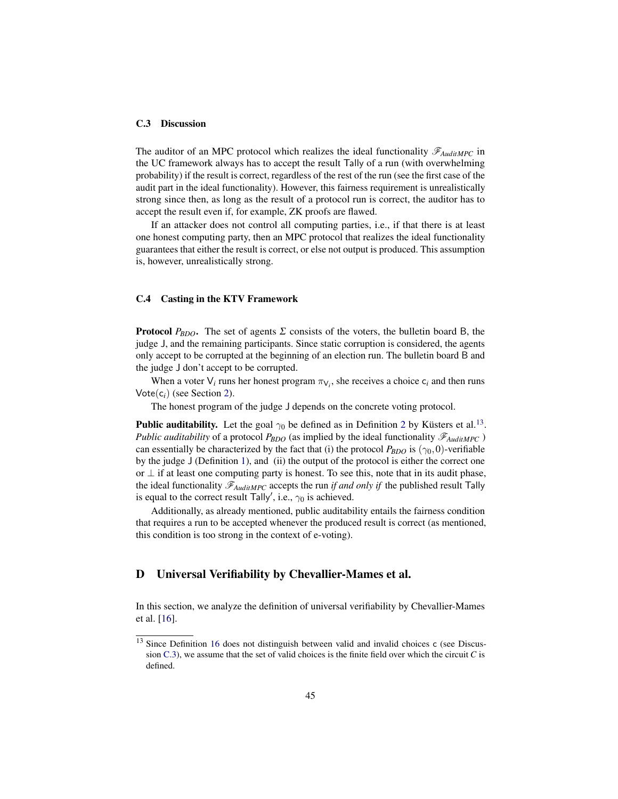#### <span id="page-44-2"></span>C.3 Discussion

The auditor of an MPC protocol which realizes the ideal functionality  $\mathscr{F}_{\text{AudiMPC}}$  in the UC framework always has to accept the result Tally of a run (with overwhelming probability) if the result is correct, regardless of the rest of the run (see the first case of the audit part in the ideal functionality). However, this fairness requirement is unrealistically strong since then, as long as the result of a protocol run is correct, the auditor has to accept the result even if, for example, ZK proofs are flawed.

If an attacker does not control all computing parties, i.e., if that there is at least one honest computing party, then an MPC protocol that realizes the ideal functionality guarantees that either the result is correct, or else not output is produced. This assumption is, however, unrealistically strong.

## C.4 Casting in the KTV Framework

**Protocol**  $P_{BDO}$ . The set of agents  $\Sigma$  consists of the voters, the bulletin board B, the judge J, and the remaining participants. Since static corruption is considered, the agents only accept to be corrupted at the beginning of an election run. The bulletin board B and the judge J don't accept to be corrupted.

When a voter  $V_i$  runs her honest program  $\pi_{V_i}$ , she receives a choice  $c_i$  and then runs Vote(c*i*) (see Section [2\)](#page-2-0).

The honest program of the judge J depends on the concrete voting protocol.

**Public auditability.** Let the goal  $\gamma_0$  be defined as in Definition [2](#page-8-0) by Küsters et al.<sup>[13](#page-44-1)</sup>. *Public auditability* of a protocol  $P_{BDO}$  (as implied by the ideal functionality  $\mathscr{F}_{AudithPC}$ ) can essentially be characterized by the fact that (i) the protocol  $P_{BDO}$  is  $(\gamma_0, 0)$ -verifiable by the judge J (Definition [1\)](#page-6-0), and (ii) the output of the protocol is either the correct one or  $\perp$  if at least one computing party is honest. To see this, note that in its audit phase, the ideal functionality  $\mathscr{F}_{\text{AuditMPC}}$  accepts the run *if and only if* the published result Tally is equal to the correct result Tally', i.e.,  $\gamma_0$  is achieved.

Additionally, as already mentioned, public auditability entails the fairness condition that requires a run to be accepted whenever the produced result is correct (as mentioned, this condition is too strong in the context of e-voting).

# <span id="page-44-0"></span>D Universal Verifiability by Chevallier-Mames et al.

In this section, we analyze the definition of universal verifiability by Chevallier-Mames et al. [\[16\]](#page-33-11).

<span id="page-44-1"></span><sup>&</sup>lt;sup>13</sup> Since Definition [16](#page-42-3) does not distinguish between valid and invalid choices c (see Discussion [C.3\)](#page-44-2), we assume that the set of valid choices is the finite field over which the circuit *C* is defined.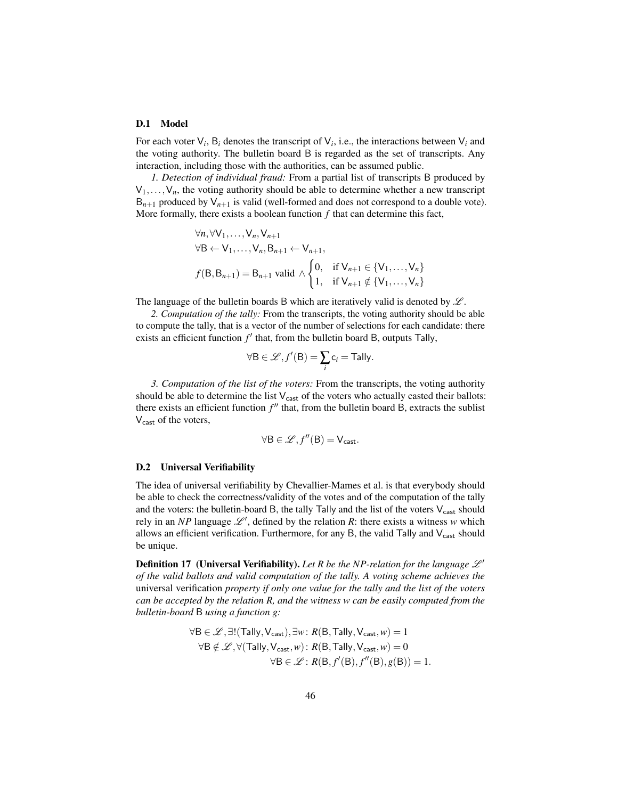### <span id="page-45-1"></span>D.1 Model

For each voter  $V_i$ ,  $B_i$  denotes the transcript of  $V_i$ , i.e., the interactions between  $V_i$  and the voting authority. The bulletin board B is regarded as the set of transcripts. Any interaction, including those with the authorities, can be assumed public.

*1. Detection of individual fraud:* From a partial list of transcripts B produced by  $V_1, \ldots, V_n$ , the voting authority should be able to determine whether a new transcript  $B_{n+1}$  produced by  $V_{n+1}$  is valid (well-formed and does not correspond to a double vote). More formally, there exists a boolean function *f* that can determine this fact,

$$
\forall n, \forall V_1, \dots, V_n, V_{n+1}
$$
  
\n
$$
\forall B \leftarrow V_1, \dots, V_n, B_{n+1} \leftarrow V_{n+1},
$$
  
\n
$$
f(B, B_{n+1}) = B_{n+1} \text{ valid } \wedge \begin{cases} 0, & \text{if } V_{n+1} \in \{V_1, \dots, V_n\} \\ 1, & \text{if } V_{n+1} \notin \{V_1, \dots, V_n\} \end{cases}
$$

The language of the bulletin boards B which are iteratively valid is denoted by  $\mathscr{L}$ .

*2. Computation of the tally:* From the transcripts, the voting authority should be able to compute the tally, that is a vector of the number of selections for each candidate: there exists an efficient function  $f'$  that, from the bulletin board B, outputs Tally,

$$
\forall B \in \mathscr{L}, f'(B) = \sum_i c_i = \mathsf{Tally}.
$$

*3. Computation of the list of the voters:* From the transcripts, the voting authority should be able to determine the list  $V_{\text{cast}}$  of the voters who actually casted their ballots: there exists an efficient function  $f''$  that, from the bulletin board B, extracts the sublist  $V_{\text{cast}}$  of the voters,

$$
\forall B \in \mathscr{L}, f''(B) = V_{\text{cast}}.
$$

### D.2 Universal Verifiability

The idea of universal verifiability by Chevallier-Mames et al. is that everybody should be able to check the correctness/validity of the votes and of the computation of the tally and the voters: the bulletin-board B, the tally Tally and the list of the voters  $V_{\text{cast}}$  should rely in an *NP* language  $\mathcal{L}$ , defined by the relation *R*: there exists a witness *w* which allows an efficient verification. Furthermore, for any B, the valid Tally and  $V_{\text{cast}}$  should be unique.

<span id="page-45-0"></span>**Definition 17** (Universal Verifiability). Let R be the NP-relation for the language  $\mathcal{L}^{\prime}$ *of the valid ballots and valid computation of the tally. A voting scheme achieves the* universal verification *property if only one value for the tally and the list of the voters can be accepted by the relation R, and the witness w can be easily computed from the bulletin-board* B *using a function g:*

$$
\forall B \in \mathcal{L}, \exists! (Tally, V_{cast}), \exists w: R(B, Tally, V_{cast}, w) = 1
$$
  

$$
\forall B \notin \mathcal{L}, \forall (Tally, V_{cast}, w): R(B, Tally, V_{cast}, w) = 0
$$
  

$$
\forall B \in \mathcal{L}: R(B, f'(B), f''(B), g(B)) = 1.
$$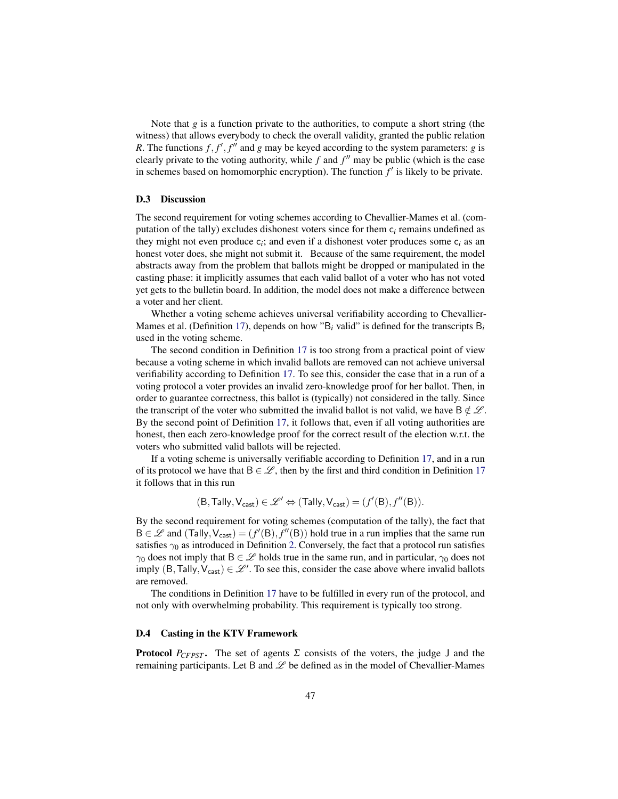Note that *g* is a function private to the authorities, to compute a short string (the witness) that allows everybody to check the overall validity, granted the public relation *R*. The functions  $f, f', f''$  and *g* may be keyed according to the system parameters: *g* is clearly private to the voting authority, while  $f$  and  $f''$  may be public (which is the case in schemes based on homomorphic encryption). The function  $f'$  is likely to be private.

## <span id="page-46-0"></span>D.3 Discussion

The second requirement for voting schemes according to Chevallier-Mames et al. (computation of the tally) excludes dishonest voters since for them c*<sup>i</sup>* remains undefined as they might not even produce  $c_i$ ; and even if a dishonest voter produces some  $c_i$  as an honest voter does, she might not submit it. Because of the same requirement, the model abstracts away from the problem that ballots might be dropped or manipulated in the casting phase: it implicitly assumes that each valid ballot of a voter who has not voted yet gets to the bulletin board. In addition, the model does not make a difference between a voter and her client.

Whether a voting scheme achieves universal verifiability according to Chevallier-Mames et al. (Definition [17\)](#page-45-0), depends on how "B*<sup>i</sup>* valid" is defined for the transcripts B*<sup>i</sup>* used in the voting scheme.

The second condition in Definition [17](#page-45-0) is too strong from a practical point of view because a voting scheme in which invalid ballots are removed can not achieve universal verifiability according to Definition [17.](#page-45-0) To see this, consider the case that in a run of a voting protocol a voter provides an invalid zero-knowledge proof for her ballot. Then, in order to guarantee correctness, this ballot is (typically) not considered in the tally. Since the transcript of the voter who submitted the invalid ballot is not valid, we have  $B \notin \mathscr{L}$ . By the second point of Definition [17,](#page-45-0) it follows that, even if all voting authorities are honest, then each zero-knowledge proof for the correct result of the election w.r.t. the voters who submitted valid ballots will be rejected.

If a voting scheme is universally verifiable according to Definition [17,](#page-45-0) and in a run of its protocol we have that  $B \in \mathcal{L}$ , then by the first and third condition in Definition [17](#page-45-0) it follows that in this run

$$
(B, \mathsf{Tally}, \mathsf{V}_{\mathsf{cast}}) \in \mathscr{L}' \Leftrightarrow (\mathsf{Tally}, \mathsf{V}_{\mathsf{cast}}) = (f'(B), f''(B)).
$$

By the second requirement for voting schemes (computation of the tally), the fact that  $B \in \mathscr{L}$  and  $(Tally, V_{cast}) = (f'(B), f''(B))$  hold true in a run implies that the same run satisfies  $\gamma_0$  as introduced in Definition [2.](#page-8-0) Conversely, the fact that a protocol run satisfies  $\gamma_0$  does not imply that  $B \in \mathcal{L}$  holds true in the same run, and in particular,  $\gamma_0$  does not imply  $(B, \text{Tally}, V_{\text{cast}}) \in \mathcal{L}'$ . To see this, consider the case above where invalid ballots are removed.

The conditions in Definition [17](#page-45-0) have to be fulfilled in every run of the protocol, and not only with overwhelming probability. This requirement is typically too strong.

## D.4 Casting in the KTV Framework

**Protocol** *P<sub>CFPST</sub>*. The set of agents  $\Sigma$  consists of the voters, the judge J and the remaining participants. Let B and  $\mathscr L$  be defined as in the model of Chevallier-Mames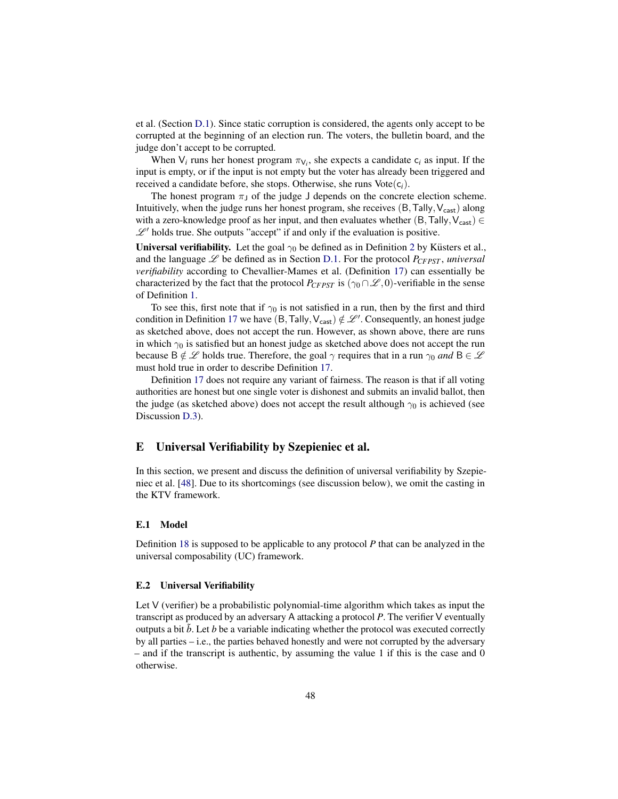et al. (Section [D.1\)](#page-45-1). Since static corruption is considered, the agents only accept to be corrupted at the beginning of an election run. The voters, the bulletin board, and the judge don't accept to be corrupted.

When  $V_i$  runs her honest program  $\pi_{V_i}$ , she expects a candidate  $c_i$  as input. If the input is empty, or if the input is not empty but the voter has already been triggered and received a candidate before, she stops. Otherwise, she runs  $\text{Vote}(c_i)$ .

The honest program  $\pi_{\perp}$  of the judge J depends on the concrete election scheme. Intuitively, when the judge runs her honest program, she receives  $(B, T_{\text{ally}}, V_{\text{cast}})$  along with a zero-knowledge proof as her input, and then evaluates whether (B, Tally,  $V_{\text{cast}}$ ) ∈  $\mathcal{L}$  holds true. She outputs "accept" if and only if the evaluation is positive.

Universal verifiability. Let the goal  $\gamma_0$  be defined as in Definition [2](#page-8-0) by Küsters et al., and the language  $\mathscr L$  be defined as in Section [D.1.](#page-45-1) For the protocol  $P_{CFPST}$ , *universal verifiability* according to Chevallier-Mames et al. (Definition [17\)](#page-45-0) can essentially be characterized by the fact that the protocol  $P_{CFPST}$  is ( $\gamma_0 \cap \mathcal{L}, 0$ )-verifiable in the sense of Definition [1.](#page-6-0)

To see this, first note that if  $\gamma_0$  is not satisfied in a run, then by the first and third condition in Definition [17](#page-45-0) we have  $(B, \text{Tally}, V_{\text{cast}}) \notin \mathcal{L}'$ . Consequently, an honest judge as sketched above, does not accept the run. However, as shown above, there are runs in which  $\gamma_0$  is satisfied but an honest judge as sketched above does not accept the run because B  $\notin \mathcal{L}$  holds true. Therefore, the goal  $\gamma$  requires that in a run  $\gamma_0$  *and* B  $\in \mathcal{L}$ must hold true in order to describe Definition [17.](#page-45-0)

Definition [17](#page-45-0) does not require any variant of fairness. The reason is that if all voting authorities are honest but one single voter is dishonest and submits an invalid ballot, then the judge (as sketched above) does not accept the result although  $\gamma_0$  is achieved (see Discussion [D.3\)](#page-46-0).

## <span id="page-47-0"></span>E Universal Verifiability by Szepieniec et al.

In this section, we present and discuss the definition of universal verifiability by Szepieniec et al. [\[48\]](#page-36-4). Due to its shortcomings (see discussion below), we omit the casting in the KTV framework.

#### E.1 Model

Definition [18](#page-47-1) is supposed to be applicable to any protocol *P* that can be analyzed in the universal composability (UC) framework.

#### E.2 Universal Verifiability

<span id="page-47-1"></span>Let  $V$  (verifier) be a probabilistic polynomial-time algorithm which takes as input the transcript as produced by an adversary A attacking a protocol *P*. The verifier V eventually outputs a bit  $\tilde{b}$ . Let  $b$  be a variable indicating whether the protocol was executed correctly by all parties – i.e., the parties behaved honestly and were not corrupted by the adversary – and if the transcript is authentic, by assuming the value 1 if this is the case and 0 otherwise.